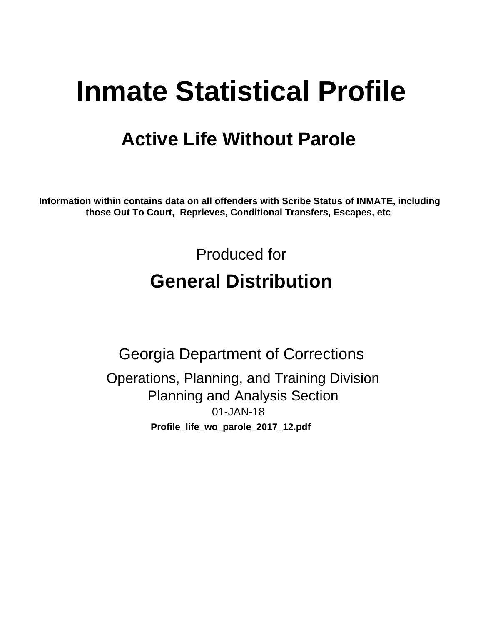# **Inmate Statistical Profile**

# **Active Life Without Parole**

Information within contains data on all offenders with Scribe Status of INMATE, including those Out To Court, Reprieves, Conditional Transfers, Escapes, etc

> Produced for **General Distribution**

**Georgia Department of Corrections** Operations, Planning, and Training Division **Planning and Analysis Section** 01-JAN-18 Profile\_life\_wo\_parole\_2017\_12.pdf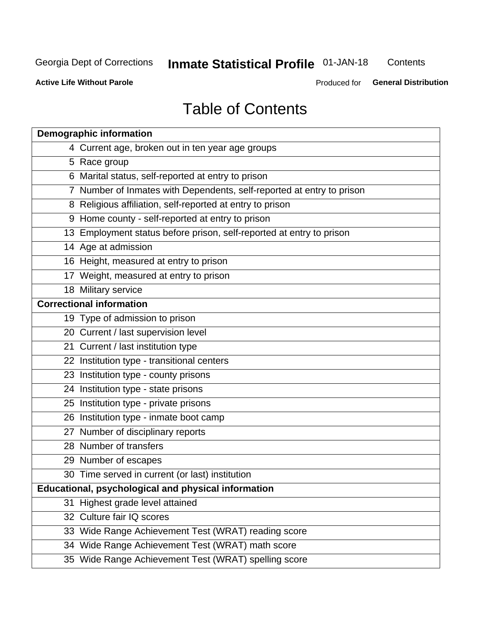# **Inmate Statistical Profile 01-JAN-18**

Contents

**Active Life Without Parole** 

Produced for General Distribution

# **Table of Contents**

|    | <b>Demographic information</b>                                        |
|----|-----------------------------------------------------------------------|
|    | 4 Current age, broken out in ten year age groups                      |
|    | 5 Race group                                                          |
|    | 6 Marital status, self-reported at entry to prison                    |
|    | 7 Number of Inmates with Dependents, self-reported at entry to prison |
|    | 8 Religious affiliation, self-reported at entry to prison             |
|    | 9 Home county - self-reported at entry to prison                      |
|    | 13 Employment status before prison, self-reported at entry to prison  |
|    | 14 Age at admission                                                   |
|    | 16 Height, measured at entry to prison                                |
|    | 17 Weight, measured at entry to prison                                |
|    | 18 Military service                                                   |
|    | <b>Correctional information</b>                                       |
|    | 19 Type of admission to prison                                        |
|    | 20 Current / last supervision level                                   |
|    | 21 Current / last institution type                                    |
|    | 22 Institution type - transitional centers                            |
|    | 23 Institution type - county prisons                                  |
|    | 24 Institution type - state prisons                                   |
|    | 25 Institution type - private prisons                                 |
|    | 26 Institution type - inmate boot camp                                |
|    | 27 Number of disciplinary reports                                     |
|    | 28 Number of transfers                                                |
|    | 29 Number of escapes                                                  |
|    | 30 Time served in current (or last) institution                       |
|    | Educational, psychological and physical information                   |
| 31 | Highest grade level attained                                          |
|    | 32 Culture fair IQ scores                                             |
|    | 33 Wide Range Achievement Test (WRAT) reading score                   |
|    | 34 Wide Range Achievement Test (WRAT) math score                      |
|    | 35 Wide Range Achievement Test (WRAT) spelling score                  |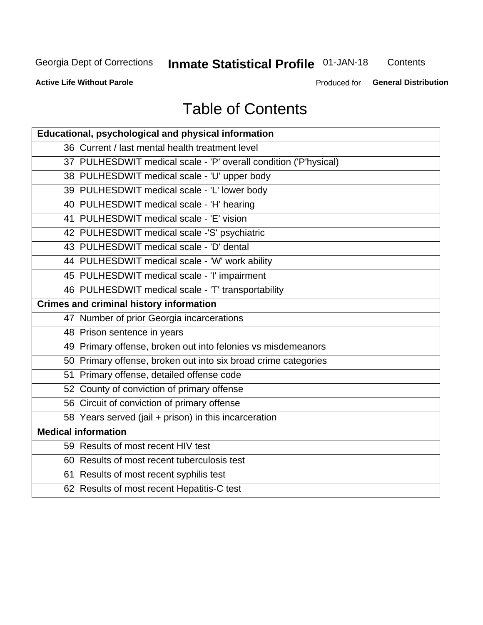# **Inmate Statistical Profile 01-JAN-18**

Contents

**Active Life Without Parole** 

Produced for General Distribution

# **Table of Contents**

| Educational, psychological and physical information              |
|------------------------------------------------------------------|
| 36 Current / last mental health treatment level                  |
| 37 PULHESDWIT medical scale - 'P' overall condition ('P'hysical) |
| 38 PULHESDWIT medical scale - 'U' upper body                     |
| 39 PULHESDWIT medical scale - 'L' lower body                     |
| 40 PULHESDWIT medical scale - 'H' hearing                        |
| 41 PULHESDWIT medical scale - 'E' vision                         |
| 42 PULHESDWIT medical scale -'S' psychiatric                     |
| 43 PULHESDWIT medical scale - 'D' dental                         |
| 44 PULHESDWIT medical scale - 'W' work ability                   |
| 45 PULHESDWIT medical scale - 'I' impairment                     |
| 46 PULHESDWIT medical scale - 'T' transportability               |
| <b>Crimes and criminal history information</b>                   |
| 47 Number of prior Georgia incarcerations                        |
| 48 Prison sentence in years                                      |
| 49 Primary offense, broken out into felonies vs misdemeanors     |
| 50 Primary offense, broken out into six broad crime categories   |
| 51 Primary offense, detailed offense code                        |
| 52 County of conviction of primary offense                       |
| 56 Circuit of conviction of primary offense                      |
| 58 Years served (jail + prison) in this incarceration            |
| <b>Medical information</b>                                       |
| 59 Results of most recent HIV test                               |
| 60 Results of most recent tuberculosis test                      |
| 61 Results of most recent syphilis test                          |
| 62 Results of most recent Hepatitis-C test                       |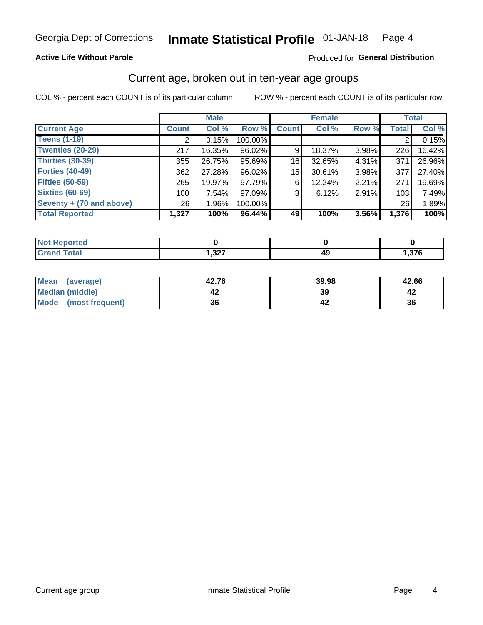## **Active Life Without Parole**

## Produced for General Distribution

# Current age, broken out in ten-year age groups

COL % - percent each COUNT is of its particular column

|                          | <b>Male</b>  |        |         | <b>Female</b> |        |       |              | <b>Total</b> |
|--------------------------|--------------|--------|---------|---------------|--------|-------|--------------|--------------|
| <b>Current Age</b>       | <b>Count</b> | Col %  | Row %   | <b>Count</b>  | Col %  | Row % | <b>Total</b> | Col %        |
| <b>Teens (1-19)</b>      |              | 0.15%  | 100.00% |               |        |       |              | 0.15%        |
| <b>Twenties (20-29)</b>  | 217          | 16.35% | 96.02%  | 9             | 18.37% | 3.98% | 226          | 16.42%       |
| Thirties (30-39)         | 355          | 26.75% | 95.69%  | 161           | 32.65% | 4.31% | 371          | 26.96%       |
| <b>Forties (40-49)</b>   | 362          | 27.28% | 96.02%  | 15            | 30.61% | 3.98% | 377          | 27.40%       |
| <b>Fifties (50-59)</b>   | 265          | 19.97% | 97.79%  | 6             | 12.24% | 2.21% | 271          | 19.69%       |
| <b>Sixties (60-69)</b>   | 100          | 7.54%  | 97.09%  | 3             | 6.12%  | 2.91% | 103          | 7.49%        |
| Seventy + (70 and above) | 26           | 1.96%  | 100.00% |               |        |       | 26           | 1.89%        |
| <b>Total Reported</b>    | 1,327        | 100%   | 96.44%  | 49            | 100%   | 3.56% | 1,376        | 100%         |

| <b>Continued In the Contract of the Contract of The Contract of The Contract of The Contract of The Contract of The Contract of The Contract of The Contract of The Contract of The Contract of The Contract of The Contract of </b> |         |    |      |
|--------------------------------------------------------------------------------------------------------------------------------------------------------------------------------------------------------------------------------------|---------|----|------|
| $C = 4$                                                                                                                                                                                                                              | כמפ     | лι | 270  |
|                                                                                                                                                                                                                                      | ، 26, ۱ | ╌  | ,370 |

| <b>Mean</b><br>(average) | 42.76 | 39.98 | 42.66 |
|--------------------------|-------|-------|-------|
| Median (middle)          |       | 39    |       |
| Mode<br>(most frequent)  | 36    |       | 36    |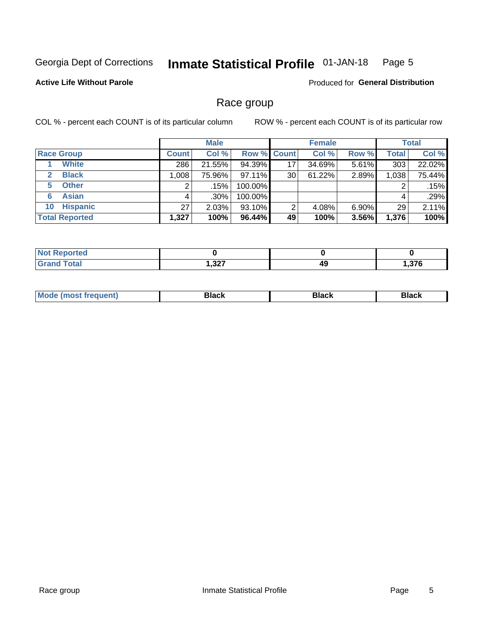#### Inmate Statistical Profile 01-JAN-18 Page 5

## **Active Life Without Parole**

Produced for General Distribution

# Race group

COL % - percent each COUNT is of its particular column

|                              | <b>Male</b>  |         |                    | <b>Female</b> |        |          | <b>Total</b> |        |
|------------------------------|--------------|---------|--------------------|---------------|--------|----------|--------------|--------|
| <b>Race Group</b>            | <b>Count</b> | Col %   | <b>Row % Count</b> |               | Col %  | Row %    | <b>Total</b> | Col %  |
| <b>White</b>                 | 286          | 21.55%  | 94.39%             | 17            | 34.69% | 5.61%    | 303          | 22.02% |
| <b>Black</b><br>$\mathbf{2}$ | 1,008        | 75.96%  | $97.11\%$          | 30            | 61.22% | 2.89%    | 1,038        | 75.44% |
| <b>Other</b><br>5.           |              | .15%    | 100.00%            |               |        |          | 2            | .15%   |
| <b>Asian</b><br>6            | 4            | $.30\%$ | 100.00%            |               |        |          | 4            | .29%   |
| <b>Hispanic</b><br>10        | 27           | 2.03%   | 93.10%             | 2             | 4.08%  | $6.90\%$ | 29           | 2.11%  |
| <b>Total Reported</b>        | 1,327        | 100%    | 96.44%             | 49            | 100%   | 3.56%    | 1,376        | 100%   |

| <b>rted</b> |             |    |            |
|-------------|-------------|----|------------|
| $F0+0$      | כפפ<br>,JZ1 | 49 | <b>270</b> |

| –•••• |  | M |  |  |  |
|-------|--|---|--|--|--|
|-------|--|---|--|--|--|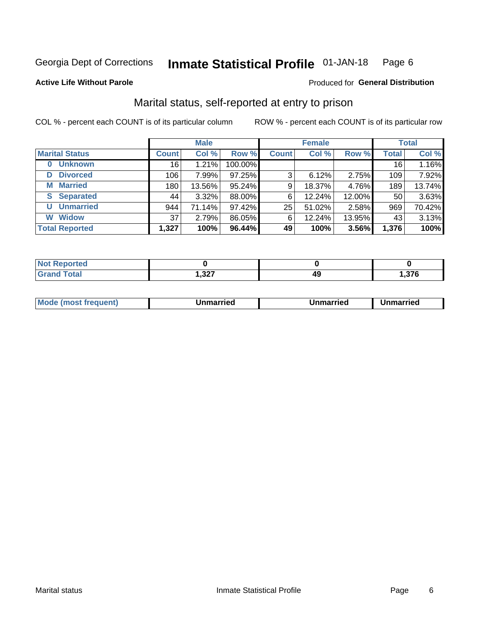#### Inmate Statistical Profile 01-JAN-18 Page 6

#### **Active Life Without Parole**

## **Produced for General Distribution**

# Marital status, self-reported at entry to prison

COL % - percent each COUNT is of its particular column

|                            |              | <b>Male</b> |         | <b>Female</b> |        |        | <b>Total</b> |        |
|----------------------------|--------------|-------------|---------|---------------|--------|--------|--------------|--------|
| <b>Marital Status</b>      | <b>Count</b> | Col %       | Row %   | <b>Count</b>  | Col %  | Row %  | <b>Total</b> | Col %  |
| <b>Unknown</b><br>$\bf{0}$ | 16           | 1.21%       | 100.00% |               |        |        | 16           | 1.16%  |
| <b>Divorced</b><br>D       | 106          | 7.99%       | 97.25%  | 3             | 6.12%  | 2.75%  | 109          | 7.92%  |
| <b>Married</b><br>М        | 180          | 13.56%      | 95.24%  | 9             | 18.37% | 4.76%  | 189          | 13.74% |
| <b>Separated</b><br>S      | 44           | 3.32%       | 88.00%  | 6             | 12.24% | 12.00% | 50           | 3.63%  |
| <b>Unmarried</b><br>U      | 944          | 71.14%      | 97.42%  | 25            | 51.02% | 2.58%  | 969          | 70.42% |
| <b>Widow</b><br>W          | 37           | 2.79%       | 86.05%  | 6             | 12.24% | 13.95% | 43           | 3.13%  |
| <b>Total Reported</b>      | 1,327        | 100%        | 96.44%  | 49            | 100%   | 3.56%  | 1,376        | 100%   |

| norted<br><b>NOT</b><br>$\mathbf{r}$ . The set |                |    |       |
|------------------------------------------------|----------------|----|-------|
| Total                                          | ່າາກ<br>/∠د, ا | ᠇֊ | . 376 |

|  | M | . | Unmarried | າmarried<br>_____ |
|--|---|---|-----------|-------------------|
|--|---|---|-----------|-------------------|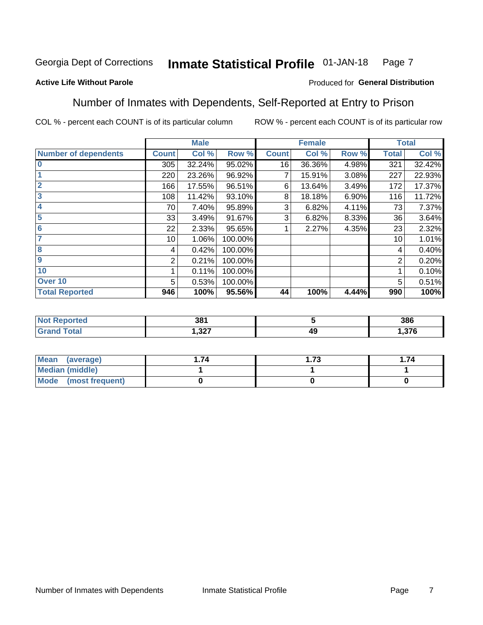#### Inmate Statistical Profile 01-JAN-18 Page 7

## **Active Life Without Parole**

## Produced for General Distribution

# Number of Inmates with Dependents, Self-Reported at Entry to Prison

COL % - percent each COUNT is of its particular column

|                             |                 | <b>Male</b> |         |              | <b>Female</b> |       |              | <b>Total</b> |
|-----------------------------|-----------------|-------------|---------|--------------|---------------|-------|--------------|--------------|
| <b>Number of dependents</b> | <b>Count</b>    | Col %       | Row %   | <b>Count</b> | Col %         | Row % | <b>Total</b> | Col %        |
| $\bf{0}$                    | 305             | 32.24%      | 95.02%  | 16           | 36.36%        | 4.98% | 321          | 32.42%       |
|                             | 220             | 23.26%      | 96.92%  |              | 15.91%        | 3.08% | 227          | 22.93%       |
| $\overline{2}$              | 166             | 17.55%      | 96.51%  | 6            | 13.64%        | 3.49% | 172          | 17.37%       |
| 3                           | 108             | 11.42%      | 93.10%  | 8            | 18.18%        | 6.90% | 116          | 11.72%       |
| 4                           | 70              | 7.40%       | 95.89%  | 3            | 6.82%         | 4.11% | 73           | 7.37%        |
| 5                           | 33              | 3.49%       | 91.67%  | 3            | 6.82%         | 8.33% | 36           | 3.64%        |
| $6\phantom{1}6$             | 22              | 2.33%       | 95.65%  |              | 2.27%         | 4.35% | 23           | 2.32%        |
| 7                           | 10 <sup>1</sup> | 1.06%       | 100.00% |              |               |       | 10           | 1.01%        |
| $\overline{\mathbf{8}}$     | 4               | 0.42%       | 100.00% |              |               |       | 4            | 0.40%        |
| $\boldsymbol{9}$            | 2               | 0.21%       | 100.00% |              |               |       | 2            | 0.20%        |
| 10                          |                 | 0.11%       | 100.00% |              |               |       |              | 0.10%        |
| Over 10                     | 5               | 0.53%       | 100.00% |              |               |       | 5            | 0.51%        |
| <b>Total Reported</b>       | 946             | 100%        | 95.56%  | 44           | 100%          | 4.44% | 990          | 100%         |

| ιcυ | 381         |    | 386              |
|-----|-------------|----|------------------|
|     | າາ<br>، 24. | 49 | $\sim$<br>ט וכ.ו |

| Mean (average)          | 74 | - 72<br>د ، . | . 74 |
|-------------------------|----|---------------|------|
| <b>Median (middle)</b>  |    |               |      |
| Mode<br>(most frequent) |    |               |      |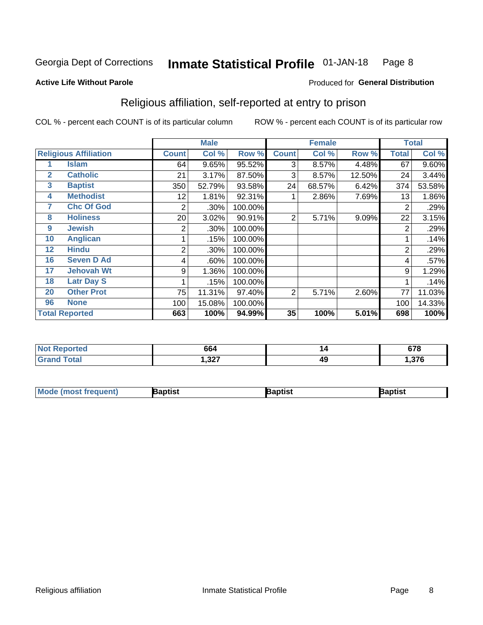#### **Inmate Statistical Profile 01-JAN-18** Page 8

Produced for General Distribution

## **Active Life Without Parole**

# Religious affiliation, self-reported at entry to prison

COL % - percent each COUNT is of its particular column

|              |                              |                | <b>Male</b> |         |                | <b>Female</b> |        |                | <b>Total</b> |
|--------------|------------------------------|----------------|-------------|---------|----------------|---------------|--------|----------------|--------------|
|              | <b>Religious Affiliation</b> | <b>Count</b>   | Col %       | Row %   | <b>Count</b>   | Col %         | Row %  | <b>Total</b>   | Col %        |
|              | Islam                        | 64             | 9.65%       | 95.52%  | 3              | 8.57%         | 4.48%  | 67             | 9.60%        |
| $\mathbf{2}$ | <b>Catholic</b>              | 21             | 3.17%       | 87.50%  | 3              | 8.57%         | 12.50% | 24             | 3.44%        |
| 3            | <b>Baptist</b>               | 350            | 52.79%      | 93.58%  | 24             | 68.57%        | 6.42%  | 374            | 53.58%       |
| 4            | <b>Methodist</b>             | 12             | 1.81%       | 92.31%  |                | 2.86%         | 7.69%  | 13             | 1.86%        |
| 7            | <b>Chc Of God</b>            | 2              | .30%        | 100.00% |                |               |        | $\overline{2}$ | .29%         |
| 8            | <b>Holiness</b>              | 20             | 3.02%       | 90.91%  | 2              | 5.71%         | 9.09%  | 22             | 3.15%        |
| 9            | <b>Jewish</b>                | 2              | .30%        | 100.00% |                |               |        | $\overline{2}$ | .29%         |
| 10           | <b>Anglican</b>              |                | .15%        | 100.00% |                |               |        |                | .14%         |
| 12           | <b>Hindu</b>                 | $\overline{2}$ | .30%        | 100.00% |                |               |        | $\overline{2}$ | .29%         |
| 16           | <b>Seven D Ad</b>            | 4              | .60%        | 100.00% |                |               |        | 4              | .57%         |
| 17           | <b>Jehovah Wt</b>            | 9              | 1.36%       | 100.00% |                |               |        | 9              | 1.29%        |
| 18           | <b>Latr Day S</b>            |                | .15%        | 100.00% |                |               |        |                | .14%         |
| 20           | <b>Other Prot</b>            | 75             | 11.31%      | 97.40%  | $\overline{2}$ | 5.71%         | 2.60%  | 77             | 11.03%       |
| 96           | <b>None</b>                  | 100            | 15.08%      | 100.00% |                |               |        | 100            | 14.33%       |
|              | <b>Total Reported</b>        | 663            | 100%        | 94.99%  | 35             | 100%          | 5.01%  | 698            | 100%         |

| Reported | 664         | 14 | <b>C70</b><br>07 O |
|----------|-------------|----|--------------------|
|          | າາກ<br>,JZ1 | 49 | 27c                |

| Mod<br>de (most frequent). | 3aptist | aptist | Baptist |
|----------------------------|---------|--------|---------|
|                            |         |        |         |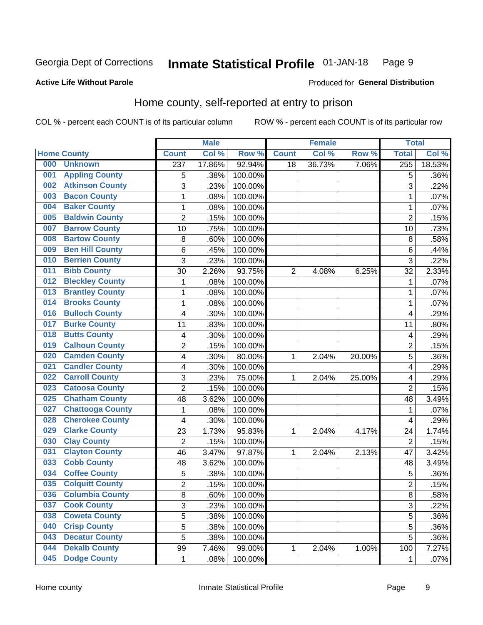#### Inmate Statistical Profile 01-JAN-18 Page 9

## **Active Life Without Parole**

## **Produced for General Distribution**

# Home county, self-reported at entry to prison

COL % - percent each COUNT is of its particular column

|     |                         |                | <b>Male</b> |                  |                | <b>Female</b> |        | <b>Total</b>   |        |
|-----|-------------------------|----------------|-------------|------------------|----------------|---------------|--------|----------------|--------|
|     | <b>Home County</b>      | <b>Count</b>   | Col%        | Row <sup>%</sup> | <b>Count</b>   | Col %         | Row %  | <b>Total</b>   | Col %  |
| 000 | <b>Unknown</b>          | 237            | 17.86%      | 92.94%           | 18             | 36.73%        | 7.06%  | 255            | 18.53% |
| 001 | <b>Appling County</b>   | 5              | .38%        | 100.00%          |                |               |        | 5              | .36%   |
| 002 | <b>Atkinson County</b>  | 3              | .23%        | 100.00%          |                |               |        | 3              | .22%   |
| 003 | <b>Bacon County</b>     | 1              | .08%        | 100.00%          |                |               |        | 1              | .07%   |
| 004 | <b>Baker County</b>     | $\mathbf 1$    | .08%        | 100.00%          |                |               |        | 1              | .07%   |
| 005 | <b>Baldwin County</b>   | $\overline{2}$ | .15%        | 100.00%          |                |               |        | $\overline{2}$ | .15%   |
| 007 | <b>Barrow County</b>    | 10             | .75%        | 100.00%          |                |               |        | 10             | .73%   |
| 008 | <b>Bartow County</b>    | 8              | .60%        | 100.00%          |                |               |        | 8              | .58%   |
| 009 | <b>Ben Hill County</b>  | 6              | .45%        | 100.00%          |                |               |        | 6              | .44%   |
| 010 | <b>Berrien County</b>   | 3              | .23%        | 100.00%          |                |               |        | 3              | .22%   |
| 011 | <b>Bibb County</b>      | 30             | 2.26%       | 93.75%           | $\overline{2}$ | 4.08%         | 6.25%  | 32             | 2.33%  |
| 012 | <b>Bleckley County</b>  | 1              | .08%        | 100.00%          |                |               |        | 1              | .07%   |
| 013 | <b>Brantley County</b>  | $\mathbf 1$    | .08%        | 100.00%          |                |               |        | 1              | .07%   |
| 014 | <b>Brooks County</b>    | $\mathbf 1$    | .08%        | 100.00%          |                |               |        | 1              | .07%   |
| 016 | <b>Bulloch County</b>   | 4              | .30%        | 100.00%          |                |               |        | 4              | .29%   |
| 017 | <b>Burke County</b>     | 11             | .83%        | 100.00%          |                |               |        | 11             | .80%   |
| 018 | <b>Butts County</b>     | 4              | .30%        | 100.00%          |                |               |        | 4              | .29%   |
| 019 | <b>Calhoun County</b>   | $\overline{c}$ | .15%        | 100.00%          |                |               |        | $\overline{2}$ | .15%   |
| 020 | <b>Camden County</b>    | 4              | .30%        | 80.00%           | 1              | 2.04%         | 20.00% | 5              | .36%   |
| 021 | <b>Candler County</b>   | 4              | .30%        | 100.00%          |                |               |        | 4              | .29%   |
| 022 | <b>Carroll County</b>   | 3              | .23%        | 75.00%           | 1              | 2.04%         | 25.00% | 4              | .29%   |
| 023 | <b>Catoosa County</b>   | $\overline{2}$ | .15%        | 100.00%          |                |               |        | $\overline{2}$ | .15%   |
| 025 | <b>Chatham County</b>   | 48             | 3.62%       | 100.00%          |                |               |        | 48             | 3.49%  |
| 027 | <b>Chattooga County</b> | 1              | .08%        | 100.00%          |                |               |        | 1              | .07%   |
| 028 | <b>Cherokee County</b>  | 4              | .30%        | 100.00%          |                |               |        | 4              | .29%   |
| 029 | <b>Clarke County</b>    | 23             | 1.73%       | 95.83%           | 1              | 2.04%         | 4.17%  | 24             | 1.74%  |
| 030 | <b>Clay County</b>      | $\overline{2}$ | .15%        | 100.00%          |                |               |        | $\overline{2}$ | .15%   |
| 031 | <b>Clayton County</b>   | 46             | 3.47%       | 97.87%           | 1              | 2.04%         | 2.13%  | 47             | 3.42%  |
| 033 | <b>Cobb County</b>      | 48             | 3.62%       | 100.00%          |                |               |        | 48             | 3.49%  |
| 034 | <b>Coffee County</b>    | 5              | .38%        | 100.00%          |                |               |        | 5              | .36%   |
| 035 | <b>Colquitt County</b>  | $\overline{2}$ | .15%        | 100.00%          |                |               |        | $\overline{2}$ | .15%   |
| 036 | <b>Columbia County</b>  | 8              | .60%        | 100.00%          |                |               |        | 8              | .58%   |
| 037 | <b>Cook County</b>      | $\overline{3}$ | .23%        | 100.00%          |                |               |        | 3              | .22%   |
| 038 | <b>Coweta County</b>    | 5              | .38%        | 100.00%          |                |               |        | 5              | .36%   |
| 040 | <b>Crisp County</b>     | $\overline{5}$ | .38%        | 100.00%          |                |               |        | 5              | .36%   |
| 043 | <b>Decatur County</b>   | 5              | .38%        | 100.00%          |                |               |        | 5              | .36%   |
| 044 | <b>Dekalb County</b>    | 99             | 7.46%       | 99.00%           | 1              | 2.04%         | 1.00%  | 100            | 7.27%  |
| 045 | <b>Dodge County</b>     | $\mathbf{1}$   | .08%        | 100.00%          |                |               |        | 1              | .07%   |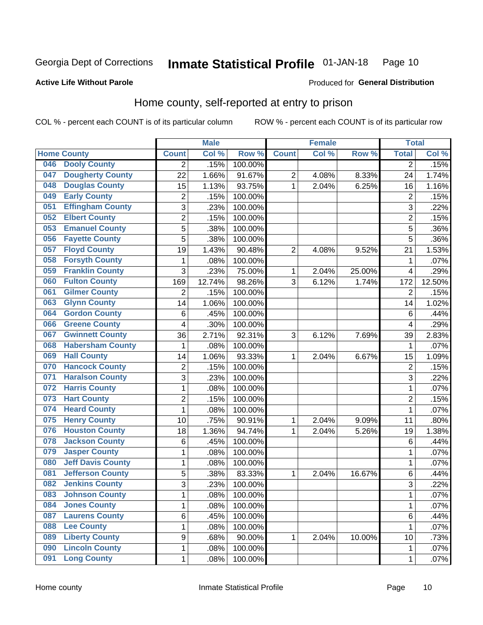#### **Inmate Statistical Profile 01-JAN-18** Page 10

## **Active Life Without Parole**

# Produced for General Distribution

# Home county, self-reported at entry to prison

COL % - percent each COUNT is of its particular column

|     |                          |                | <b>Male</b> |         |                | <b>Female</b> |        | <b>Total</b>   |        |
|-----|--------------------------|----------------|-------------|---------|----------------|---------------|--------|----------------|--------|
|     | <b>Home County</b>       | <b>Count</b>   | Col %       | Row %   | <b>Count</b>   | Col %         | Row %  | <b>Total</b>   | Col %  |
| 046 | <b>Dooly County</b>      | $\overline{2}$ | .15%        | 100.00% |                |               |        | $\overline{2}$ | .15%   |
| 047 | <b>Dougherty County</b>  | 22             | 1.66%       | 91.67%  | $\overline{2}$ | 4.08%         | 8.33%  | 24             | 1.74%  |
| 048 | <b>Douglas County</b>    | 15             | 1.13%       | 93.75%  | 1              | 2.04%         | 6.25%  | 16             | 1.16%  |
| 049 | <b>Early County</b>      | 2              | .15%        | 100.00% |                |               |        | $\overline{2}$ | .15%   |
| 051 | <b>Effingham County</b>  | 3              | .23%        | 100.00% |                |               |        | 3              | .22%   |
| 052 | <b>Elbert County</b>     | $\overline{2}$ | .15%        | 100.00% |                |               |        | $\overline{2}$ | .15%   |
| 053 | <b>Emanuel County</b>    | 5              | .38%        | 100.00% |                |               |        | 5              | .36%   |
| 056 | <b>Fayette County</b>    | 5              | .38%        | 100.00% |                |               |        | 5              | .36%   |
| 057 | <b>Floyd County</b>      | 19             | 1.43%       | 90.48%  | $\overline{2}$ | 4.08%         | 9.52%  | 21             | 1.53%  |
| 058 | <b>Forsyth County</b>    | 1              | .08%        | 100.00% |                |               |        | 1              | .07%   |
| 059 | <b>Franklin County</b>   | 3              | .23%        | 75.00%  | 1              | 2.04%         | 25.00% | $\overline{4}$ | .29%   |
| 060 | <b>Fulton County</b>     | 169            | 12.74%      | 98.26%  | 3              | 6.12%         | 1.74%  | 172            | 12.50% |
| 061 | <b>Gilmer County</b>     | $\overline{2}$ | .15%        | 100.00% |                |               |        | $\overline{2}$ | .15%   |
| 063 | <b>Glynn County</b>      | 14             | 1.06%       | 100.00% |                |               |        | 14             | 1.02%  |
| 064 | <b>Gordon County</b>     | 6              | .45%        | 100.00% |                |               |        | 6              | .44%   |
| 066 | <b>Greene County</b>     | 4              | .30%        | 100.00% |                |               |        | 4              | .29%   |
| 067 | <b>Gwinnett County</b>   | 36             | 2.71%       | 92.31%  | 3              | 6.12%         | 7.69%  | 39             | 2.83%  |
| 068 | <b>Habersham County</b>  | 1              | .08%        | 100.00% |                |               |        | 1              | .07%   |
| 069 | <b>Hall County</b>       | 14             | 1.06%       | 93.33%  | 1              | 2.04%         | 6.67%  | 15             | 1.09%  |
| 070 | <b>Hancock County</b>    | 2              | .15%        | 100.00% |                |               |        | $\overline{2}$ | .15%   |
| 071 | <b>Haralson County</b>   | 3              | .23%        | 100.00% |                |               |        | 3              | .22%   |
| 072 | <b>Harris County</b>     | $\mathbf{1}$   | .08%        | 100.00% |                |               |        | 1              | .07%   |
| 073 | <b>Hart County</b>       | $\overline{2}$ | .15%        | 100.00% |                |               |        | $\overline{2}$ | .15%   |
| 074 | <b>Heard County</b>      | 1              | .08%        | 100.00% |                |               |        | 1              | .07%   |
| 075 | <b>Henry County</b>      | 10             | .75%        | 90.91%  | 1              | 2.04%         | 9.09%  | 11             | .80%   |
| 076 | <b>Houston County</b>    | 18             | 1.36%       | 94.74%  | 1              | 2.04%         | 5.26%  | 19             | 1.38%  |
| 078 | <b>Jackson County</b>    | 6              | .45%        | 100.00% |                |               |        | 6              | .44%   |
| 079 | <b>Jasper County</b>     | $\mathbf 1$    | .08%        | 100.00% |                |               |        | 1              | .07%   |
| 080 | <b>Jeff Davis County</b> | $\mathbf 1$    | .08%        | 100.00% |                |               |        | 1              | .07%   |
| 081 | <b>Jefferson County</b>  | 5              | .38%        | 83.33%  | 1              | 2.04%         | 16.67% | 6              | .44%   |
| 082 | <b>Jenkins County</b>    | $\overline{3}$ | .23%        | 100.00% |                |               |        | 3              | .22%   |
| 083 | <b>Johnson County</b>    | 1              | .08%        | 100.00% |                |               |        | 1              | .07%   |
| 084 | <b>Jones County</b>      | $\mathbf{1}$   | .08%        | 100.00% |                |               |        | 1              | .07%   |
| 087 | <b>Laurens County</b>    | 6              | .45%        | 100.00% |                |               |        | 6              | .44%   |
| 088 | <b>Lee County</b>        | $\mathbf 1$    | .08%        | 100.00% |                |               |        | 1              | .07%   |
| 089 | <b>Liberty County</b>    | 9              | .68%        | 90.00%  | 1              | 2.04%         | 10.00% | 10             | .73%   |
| 090 | <b>Lincoln County</b>    | $\mathbf{1}$   | .08%        | 100.00% |                |               |        | 1              | .07%   |
| 091 | <b>Long County</b>       | $\mathbf{1}$   | .08%        | 100.00% |                |               |        | 1              | .07%   |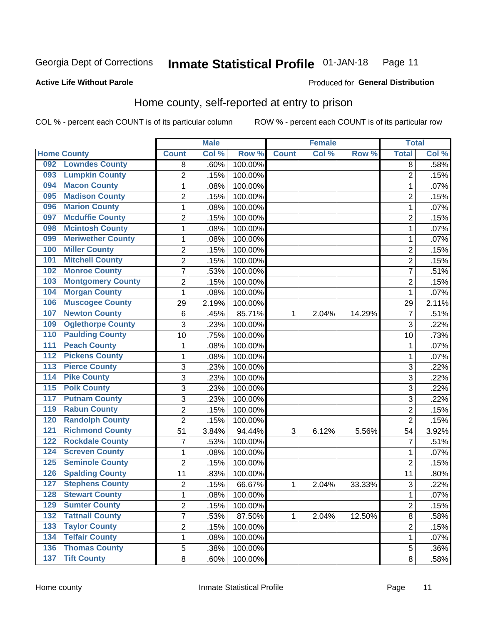#### **Inmate Statistical Profile 01-JAN-18** Page 11

## **Active Life Without Parole**

## **Produced for General Distribution**

# Home county, self-reported at entry to prison

COL % - percent each COUNT is of its particular column

|                  |                          |                         | <b>Male</b> |         |              | <b>Female</b> |        | <b>Total</b>   |       |
|------------------|--------------------------|-------------------------|-------------|---------|--------------|---------------|--------|----------------|-------|
|                  | <b>Home County</b>       | <b>Count</b>            | Col %       | Row %   | <b>Count</b> | Col %         | Row %  | <b>Total</b>   | Col % |
| 092              | <b>Lowndes County</b>    | 8                       | .60%        | 100.00% |              |               |        | 8              | .58%  |
| 093              | <b>Lumpkin County</b>    | $\overline{2}$          | .15%        | 100.00% |              |               |        | $\overline{2}$ | .15%  |
| 094              | <b>Macon County</b>      | $\mathbf 1$             | .08%        | 100.00% |              |               |        | 1              | .07%  |
| 095              | <b>Madison County</b>    | $\overline{2}$          | .15%        | 100.00% |              |               |        | $\overline{2}$ | .15%  |
| 096              | <b>Marion County</b>     | $\mathbf 1$             | .08%        | 100.00% |              |               |        | 1              | .07%  |
| 097              | <b>Mcduffie County</b>   | $\overline{2}$          | .15%        | 100.00% |              |               |        | $\overline{2}$ | .15%  |
| 098              | <b>Mcintosh County</b>   | $\mathbf 1$             | .08%        | 100.00% |              |               |        | 1              | .07%  |
| 099              | <b>Meriwether County</b> | $\mathbf 1$             | .08%        | 100.00% |              |               |        | 1              | .07%  |
| 100              | <b>Miller County</b>     | $\overline{\mathbf{c}}$ | .15%        | 100.00% |              |               |        | $\overline{2}$ | .15%  |
| 101              | <b>Mitchell County</b>   | $\overline{2}$          | .15%        | 100.00% |              |               |        | $\overline{2}$ | .15%  |
| 102              | <b>Monroe County</b>     | $\overline{7}$          | .53%        | 100.00% |              |               |        | $\overline{7}$ | .51%  |
| 103              | <b>Montgomery County</b> | $\overline{2}$          | .15%        | 100.00% |              |               |        | $\overline{2}$ | .15%  |
| 104              | <b>Morgan County</b>     | 1                       | .08%        | 100.00% |              |               |        | 1              | .07%  |
| 106              | <b>Muscogee County</b>   | 29                      | 2.19%       | 100.00% |              |               |        | 29             | 2.11% |
| 107              | <b>Newton County</b>     | 6                       | .45%        | 85.71%  | 1            | 2.04%         | 14.29% | $\overline{7}$ | .51%  |
| 109              | <b>Oglethorpe County</b> | 3                       | .23%        | 100.00% |              |               |        | 3              | .22%  |
| 110              | <b>Paulding County</b>   | 10                      | .75%        | 100.00% |              |               |        | 10             | .73%  |
| 111              | <b>Peach County</b>      | $\mathbf 1$             | .08%        | 100.00% |              |               |        | 1              | .07%  |
| $\overline{112}$ | <b>Pickens County</b>    | $\mathbf 1$             | .08%        | 100.00% |              |               |        | 1              | .07%  |
| 113              | <b>Pierce County</b>     | 3                       | .23%        | 100.00% |              |               |        | 3              | .22%  |
| 114              | <b>Pike County</b>       | 3                       | .23%        | 100.00% |              |               |        | 3              | .22%  |
| 115              | <b>Polk County</b>       | $\mathfrak{S}$          | .23%        | 100.00% |              |               |        | 3              | .22%  |
| 117              | <b>Putnam County</b>     | 3                       | .23%        | 100.00% |              |               |        | 3              | .22%  |
| 119              | <b>Rabun County</b>      | $\overline{2}$          | .15%        | 100.00% |              |               |        | $\overline{2}$ | .15%  |
| 120              | <b>Randolph County</b>   | $\overline{2}$          | .15%        | 100.00% |              |               |        | $\overline{2}$ | .15%  |
| 121              | <b>Richmond County</b>   | 51                      | 3.84%       | 94.44%  | 3            | 6.12%         | 5.56%  | 54             | 3.92% |
| 122              | <b>Rockdale County</b>   | $\overline{7}$          | .53%        | 100.00% |              |               |        | $\overline{7}$ | .51%  |
| 124              | <b>Screven County</b>    | $\mathbf 1$             | .08%        | 100.00% |              |               |        | 1              | .07%  |
| 125              | <b>Seminole County</b>   | $\overline{2}$          | .15%        | 100.00% |              |               |        | $\overline{2}$ | .15%  |
| 126              | <b>Spalding County</b>   | 11                      | .83%        | 100.00% |              |               |        | 11             | .80%  |
| 127              | <b>Stephens County</b>   | $\overline{2}$          | .15%        | 66.67%  | 1            | 2.04%         | 33.33% | 3              | .22%  |
| 128              | <b>Stewart County</b>    | 1                       | .08%        | 100.00% |              |               |        | 1              | .07%  |
| 129              | <b>Sumter County</b>     | $\overline{2}$          | .15%        | 100.00% |              |               |        | $\overline{2}$ | .15%  |
| 132              | <b>Tattnall County</b>   | $\overline{7}$          | .53%        | 87.50%  | 1            | 2.04%         | 12.50% | 8              | .58%  |
| 133              | <b>Taylor County</b>     | $\overline{2}$          | .15%        | 100.00% |              |               |        | $\overline{2}$ | .15%  |
| 134              | <b>Telfair County</b>    | $\mathbf 1$             | .08%        | 100.00% |              |               |        | 1              | .07%  |
| 136              | <b>Thomas County</b>     | 5                       | .38%        | 100.00% |              |               |        | 5              | .36%  |
| $\overline{137}$ | <b>Tift County</b>       | 8                       | .60%        | 100.00% |              |               |        | 8              | .58%  |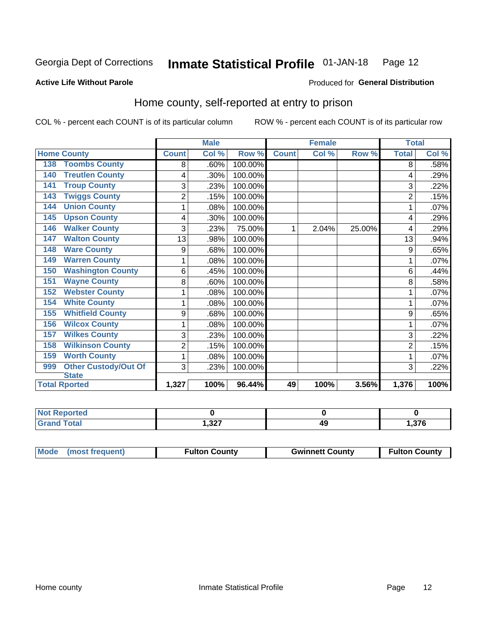#### Inmate Statistical Profile 01-JAN-18 Page 12

Produced for General Distribution

## **Active Life Without Parole**

# Home county, self-reported at entry to prison

COL % - percent each COUNT is of its particular column

|                                    |                         | <b>Male</b> |         |              | <b>Female</b> |        | <b>Total</b>   |       |
|------------------------------------|-------------------------|-------------|---------|--------------|---------------|--------|----------------|-------|
| <b>Home County</b>                 | <b>Count</b>            | Col %       | Row %   | <b>Count</b> | Col %         | Row %  | <b>Total</b>   | Col % |
| <b>Toombs County</b><br>138        | 8                       | .60%        | 100.00% |              |               |        | 8              | .58%  |
| <b>Treutlen County</b><br>140      | 4                       | .30%        | 100.00% |              |               |        | 4              | .29%  |
| <b>Troup County</b><br>141         | 3                       | .23%        | 100.00% |              |               |        | 3              | .22%  |
| <b>Twiggs County</b><br>143        | $\overline{2}$          | .15%        | 100.00% |              |               |        | $\overline{2}$ | .15%  |
| <b>Union County</b><br>144         | 1                       | $.08\%$     | 100.00% |              |               |        |                | .07%  |
| <b>Upson County</b><br>145         | 4                       | .30%        | 100.00% |              |               |        | 4              | .29%  |
| <b>Walker County</b><br>146        | 3                       | .23%        | 75.00%  | 1            | 2.04%         | 25.00% | 4              | .29%  |
| <b>Walton County</b><br>147        | 13                      | .98%        | 100.00% |              |               |        | 13             | .94%  |
| <b>Ware County</b><br>148          | 9                       | .68%        | 100.00% |              |               |        | 9              | .65%  |
| <b>Warren County</b><br>149        | 1                       | .08%        | 100.00% |              |               |        | 1              | .07%  |
| <b>Washington County</b><br>150    | 6                       | .45%        | 100.00% |              |               |        | 6              | .44%  |
| <b>Wayne County</b><br>151         | 8                       | .60%        | 100.00% |              |               |        | 8              | .58%  |
| <b>Webster County</b><br>152       | 1                       | .08%        | 100.00% |              |               |        |                | .07%  |
| <b>White County</b><br>154         | 1                       | .08%        | 100.00% |              |               |        | 1              | .07%  |
| <b>Whitfield County</b><br>155     | 9                       | .68%        | 100.00% |              |               |        | 9              | .65%  |
| <b>Wilcox County</b><br>156        | 1                       | .08%        | 100.00% |              |               |        | 1              | .07%  |
| <b>Wilkes County</b><br>157        | 3                       | .23%        | 100.00% |              |               |        | 3              | .22%  |
| <b>Wilkinson County</b><br>158     | $\overline{\mathbf{c}}$ | .15%        | 100.00% |              |               |        | $\overline{2}$ | .15%  |
| <b>Worth County</b><br>159         | 1                       | .08%        | 100.00% |              |               |        |                | .07%  |
| <b>Other Custody/Out Of</b><br>999 | 3                       | .23%        | 100.00% |              |               |        | 3              | .22%  |
| <b>State</b>                       |                         |             |         |              |               |        |                |       |
| <b>Total Rported</b>               | 1,327                   | 100%        | 96.44%  | 49           | 100%          | 3.56%  | 1,376          | 100%  |

| теа              |                |    |       |
|------------------|----------------|----|-------|
| $\sim$<br>______ | דמפ<br>، عں, ا | 49 | 1,376 |

| Mode (most frequent)<br><b>Fulton County</b><br><b>Gwinnett County</b><br><b>Fulton County</b> |
|------------------------------------------------------------------------------------------------|
|------------------------------------------------------------------------------------------------|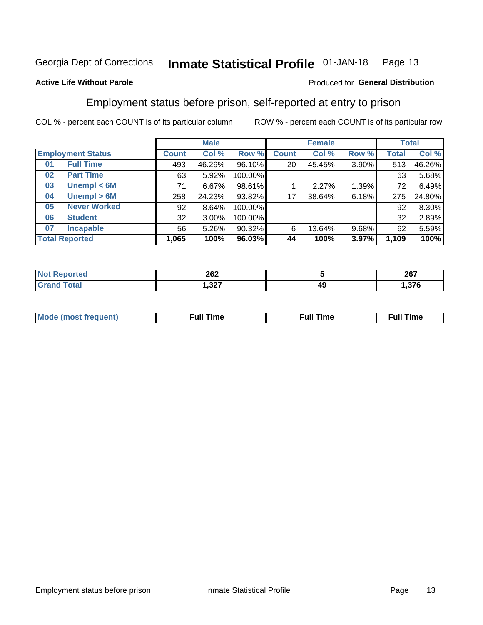#### Inmate Statistical Profile 01-JAN-18 Page 13

## **Active Life Without Parole**

## Produced for General Distribution

# Employment status before prison, self-reported at entry to prison

COL % - percent each COUNT is of its particular column

|                           | <b>Male</b>  |          |         | <b>Female</b> |        |       | <b>Total</b> |        |
|---------------------------|--------------|----------|---------|---------------|--------|-------|--------------|--------|
| <b>Employment Status</b>  | <b>Count</b> | Col %    | Row %   | <b>Count</b>  | Col %  | Row % | Total        | Col %  |
| <b>Full Time</b><br>01    | 493          | 46.29%   | 96.10%  | 20            | 45.45% | 3.90% | 513          | 46.26% |
| <b>Part Time</b><br>02    | 63           | 5.92%    | 100.00% |               |        |       | 63           | 5.68%  |
| Unempl $<$ 6M<br>03       | 71           | 6.67%    | 98.61%  |               | 2.27%  | 1.39% | 72           | 6.49%  |
| Unempl > 6M<br>04         | 258          | 24.23%   | 93.82%  | 17            | 38.64% | 6.18% | 275          | 24.80% |
| <b>Never Worked</b><br>05 | 92           | 8.64%    | 100.00% |               |        |       | 92           | 8.30%  |
| <b>Student</b><br>06      | 32           | $3.00\%$ | 100.00% |               |        |       | 32           | 2.89%  |
| <b>Incapable</b><br>07    | 56           | $5.26\%$ | 90.32%  | 6             | 13.64% | 9.68% | 62           | 5.59%  |
| <b>Total Reported</b>     | 1,065        | 100%     | 96.03%  | 44            | 100%   | 3.97% | 1,109        | 100%   |

| 262                       |    | 267<br>ZV I            |
|---------------------------|----|------------------------|
| າາກ<br>، عد. ا<br>, – – – | 49 | $\sim$<br>1.J <i>i</i> |

| Mc | ∙u∥<br>----<br>ıme | ίuΙ<br>Πmε |
|----|--------------------|------------|
|    |                    |            |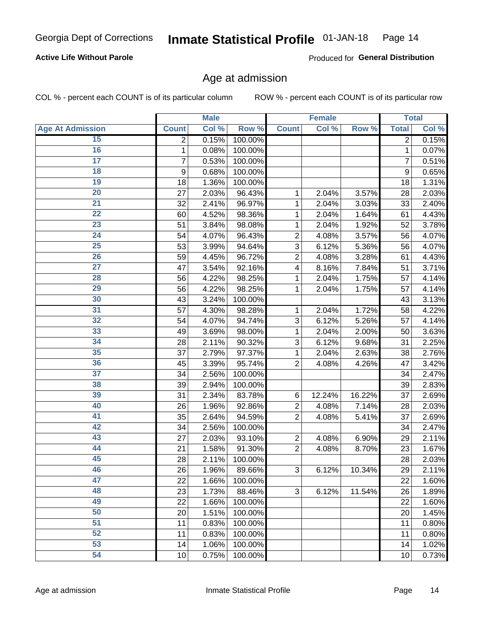## **Active Life Without Parole**

Produced for General Distribution

# Age at admission

COL % - percent each COUNT is of its particular column

|                         |              | <b>Male</b> |         |                | <b>Female</b> |        |                | <b>Total</b> |
|-------------------------|--------------|-------------|---------|----------------|---------------|--------|----------------|--------------|
| <b>Age At Admission</b> | <b>Count</b> | Col %       | Row %   | <b>Count</b>   | Col %         | Row %  | <b>Total</b>   | Col %        |
| 15                      | 2            | 0.15%       | 100.00% |                |               |        | 2              | 0.15%        |
| 16                      | 1            | 0.08%       | 100.00% |                |               |        | 1              | 0.07%        |
| $\overline{17}$         | 7            | 0.53%       | 100.00% |                |               |        | $\overline{7}$ | 0.51%        |
| 18                      | 9            | 0.68%       | 100.00% |                |               |        | 9              | 0.65%        |
| 19                      | 18           | 1.36%       | 100.00% |                |               |        | 18             | 1.31%        |
| $\overline{20}$         | 27           | 2.03%       | 96.43%  | 1              | 2.04%         | 3.57%  | 28             | 2.03%        |
| 21                      | 32           | 2.41%       | 96.97%  | 1              | 2.04%         | 3.03%  | 33             | 2.40%        |
| 22                      | 60           | 4.52%       | 98.36%  | 1              | 2.04%         | 1.64%  | 61             | 4.43%        |
| 23                      | 51           | 3.84%       | 98.08%  | 1              | 2.04%         | 1.92%  | 52             | 3.78%        |
| 24                      | 54           | 4.07%       | 96.43%  | $\overline{2}$ | 4.08%         | 3.57%  | 56             | 4.07%        |
| $\overline{25}$         | 53           | 3.99%       | 94.64%  | 3              | 6.12%         | 5.36%  | 56             | 4.07%        |
| 26                      | 59           | 4.45%       | 96.72%  | $\overline{2}$ | 4.08%         | 3.28%  | 61             | 4.43%        |
| $\overline{27}$         | 47           | 3.54%       | 92.16%  | 4              | 8.16%         | 7.84%  | 51             | 3.71%        |
| 28                      | 56           | 4.22%       | 98.25%  | 1              | 2.04%         | 1.75%  | 57             | 4.14%        |
| 29                      | 56           | 4.22%       | 98.25%  | 1              | 2.04%         | 1.75%  | 57             | 4.14%        |
| 30                      | 43           | 3.24%       | 100.00% |                |               |        | 43             | 3.13%        |
| 31                      | 57           | 4.30%       | 98.28%  | 1              | 2.04%         | 1.72%  | 58             | 4.22%        |
| 32                      | 54           | 4.07%       | 94.74%  | 3              | 6.12%         | 5.26%  | 57             | 4.14%        |
| 33                      | 49           | 3.69%       | 98.00%  | 1              | 2.04%         | 2.00%  | 50             | 3.63%        |
| 34                      | 28           | 2.11%       | 90.32%  | 3              | 6.12%         | 9.68%  | 31             | 2.25%        |
| 35                      | 37           | 2.79%       | 97.37%  | 1              | 2.04%         | 2.63%  | 38             | 2.76%        |
| 36                      | 45           | 3.39%       | 95.74%  | $\overline{2}$ | 4.08%         | 4.26%  | 47             | 3.42%        |
| 37                      | 34           | 2.56%       | 100.00% |                |               |        | 34             | 2.47%        |
| 38                      | 39           | 2.94%       | 100.00% |                |               |        | 39             | 2.83%        |
| 39                      | 31           | 2.34%       | 83.78%  | 6              | 12.24%        | 16.22% | 37             | 2.69%        |
| 40                      | 26           | 1.96%       | 92.86%  | $\overline{2}$ | 4.08%         | 7.14%  | 28             | 2.03%        |
| 41                      | 35           | 2.64%       | 94.59%  | $\overline{2}$ | 4.08%         | 5.41%  | 37             | 2.69%        |
| 42                      | 34           | 2.56%       | 100.00% |                |               |        | 34             | 2.47%        |
| 43                      | 27           | 2.03%       | 93.10%  | $\overline{2}$ | 4.08%         | 6.90%  | 29             | 2.11%        |
| 44                      | 21           | 1.58%       | 91.30%  | $\overline{2}$ | 4.08%         | 8.70%  | 23             | 1.67%        |
| 45                      | 28           | 2.11%       | 100.00% |                |               |        | 28             | 2.03%        |
| 46                      | 26           | 1.96%       | 89.66%  | 3              | 6.12%         | 10.34% | 29             | 2.11%        |
| 47                      | 22           | 1.66%       | 100.00% |                |               |        | 22             | 1.60%        |
| 48                      | 23           | 1.73%       | 88.46%  | 3              | 6.12%         | 11.54% | 26             | 1.89%        |
| 49                      | 22           | 1.66%       | 100.00% |                |               |        | 22             | 1.60%        |
| 50                      | 20           | 1.51%       | 100.00% |                |               |        | 20             | 1.45%        |
| $\overline{51}$         | 11           | 0.83%       | 100.00% |                |               |        | 11             | 0.80%        |
| 52                      | 11           | 0.83%       | 100.00% |                |               |        | 11             | 0.80%        |
| 53                      | 14           | 1.06%       | 100.00% |                |               |        | 14             | 1.02%        |
| 54                      | 10           | 0.75%       | 100.00% |                |               |        | 10             | 0.73%        |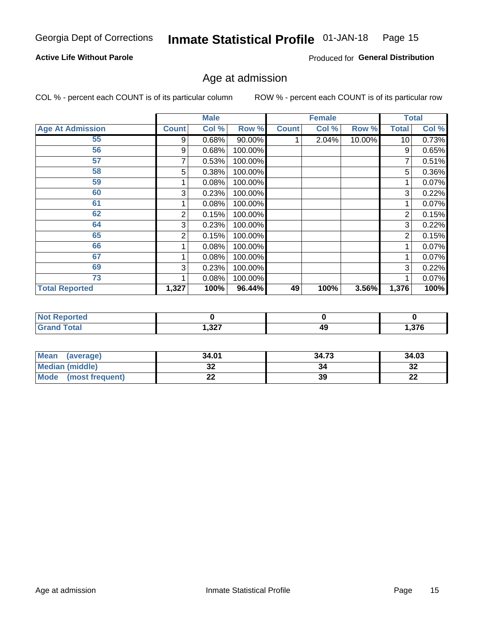#### Inmate Statistical Profile 01-JAN-18 Page 15

## **Active Life Without Parole**

Produced for General Distribution

# Age at admission

COL % - percent each COUNT is of its particular column

|                         |       | <b>Male</b> |         |              | <b>Female</b> |        |                | <b>Total</b> |
|-------------------------|-------|-------------|---------|--------------|---------------|--------|----------------|--------------|
| <b>Age At Admission</b> | Count | Col %       | Row %   | <b>Count</b> | Col %         | Row %  | Total          | Col %        |
| 55                      | 9     | 0.68%       | 90.00%  |              | 2.04%         | 10.00% | 10             | 0.73%        |
| 56                      | 9     | 0.68%       | 100.00% |              |               |        | 9              | 0.65%        |
| 57                      |       | 0.53%       | 100.00% |              |               |        | 7              | 0.51%        |
| 58                      | 5     | 0.38%       | 100.00% |              |               |        | 5              | 0.36%        |
| 59                      |       | 0.08%       | 100.00% |              |               |        |                | 0.07%        |
| 60                      | 3     | 0.23%       | 100.00% |              |               |        | 3              | 0.22%        |
| 61                      |       | 0.08%       | 100.00% |              |               |        |                | 0.07%        |
| 62                      | 2     | 0.15%       | 100.00% |              |               |        | 2              | 0.15%        |
| 64                      | 3     | 0.23%       | 100.00% |              |               |        | 3              | 0.22%        |
| 65                      | 2     | 0.15%       | 100.00% |              |               |        | $\overline{2}$ | 0.15%        |
| 66                      |       | 0.08%       | 100.00% |              |               |        |                | 0.07%        |
| 67                      |       | 0.08%       | 100.00% |              |               |        |                | 0.07%        |
| 69                      | 3     | 0.23%       | 100.00% |              |               |        | 3              | 0.22%        |
| 73                      |       | 0.08%       | 100.00% |              |               |        |                | 0.07%        |
| <b>Total Reported</b>   | 1,327 | 100%        | 96.44%  | 49           | 100%          | 3.56%  | 1,376          | 100%         |

| <b>Not Reported</b> |       |    |               |
|---------------------|-------|----|---------------|
| <b>Total</b>        | 1,327 | 49 | 27c<br>1.JI 0 |

| Mean<br>(average)       | 34.01 | 34.73 | 34.03     |
|-------------------------|-------|-------|-----------|
| Median (middle)         | JZ    | 34    | o c<br>34 |
| Mode<br>(most frequent) | --    | 39    | ng,<br>LL |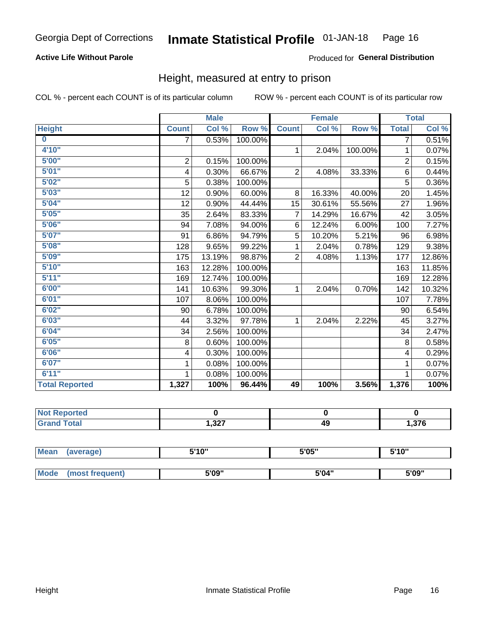## **Active Life Without Parole**

## Produced for General Distribution

# Height, measured at entry to prison

COL % - percent each COUNT is of its particular column

|                       |                | <b>Male</b> |         |                | <b>Female</b> |         |                | <b>Total</b> |
|-----------------------|----------------|-------------|---------|----------------|---------------|---------|----------------|--------------|
| <b>Height</b>         | <b>Count</b>   | Col %       | Row %   | <b>Count</b>   | Col %         | Row %   | <b>Total</b>   | Col %        |
| $\bf{0}$              | $\overline{7}$ | 0.53%       | 100.00% |                |               |         | 7              | 0.51%        |
| 4'10''                |                |             |         | $\mathbf{1}$   | 2.04%         | 100.00% | 1              | 0.07%        |
| 5'00''                | $\mathbf 2$    | 0.15%       | 100.00% |                |               |         | $\overline{2}$ | 0.15%        |
| 5'01"                 | 4              | 0.30%       | 66.67%  | $\overline{2}$ | 4.08%         | 33.33%  | 6              | 0.44%        |
| 5'02"                 | 5              | 0.38%       | 100.00% |                |               |         | 5              | 0.36%        |
| 5'03''                | 12             | 0.90%       | 60.00%  | 8              | 16.33%        | 40.00%  | 20             | 1.45%        |
| 5'04"                 | 12             | 0.90%       | 44.44%  | 15             | 30.61%        | 55.56%  | 27             | 1.96%        |
| 5'05"                 | 35             | 2.64%       | 83.33%  | 7              | 14.29%        | 16.67%  | 42             | 3.05%        |
| 5'06''                | 94             | 7.08%       | 94.00%  | 6              | 12.24%        | 6.00%   | 100            | 7.27%        |
| 5'07''                | 91             | 6.86%       | 94.79%  | 5              | 10.20%        | 5.21%   | 96             | 6.98%        |
| 5'08''                | 128            | 9.65%       | 99.22%  | 1              | 2.04%         | 0.78%   | 129            | 9.38%        |
| 5'09''                | 175            | 13.19%      | 98.87%  | $\overline{2}$ | 4.08%         | 1.13%   | 177            | 12.86%       |
| 5'10''                | 163            | 12.28%      | 100.00% |                |               |         | 163            | 11.85%       |
| 5'11"                 | 169            | 12.74%      | 100.00% |                |               |         | 169            | 12.28%       |
| 6'00''                | 141            | 10.63%      | 99.30%  | 1              | 2.04%         | 0.70%   | 142            | 10.32%       |
| 6'01''                | 107            | 8.06%       | 100.00% |                |               |         | 107            | 7.78%        |
| 6'02"                 | 90             | 6.78%       | 100.00% |                |               |         | 90             | 6.54%        |
| 6'03''                | 44             | 3.32%       | 97.78%  | $\mathbf{1}$   | 2.04%         | 2.22%   | 45             | 3.27%        |
| 6'04"                 | 34             | 2.56%       | 100.00% |                |               |         | 34             | 2.47%        |
| 6'05"                 | 8              | 0.60%       | 100.00% |                |               |         | 8              | 0.58%        |
| 6'06''                | 4              | 0.30%       | 100.00% |                |               |         | 4              | 0.29%        |
| 6'07''                | 1              | 0.08%       | 100.00% |                |               |         | 1              | 0.07%        |
| 6'11''                | 1              | 0.08%       | 100.00% |                |               |         |                | 0.07%        |
| <b>Total Reported</b> | 1,327          | 100%        | 96.44%  | 49             | 100%          | 3.56%   | 1,376          | 100%         |

| <b>Reported</b> |        |    |      |
|-----------------|--------|----|------|
| <b>Total</b>    | 327, ا | 49 | .376 |

| <b>Mean</b> | (average)       | 5'10" | 5'05" | 5'10'' |
|-------------|-----------------|-------|-------|--------|
|             |                 |       |       |        |
| <b>Mode</b> | (most frequent) | 5'09" | 5'04" | 5'09"  |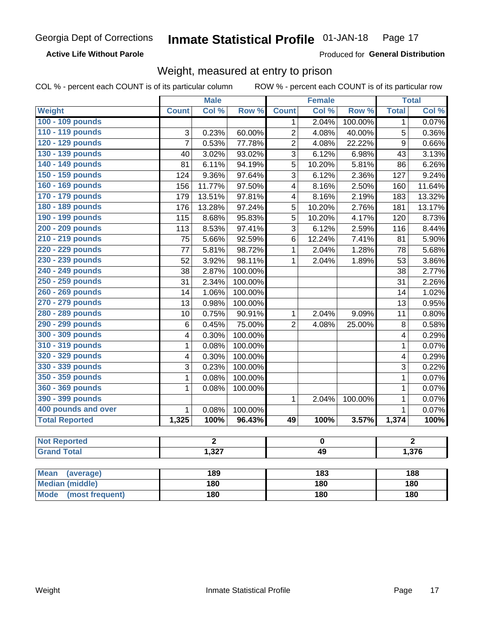## **Active Life Without Parole**

Produced for General Distribution

# Weight, measured at entry to prison

COL % - percent each COUNT is of its particular column

|                                |                | <b>Male</b>    |         |                         | <b>Female</b> |         |                | <b>Total</b> |  |
|--------------------------------|----------------|----------------|---------|-------------------------|---------------|---------|----------------|--------------|--|
| Weight                         | <b>Count</b>   | Col %          | Row %   | <b>Count</b>            | Col %         | Row %   | <b>Total</b>   | Col %        |  |
| 100 - 109 pounds               |                |                |         | 1                       | 2.04%         | 100.00% | 1              | 0.07%        |  |
| 110 - 119 pounds               | 3              | 0.23%          | 60.00%  | $\overline{2}$          | 4.08%         | 40.00%  | $\overline{5}$ | 0.36%        |  |
| 120 - 129 pounds               | $\overline{7}$ | 0.53%          | 77.78%  | $\overline{2}$          | 4.08%         | 22.22%  | $\overline{9}$ | 0.66%        |  |
| 130 - 139 pounds               | 40             | 3.02%          | 93.02%  | 3                       | 6.12%         | 6.98%   | 43             | 3.13%        |  |
| 140 - 149 pounds               | 81             | 6.11%          | 94.19%  | 5                       | 10.20%        | 5.81%   | 86             | 6.26%        |  |
| 150 - 159 pounds               | 124            | 9.36%          | 97.64%  | $\overline{3}$          | 6.12%         | 2.36%   | 127            | 9.24%        |  |
| 160 - 169 pounds               | 156            | 11.77%         | 97.50%  | $\overline{\mathbf{4}}$ | 8.16%         | 2.50%   | 160            | 11.64%       |  |
| 170 - 179 pounds               | 179            | 13.51%         | 97.81%  | $\overline{4}$          | 8.16%         | 2.19%   | 183            | 13.32%       |  |
| 180 - 189 pounds               | 176            | 13.28%         | 97.24%  | 5                       | 10.20%        | 2.76%   | 181            | 13.17%       |  |
| 190 - 199 pounds               | 115            | 8.68%          | 95.83%  | 5                       | 10.20%        | 4.17%   | 120            | 8.73%        |  |
| 200 - 209 pounds               | 113            | 8.53%          | 97.41%  | 3                       | 6.12%         | 2.59%   | 116            | 8.44%        |  |
| 210 - 219 pounds               | 75             | 5.66%          | 92.59%  | 6                       | 12.24%        | 7.41%   | 81             | 5.90%        |  |
| 220 - 229 pounds               | 77             | 5.81%          | 98.72%  | 1                       | 2.04%         | 1.28%   | 78             | 5.68%        |  |
| 230 - 239 pounds               | 52             | 3.92%          | 98.11%  | 1                       | 2.04%         | 1.89%   | 53             | 3.86%        |  |
| 240 - 249 pounds               | 38             | 2.87%          | 100.00% |                         |               |         | 38             | 2.77%        |  |
| 250 - 259 pounds               | 31             | 2.34%          | 100.00% |                         |               |         | 31             | 2.26%        |  |
| 260 - 269 pounds               | 14             | 1.06%          | 100.00% |                         |               |         | 14             | 1.02%        |  |
| 270 - 279 pounds               | 13             | 0.98%          | 100.00% |                         |               |         | 13             | 0.95%        |  |
| 280 - 289 pounds               | 10             | 0.75%          | 90.91%  | $\mathbf{1}$            | 2.04%         | 9.09%   | 11             | 0.80%        |  |
| 290 - 299 pounds               | 6              | 0.45%          | 75.00%  | $\overline{2}$          | 4.08%         | 25.00%  | 8              | 0.58%        |  |
| 300 - 309 pounds               | 4              | 0.30%          | 100.00% |                         |               |         | 4              | 0.29%        |  |
| 310 - 319 pounds               | 1              | 0.08%          | 100.00% |                         |               |         | $\mathbf{1}$   | 0.07%        |  |
| 320 - 329 pounds               | 4              | 0.30%          | 100.00% |                         |               |         | 4              | 0.29%        |  |
| 330 - 339 pounds               | 3              | 0.23%          | 100.00% |                         |               |         | 3              | 0.22%        |  |
| 350 - 359 pounds               | 1              | 0.08%          | 100.00% |                         |               |         | $\mathbf{1}$   | 0.07%        |  |
| 360 - 369 pounds               | 1              | 0.08%          | 100.00% |                         |               |         | $\mathbf{1}$   | 0.07%        |  |
| 390 - 399 pounds               |                |                |         | 1                       | 2.04%         | 100.00% | $\mathbf{1}$   | 0.07%        |  |
| 400 pounds and over            | 1              | 0.08%          | 100.00% |                         |               |         | $\mathbf{1}$   | 0.07%        |  |
| <b>Total Reported</b>          | 1,325          | 100%           | 96.43%  | 49                      | 100%          | 3.57%   | 1,374          | 100%         |  |
|                                |                |                |         |                         |               |         |                |              |  |
| <b>Not Reported</b>            |                | $\overline{2}$ |         |                         | $\pmb{0}$     |         | $\overline{2}$ |              |  |
| <b>Grand Total</b>             |                | 1,327          |         |                         | 49            |         |                | 1,376        |  |
| <b>Mean</b><br>(average)       |                | 189            |         |                         | 183           |         |                | 188          |  |
| <b>Median (middle)</b>         |                | 180            |         |                         | <b>180</b>    |         |                | 180          |  |
| <b>Mode</b><br>(most frequent) |                | 180            |         | <b>180</b>              |               |         | 180            |              |  |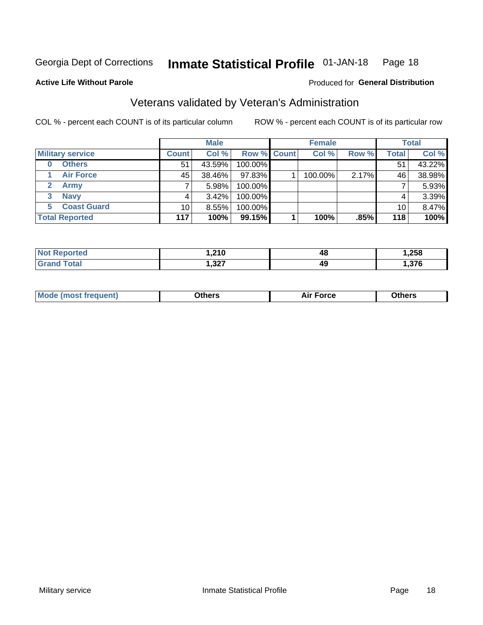#### Inmate Statistical Profile 01-JAN-18 Page 18

#### **Active Life Without Parole**

## **Produced for General Distribution**

# Veterans validated by Veteran's Administration

COL % - percent each COUNT is of its particular column

|                          |                 | <b>Male</b> |             | <b>Female</b> |       |              | <b>Total</b> |
|--------------------------|-----------------|-------------|-------------|---------------|-------|--------------|--------------|
| <b>Military service</b>  | <b>Count</b>    | Col %       | Row % Count | Col %         | Row % | <b>Total</b> | Col %        |
| <b>Others</b><br>0       | 51              | 43.59%      | 100.00%     |               |       | 51           | 43.22%       |
| <b>Air Force</b>         | 45              | 38.46%      | 97.83%      | 100.00%       | 2.17% | 46           | 38.98%       |
| <b>Army</b>              |                 | 5.98%       | 100.00%     |               |       |              | 5.93%        |
| <b>Navy</b><br>3         |                 | $3.42\%$    | 100.00%     |               |       | 4            | 3.39%        |
| <b>Coast Guard</b><br>5. | 10 <sup>1</sup> | 8.55%       | 100.00%     |               |       | 10           | 8.47%        |
| <b>Total Reported</b>    | 117             | 100%        | 99.15%      | 100%          | .85%  | 118          | 100%         |

| тес          | 210<br>U 1 4.  | 48 | $\sim$<br>ەכ∡. |
|--------------|----------------|----|----------------|
| <b>Total</b> | כמפ<br>، 24, ۱ | 49 | 272            |

| <b>Mode</b><br>™orce<br>วthers<br>de (most frequent)<br>วthers |
|----------------------------------------------------------------|
|----------------------------------------------------------------|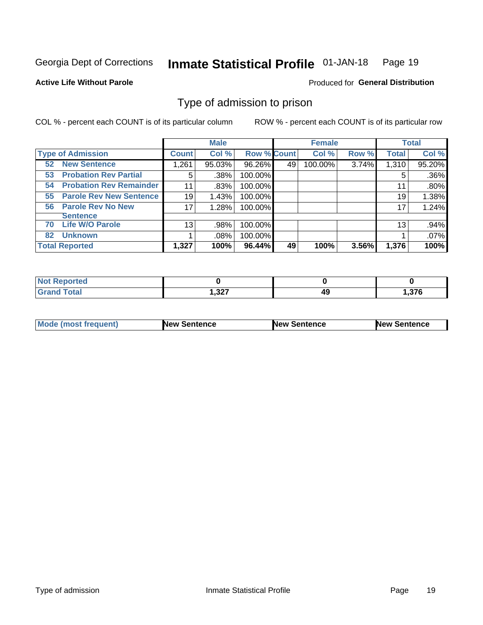#### Inmate Statistical Profile 01-JAN-18 Page 19

**Active Life Without Parole** 

Produced for General Distribution

# Type of admission to prison

COL % - percent each COUNT is of its particular column

|                                      |                 | <b>Male</b> |                    |    | <b>Female</b> |       |              | <b>Total</b> |
|--------------------------------------|-----------------|-------------|--------------------|----|---------------|-------|--------------|--------------|
| <b>Type of Admission</b>             | <b>Count</b>    | Col %       | <b>Row % Count</b> |    | Col %         | Row % | <b>Total</b> | Col %        |
| <b>New Sentence</b><br>52            | 1,261           | 95.03%      | 96.26%             | 49 | 100.00%       | 3.74% | 1,310        | 95.20%       |
| <b>Probation Rev Partial</b><br>53   | 5               | .38%        | 100.00%            |    |               |       | 5            | .36%         |
| <b>Probation Rev Remainder</b><br>54 | 11              | .83%        | 100.00%            |    |               |       | 11           | .80%         |
| <b>Parole Rev New Sentence</b><br>55 | 19              | 1.43%       | 100.00%            |    |               |       | 19           | 1.38%        |
| <b>Parole Rev No New</b><br>56       | 17              | 1.28%       | 100.00%            |    |               |       | 17           | 1.24%        |
| <b>Sentence</b>                      |                 |             |                    |    |               |       |              |              |
| <b>Life W/O Parole</b><br>70         | 13 <sub>1</sub> | .98%        | 100.00%            |    |               |       | 13           | .94%         |
| <b>Unknown</b><br>82                 |                 | $.08\%$     | 100.00%            |    |               |       |              | .07%         |
| <b>Total Reported</b>                | 1,327           | 100%        | 96.44%             | 49 | 100%          | 3.56% | 1,376        | 100%         |

| Reported<br><b>NOT</b> |                |          |       |
|------------------------|----------------|----------|-------|
| <b>Total</b>           | כפי<br>، عد, ו | AС<br>᠇┙ | .376، |

| Mode (most frequent) | <b>New Sentence</b> | <b>New Sentence</b> | <b>New Sentence</b> |
|----------------------|---------------------|---------------------|---------------------|
|                      |                     |                     |                     |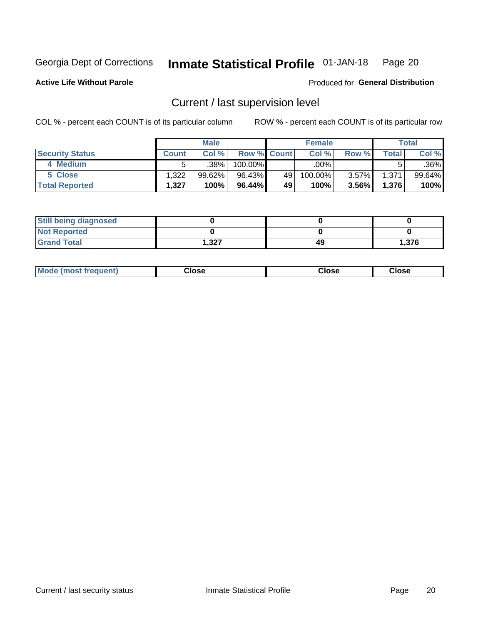#### Inmate Statistical Profile 01-JAN-18 Page 20

**Active Life Without Parole** 

## Produced for General Distribution

# Current / last supervision level

COL % - percent each COUNT is of its particular column

|                        |              | <b>Male</b>       |                    |    | <b>Female</b> |          |       | <b>Total</b> |
|------------------------|--------------|-------------------|--------------------|----|---------------|----------|-------|--------------|
| <b>Security Status</b> | <b>Count</b> | Col%              | <b>Row % Count</b> |    | Col %         | Row %    | Total | Col %        |
| 4 Medium               |              | .38% <sup> </sup> | 100.00%            |    | .00%          |          |       | .36%         |
| 5 Close                | .322         | 99.62%            | 96.43%             | 49 | 100.00%       | $3.57\%$ | 1,371 | 99.64%       |
| <b>Total Reported</b>  | 1,327        | 100%              | 96.44%             | 49 | 100%          | $3.56\%$ | 1,376 | 100%         |

| <b>Still being diagnosed</b> |      |    |       |
|------------------------------|------|----|-------|
| <b>Not Reported</b>          |      |    |       |
| <b>Grand Total</b>           | .327 | 49 | 1.376 |

| <b>AhoM</b><br>rreauent) | <b>Close</b> | Close | Close |
|--------------------------|--------------|-------|-------|
|                          |              |       |       |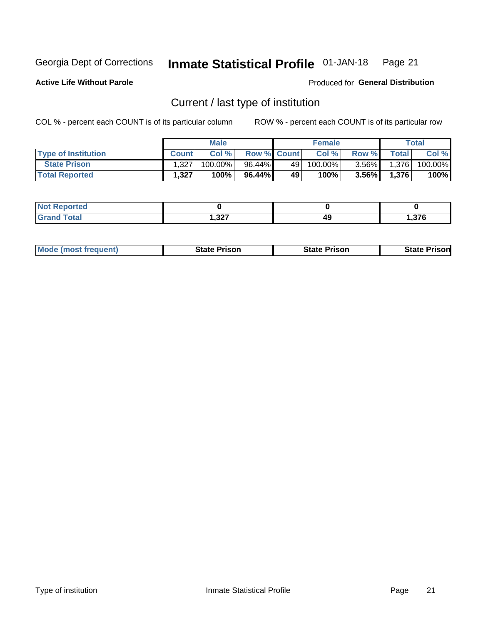#### Inmate Statistical Profile 01-JAN-18 Page 21

**Active Life Without Parole** 

Produced for General Distribution

# Current / last type of institution

COL % - percent each COUNT is of its particular column

|                            |              | <b>Male</b> |                    |    | <b>Female</b> |          |                    | Total   |
|----------------------------|--------------|-------------|--------------------|----|---------------|----------|--------------------|---------|
| <b>Type of Institution</b> | <b>Count</b> | Col %       | <b>Row % Count</b> |    | Col %         | Row %    | Total <sub>1</sub> | Col %   |
| <b>State Prison</b>        | 1.327        | $100.00\%$  | 96.44%             | 49 | $100.00\%$    | $3.56\%$ | 1,376              | 100.00% |
| <b>Total Reported</b>      | 1,327        | 100%        | 96.44%             | 49 | 100%          | $3.56\%$ | 1,376              | 100%    |

| τeα<br>$\sim$ |                |    |      |
|---------------|----------------|----|------|
|               | כמפ<br>، عد, ا | 49 | .376 |

|  | <b>Mode (most frequent)</b> | State Prison | <b>State Prison</b> | <b>State Prison</b> |
|--|-----------------------------|--------------|---------------------|---------------------|
|--|-----------------------------|--------------|---------------------|---------------------|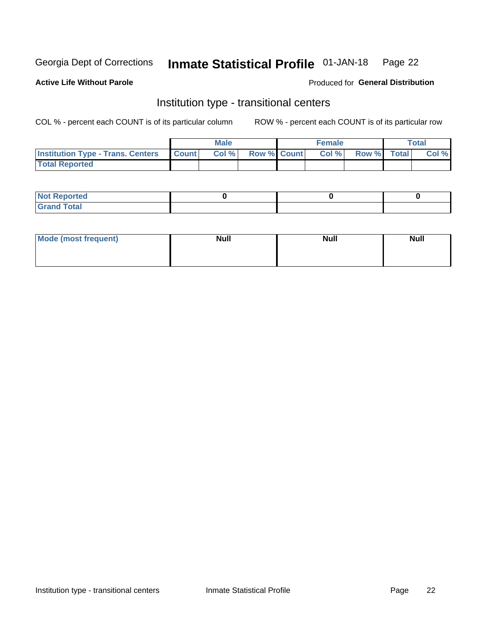#### Inmate Statistical Profile 01-JAN-18 Page 22

#### **Active Life Without Parole**

### Produced for General Distribution

# Institution type - transitional centers

COL % - percent each COUNT is of its particular column

|                                                | Male  |                    | <b>Female</b> |                   | Total |
|------------------------------------------------|-------|--------------------|---------------|-------------------|-------|
| <b>Institution Type - Trans. Centers Count</b> | Col % | <b>Row % Count</b> |               | Col % Row % Total | Col % |
| <b>Total Reported</b>                          |       |                    |               |                   |       |

| <b>Reported</b><br><b>NOT</b><br>$\sim$            |  |  |
|----------------------------------------------------|--|--|
| $f$ $f \circ f \circ f$<br>$C = 1$<br><b>TULAI</b> |  |  |

| Mode (most frequent) | <b>Null</b> | <b>Null</b> | <b>Null</b> |
|----------------------|-------------|-------------|-------------|
|                      |             |             |             |
|                      |             |             |             |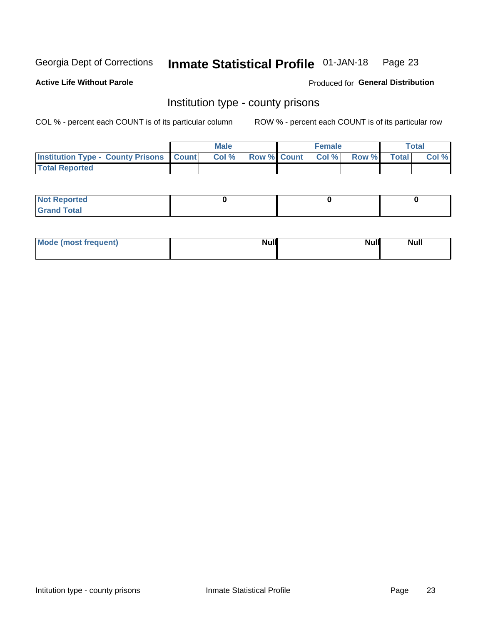#### Inmate Statistical Profile 01-JAN-18 Page 23

**Active Life Without Parole** 

Produced for General Distribution

# Institution type - county prisons

COL % - percent each COUNT is of its particular column

|                                                    | <b>Male</b> |       |                          | <b>Female</b> |  |             | <b>Total</b> |       |  |
|----------------------------------------------------|-------------|-------|--------------------------|---------------|--|-------------|--------------|-------|--|
| <b>Institution Type - County Prisons   Count  </b> |             | Col % | <b>Row % Count Col %</b> |               |  | Row % Total |              | Col % |  |
| <b>Total Reported</b>                              |             |       |                          |               |  |             |              |       |  |

| <b>Not Reported</b>   |  |  |
|-----------------------|--|--|
| <b>Total</b><br>Granc |  |  |

| Mode (most frequent) | <b>Null</b> | <b>Null</b><br><b>Null</b> |
|----------------------|-------------|----------------------------|
|                      |             |                            |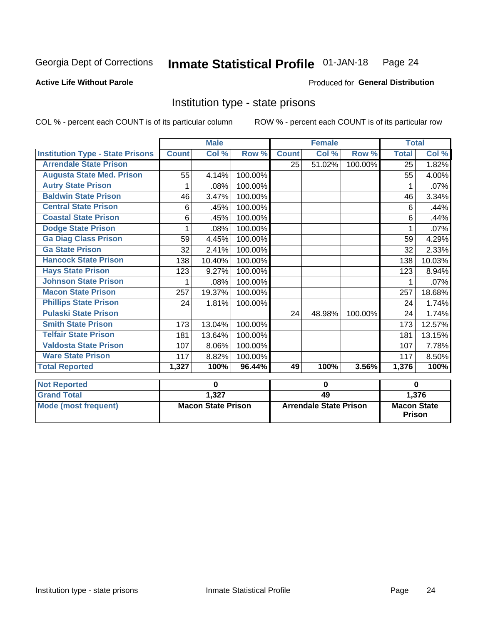#### Inmate Statistical Profile 01-JAN-18 Page 24

## **Active Life Without Parole**

#### Produced for General Distribution

# Institution type - state prisons

COL % - percent each COUNT is of its particular column

|                                         | <b>Male</b>               |        |             |                               | <b>Female</b> |          | <b>Total</b>                        |        |
|-----------------------------------------|---------------------------|--------|-------------|-------------------------------|---------------|----------|-------------------------------------|--------|
| <b>Institution Type - State Prisons</b> | <b>Count</b>              | Col %  | Row %       | <b>Count</b>                  | Col %         | Row %    | <b>Total</b>                        | Col %  |
| <b>Arrendale State Prison</b>           |                           |        |             | 25                            | 51.02%        | 100.00%  | 25                                  | 1.82%  |
| <b>Augusta State Med. Prison</b>        | 55                        | 4.14%  | 100.00%     |                               |               |          | 55                                  | 4.00%  |
| <b>Autry State Prison</b>               | 1                         | .08%   | 100.00%     |                               |               |          | 1                                   | .07%   |
| <b>Baldwin State Prison</b>             | 46                        | 3.47%  | 100.00%     |                               |               |          | 46                                  | 3.34%  |
| <b>Central State Prison</b>             | 6                         | .45%   | 100.00%     |                               |               |          | 6                                   | .44%   |
| <b>Coastal State Prison</b>             | 6                         | .45%   | 100.00%     |                               |               |          | 6                                   | .44%   |
| <b>Dodge State Prison</b>               | 1                         | .08%   | 100.00%     |                               |               |          |                                     | .07%   |
| <b>Ga Diag Class Prison</b>             | 59                        | 4.45%  | 100.00%     |                               |               |          | 59                                  | 4.29%  |
| <b>Ga State Prison</b>                  | 32                        | 2.41%  | 100.00%     |                               |               |          | 32                                  | 2.33%  |
| <b>Hancock State Prison</b>             | 138                       | 10.40% | 100.00%     |                               |               |          | 138                                 | 10.03% |
| <b>Hays State Prison</b>                | 123                       | 9.27%  | 100.00%     |                               |               |          | 123                                 | 8.94%  |
| <b>Johnson State Prison</b>             | 1                         | .08%   | 100.00%     |                               |               |          | 1                                   | .07%   |
| <b>Macon State Prison</b>               | 257                       | 19.37% | 100.00%     |                               |               |          | 257                                 | 18.68% |
| <b>Phillips State Prison</b>            | 24                        | 1.81%  | 100.00%     |                               |               |          | 24                                  | 1.74%  |
| <b>Pulaski State Prison</b>             |                           |        |             | 24                            | 48.98%        | 100.00%  | 24                                  | 1.74%  |
| <b>Smith State Prison</b>               | 173                       | 13.04% | 100.00%     |                               |               |          | 173                                 | 12.57% |
| <b>Telfair State Prison</b>             | 181                       | 13.64% | 100.00%     |                               |               |          | 181                                 | 13.15% |
| <b>Valdosta State Prison</b>            | 107                       | 8.06%  | 100.00%     |                               |               |          | 107                                 | 7.78%  |
| <b>Ware State Prison</b>                | 117                       | 8.82%  | 100.00%     |                               |               |          | 117                                 | 8.50%  |
| <b>Total Reported</b>                   | 1,327                     | 100%   | 96.44%      | 49                            | 100%          | 3.56%    | 1,376                               | 100%   |
| <b>Not Reported</b>                     | 0                         |        | $\mathbf 0$ |                               |               | $\bf{0}$ |                                     |        |
| <b>Grand Total</b>                      |                           | 1,327  |             | 49                            |               |          |                                     | 1,376  |
| <b>Mode (most frequent)</b>             | <b>Macon State Prison</b> |        |             | <b>Arrendale State Prison</b> |               |          | <b>Macon State</b><br><b>Prison</b> |        |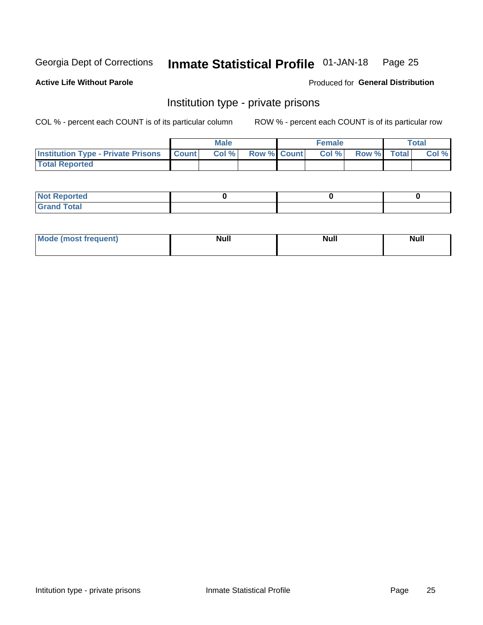#### Inmate Statistical Profile 01-JAN-18 Page 25

**Active Life Without Parole** 

Produced for General Distribution

# Institution type - private prisons

COL % - percent each COUNT is of its particular column

|                                                 | <b>Male</b> |      |                    | <b>Female</b> |       |             | Total |       |
|-------------------------------------------------|-------------|------|--------------------|---------------|-------|-------------|-------|-------|
| <b>Institution Type - Private Prisons Count</b> |             | Col% | <b>Row % Count</b> |               | Col % | Row % Total |       | Col % |
| <b>Total Reported</b>                           |             |      |                    |               |       |             |       |       |

| <b>Not Reported</b>  |  |  |
|----------------------|--|--|
| <b>Total</b><br>C.v. |  |  |

| <b>Mo</b><br>frequent) | <b>Null</b> | <b>Null</b> | . . I *<br><b>IVUII</b> |
|------------------------|-------------|-------------|-------------------------|
|                        |             |             |                         |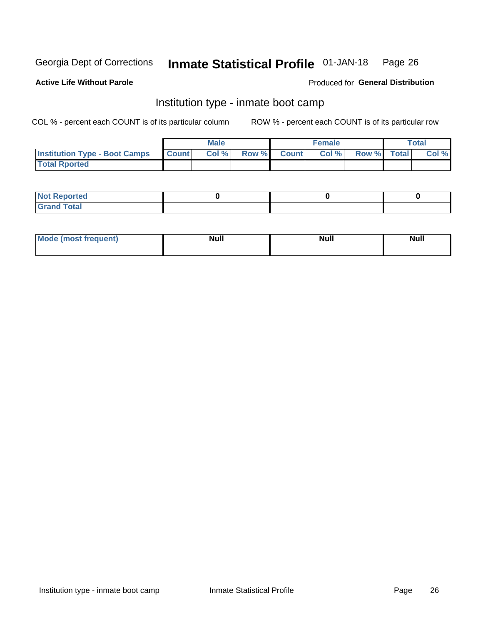#### Inmate Statistical Profile 01-JAN-18 Page 26

## **Active Life Without Parole**

### Produced for General Distribution

# Institution type - inmate boot camp

COL % - percent each COUNT is of its particular column

|                                      | <b>Male</b>  |       |  |             | <b>Female</b> | Total       |  |       |
|--------------------------------------|--------------|-------|--|-------------|---------------|-------------|--|-------|
| <b>Institution Type - Boot Camps</b> | <b>Count</b> | Col % |  | Row % Count | Col%          | Row % Total |  | Col % |
| <b>Total Rported</b>                 |              |       |  |             |               |             |  |       |

| <b>Not Reported</b>                   |  |  |
|---------------------------------------|--|--|
| <b>Total</b><br><b>C HAM</b><br>_____ |  |  |

| Mod<br>uamo | Nul.<br>$- - - - - -$ | <b>Null</b> | . .<br>uu.<br>------ |
|-------------|-----------------------|-------------|----------------------|
|             |                       |             |                      |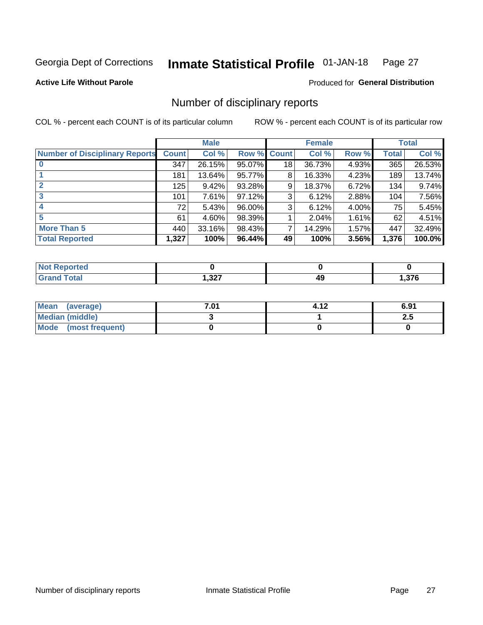#### Inmate Statistical Profile 01-JAN-18 Page 27

**Active Life Without Parole** 

Produced for General Distribution

# Number of disciplinary reports

COL % - percent each COUNT is of its particular column

|                                       | <b>Male</b>  |        |                    | <b>Female</b> |        |       | <b>Total</b> |        |
|---------------------------------------|--------------|--------|--------------------|---------------|--------|-------|--------------|--------|
| <b>Number of Disciplinary Reports</b> | <b>Count</b> | Col %  | <b>Row % Count</b> |               | Col %  | Row % | Total        | Col %  |
|                                       | 347          | 26.15% | 95.07%             | 18            | 36.73% | 4.93% | 365          | 26.53% |
|                                       | 181          | 13.64% | 95.77%             | 8             | 16.33% | 4.23% | 189          | 13.74% |
| $\mathbf{2}$                          | 125          | 9.42%  | 93.28%             | 9             | 18.37% | 6.72% | 134          | 9.74%  |
| 3                                     | 101          | 7.61%  | 97.12%             | 3             | 6.12%  | 2.88% | 104          | 7.56%  |
|                                       | 72           | 5.43%  | 96.00%             | 3             | 6.12%  | 4.00% | 75           | 5.45%  |
| 5                                     | 61           | 4.60%  | 98.39%             |               | 2.04%  | 1.61% | 62           | 4.51%  |
| <b>More Than 5</b>                    | 440          | 33.16% | 98.43%             | 7             | 14.29% | 1.57% | 447          | 32.49% |
| <b>Total Reported</b>                 | 1,327        | 100%   | 96.44%             | 49            | 100%   | 3.56% | 1,376        | 100.0% |

| prted<br>NOT I |      |    |       |
|----------------|------|----|-------|
| <b>Total</b>   | ,327 | 49 | 376,، |

| Mean (average)       | 7.01 | 4.12 | 6.91 |
|----------------------|------|------|------|
| Median (middle)      |      |      | 2.J  |
| Mode (most frequent) |      |      |      |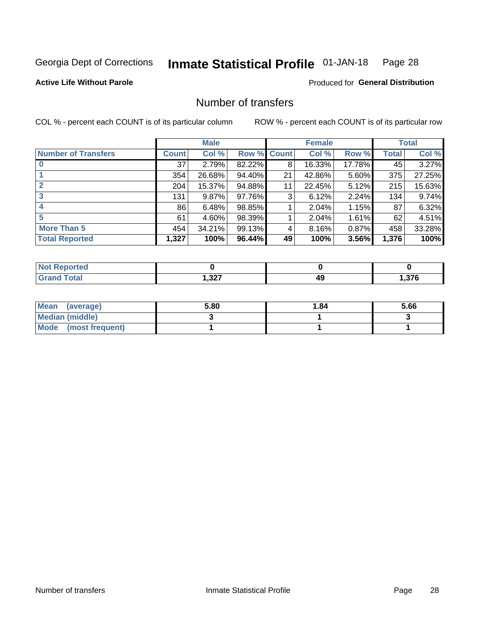#### Inmate Statistical Profile 01-JAN-18 Page 28

## **Active Life Without Parole**

#### Produced for General Distribution

# Number of transfers

COL % - percent each COUNT is of its particular column

|                            |              | <b>Male</b> |             |    | <b>Female</b> |          |       | <b>Total</b> |
|----------------------------|--------------|-------------|-------------|----|---------------|----------|-------|--------------|
| <b>Number of Transfers</b> | <b>Count</b> | Col %       | Row % Count |    | Col %         | Row %    | Total | Col %        |
|                            | 37           | 2.79%       | 82.22%      | 8  | 16.33%        | 17.78%   | 45    | 3.27%        |
|                            | 354          | 26.68%      | 94.40%      | 21 | 42.86%        | 5.60%    | 375   | 27.25%       |
| 2                          | 204          | 15.37%      | 94.88%      | 11 | 22.45%        | 5.12%    | 215   | 15.63%       |
| 3                          | 131          | $9.87\%$    | 97.76%      | 3  | 6.12%         | $2.24\%$ | 134   | 9.74%        |
|                            | 86           | 6.48%       | 98.85%      |    | 2.04%         | 1.15%    | 87    | 6.32%        |
| 5                          | 61           | $4.60\%$    | 98.39%      |    | 2.04%         | $1.61\%$ | 62    | 4.51%        |
| <b>More Than 5</b>         | 454          | 34.21%      | 99.13%      | 4  | 8.16%         | 0.87%    | 458   | 33.28%       |
| <b>Total Reported</b>      | 1,327        | 100%        | 96.44%      | 49 | 100%          | 3.56%    | 1,376 | 100%         |

| NO<br>тео |      |    |      |
|-----------|------|----|------|
| Гоtal     | ,327 | 49 | ,376 |

| Mean (average)       | 5.80 | 1.84 | 5.66 |
|----------------------|------|------|------|
| Median (middle)      |      |      |      |
| Mode (most frequent) |      |      |      |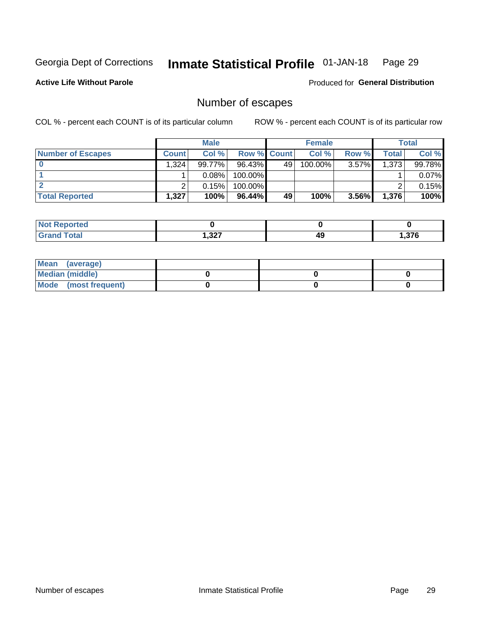#### Inmate Statistical Profile 01-JAN-18 Page 29

#### **Active Life Without Parole**

Produced for General Distribution

# Number of escapes

COL % - percent each COUNT is of its particular column

|                          |              | <b>Male</b> |                    |    | <b>Female</b> |          |       | <b>Total</b> |
|--------------------------|--------------|-------------|--------------------|----|---------------|----------|-------|--------------|
| <b>Number of Escapes</b> | <b>Count</b> | Col%        | <b>Row % Count</b> |    | Col %         | Row %    | Total | Col %        |
|                          | .324         | 99.77%      | $96.43\%$          | 49 | $100.00\%$    | $3.57\%$ | 1,373 | 99.78%       |
|                          |              | 0.08%       | 100.00%            |    |               |          |       | 0.07%        |
|                          |              | 0.15%       | 100.00%            |    |               |          |       | 0.15%        |
| <b>Total Reported</b>    | .327         | 100%        | $96.44\%$          | 49 | 100%          | $3.56\%$ | 1,376 | 100%         |

| <b>Reported</b><br>NOT |       |    |      |
|------------------------|-------|----|------|
| <b>Total</b>           | 1,327 | 49 | .376 |

| Mean (average)       |  |  |
|----------------------|--|--|
| Median (middle)      |  |  |
| Mode (most frequent) |  |  |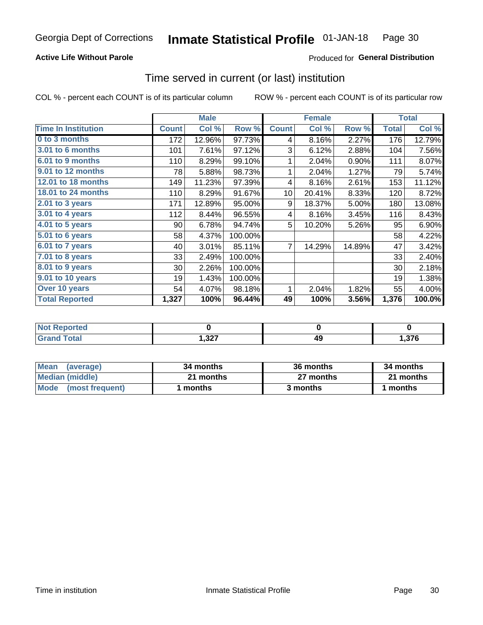## **Active Life Without Parole**

## **Produced for General Distribution**

# Time served in current (or last) institution

COL % - percent each COUNT is of its particular column

|                            |              | <b>Male</b> |         |              | <b>Female</b> |        |              | <b>Total</b> |
|----------------------------|--------------|-------------|---------|--------------|---------------|--------|--------------|--------------|
| <b>Time In Institution</b> | <b>Count</b> | Col %       | Row %   | <b>Count</b> | Col %         | Row %  | <b>Total</b> | Col %        |
| 0 to 3 months              | 172          | 12.96%      | 97.73%  | 4            | 8.16%         | 2.27%  | 176          | 12.79%       |
| <b>3.01 to 6 months</b>    | 101          | 7.61%       | 97.12%  | 3            | 6.12%         | 2.88%  | 104          | 7.56%        |
| 6.01 to 9 months           | 110          | 8.29%       | 99.10%  | 1            | 2.04%         | 0.90%  | 111          | 8.07%        |
| 9.01 to 12 months          | 78           | 5.88%       | 98.73%  | 1            | 2.04%         | 1.27%  | 79           | 5.74%        |
| <b>12.01 to 18 months</b>  | 149          | 11.23%      | 97.39%  | 4            | 8.16%         | 2.61%  | 153          | 11.12%       |
| <b>18.01 to 24 months</b>  | 110          | 8.29%       | 91.67%  | 10           | 20.41%        | 8.33%  | 120          | 8.72%        |
| $2.01$ to 3 years          | 171          | 12.89%      | 95.00%  | 9            | 18.37%        | 5.00%  | 180          | 13.08%       |
| 3.01 to 4 years            | 112          | 8.44%       | 96.55%  | 4            | 8.16%         | 3.45%  | 116          | 8.43%        |
| $4.01$ to 5 years          | 90           | 6.78%       | 94.74%  | 5            | 10.20%        | 5.26%  | 95           | 6.90%        |
| 5.01 to 6 years            | 58           | 4.37%       | 100.00% |              |               |        | 58           | 4.22%        |
| 6.01 to 7 years            | 40           | 3.01%       | 85.11%  | 7            | 14.29%        | 14.89% | 47           | 3.42%        |
| $7.01$ to 8 years          | 33           | 2.49%       | 100.00% |              |               |        | 33           | 2.40%        |
| 8.01 to 9 years            | 30           | 2.26%       | 100.00% |              |               |        | 30           | 2.18%        |
| 9.01 to 10 years           | 19           | 1.43%       | 100.00% |              |               |        | 19           | 1.38%        |
| Over 10 years              | 54           | 4.07%       | 98.18%  | 1            | 2.04%         | 1.82%  | 55           | 4.00%        |
| <b>Total Reported</b>      | 1,327        | 100%        | 96.44%  | 49           | 100%          | 3.56%  | 1,376        | 100.0%       |

| Reported<br><b>NOT</b> |             |           |       |
|------------------------|-------------|-----------|-------|
| <i>i</i> otal          | ר פ<br>اعט, | AС<br>- - | .376. |

| <b>Mean</b><br>(average) | 34 months | 36 months | 34 months |
|--------------------------|-----------|-----------|-----------|
| Median (middle)          | 21 months | 27 months | 21 months |
| Mode (most frequent)     | months    | 3 months  | 1 months  |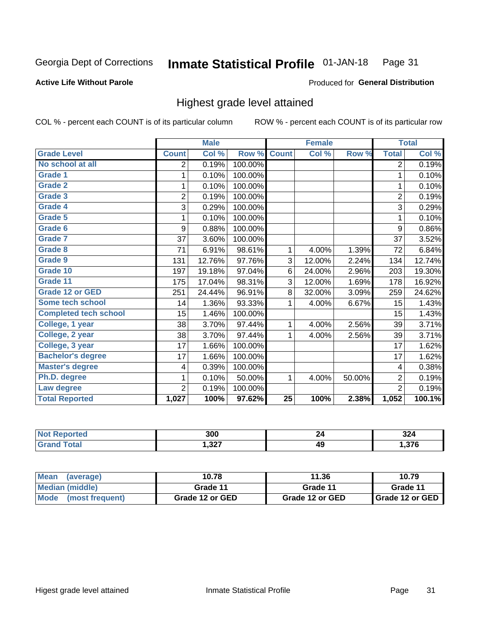#### Inmate Statistical Profile 01-JAN-18 Page 31

**Active Life Without Parole** 

Produced for General Distribution

# Highest grade level attained

COL % - percent each COUNT is of its particular column

|                              |                | <b>Male</b> |         |                 | <b>Female</b> |        |                | <b>Total</b> |
|------------------------------|----------------|-------------|---------|-----------------|---------------|--------|----------------|--------------|
| <b>Grade Level</b>           | <b>Count</b>   | Col %       | Row %   | <b>Count</b>    | Col %         | Row %  | <b>Total</b>   | Col %        |
| No school at all             | 2              | 0.19%       | 100.00% |                 |               |        | $\overline{2}$ | 0.19%        |
| <b>Grade 1</b>               | 1              | 0.10%       | 100.00% |                 |               |        | 1              | 0.10%        |
| <b>Grade 2</b>               | 1              | 0.10%       | 100.00% |                 |               |        | 1              | 0.10%        |
| <b>Grade 3</b>               | $\overline{2}$ | 0.19%       | 100.00% |                 |               |        | $\overline{2}$ | 0.19%        |
| <b>Grade 4</b>               | 3              | 0.29%       | 100.00% |                 |               |        | 3              | 0.29%        |
| <b>Grade 5</b>               | 1              | 0.10%       | 100.00% |                 |               |        | 1              | 0.10%        |
| Grade 6                      | 9              | 0.88%       | 100.00% |                 |               |        | 9              | 0.86%        |
| Grade 7                      | 37             | 3.60%       | 100.00% |                 |               |        | 37             | 3.52%        |
| <b>Grade 8</b>               | 71             | 6.91%       | 98.61%  | 1               | 4.00%         | 1.39%  | 72             | 6.84%        |
| Grade 9                      | 131            | 12.76%      | 97.76%  | 3               | 12.00%        | 2.24%  | 134            | 12.74%       |
| Grade 10                     | 197            | 19.18%      | 97.04%  | 6               | 24.00%        | 2.96%  | 203            | 19.30%       |
| Grade 11                     | 175            | 17.04%      | 98.31%  | 3               | 12.00%        | 1.69%  | 178            | 16.92%       |
| <b>Grade 12 or GED</b>       | 251            | 24.44%      | 96.91%  | 8               | 32.00%        | 3.09%  | 259            | 24.62%       |
| Some tech school             | 14             | 1.36%       | 93.33%  | 1               | 4.00%         | 6.67%  | 15             | 1.43%        |
| <b>Completed tech school</b> | 15             | 1.46%       | 100.00% |                 |               |        | 15             | 1.43%        |
| College, 1 year              | 38             | 3.70%       | 97.44%  | 1               | 4.00%         | 2.56%  | 39             | 3.71%        |
| College, 2 year              | 38             | 3.70%       | 97.44%  | 1               | 4.00%         | 2.56%  | 39             | 3.71%        |
| College, 3 year              | 17             | 1.66%       | 100.00% |                 |               |        | 17             | 1.62%        |
| <b>Bachelor's degree</b>     | 17             | 1.66%       | 100.00% |                 |               |        | 17             | 1.62%        |
| <b>Master's degree</b>       | 4              | 0.39%       | 100.00% |                 |               |        | 4              | 0.38%        |
| Ph.D. degree                 | 1              | 0.10%       | 50.00%  | 1               | 4.00%         | 50.00% | $\overline{c}$ | 0.19%        |
| Law degree                   | $\overline{2}$ | 0.19%       | 100.00% |                 |               |        | $\overline{2}$ | 0.19%        |
| <b>Total Reported</b>        | 1,027          | 100%        | 97.62%  | $\overline{25}$ | 100%          | 2.38%  | 1,052          | 100.1%       |

| rteo | 300   | ., | ^^   |
|------|-------|----|------|
| NO   |       |    | 524  |
| υιαι | 1,327 | 49 | ,376 |

| <b>Mean</b><br>(average) | 10.78           | 11.36           | 10.79             |  |
|--------------------------|-----------------|-----------------|-------------------|--|
| Median (middle)          | Grade 11        | Grade 11        | Grade 11          |  |
| Mode<br>(most frequent)  | Grade 12 or GED | Grade 12 or GED | I Grade 12 or GED |  |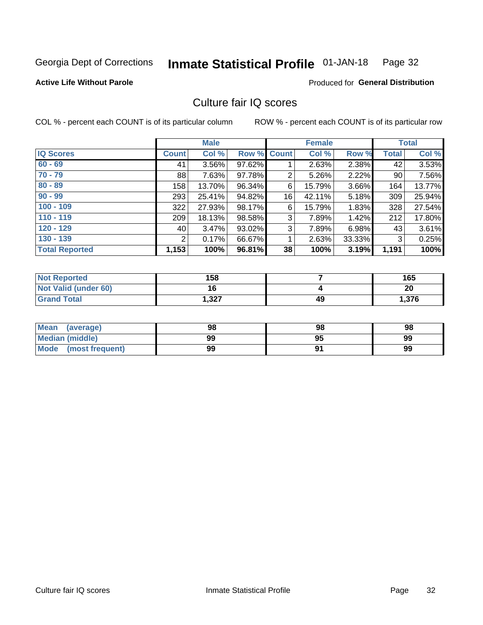#### Inmate Statistical Profile 01-JAN-18 Page 32

#### **Active Life Without Parole**

#### Produced for General Distribution

# Culture fair IQ scores

COL % - percent each COUNT is of its particular column

|                       | <b>Male</b>  |          | <b>Female</b>      |                |        | <b>Total</b> |              |        |
|-----------------------|--------------|----------|--------------------|----------------|--------|--------------|--------------|--------|
| <b>IQ Scores</b>      | <b>Count</b> | Col %    | <b>Row % Count</b> |                | Col %  | Row %        | <b>Total</b> | Col %  |
| $60 - 69$             | 41           | $3.56\%$ | 97.62%             |                | 2.63%  | 2.38%        | 42           | 3.53%  |
| $70 - 79$             | 88           | 7.63%    | 97.78%             | $\overline{2}$ | 5.26%  | 2.22%        | 90           | 7.56%  |
| $80 - 89$             | 158          | 13.70%   | 96.34%             | 6              | 15.79% | 3.66%        | 164          | 13.77% |
| $90 - 99$             | 293          | 25.41%   | 94.82%             | 16             | 42.11% | 5.18%        | 309          | 25.94% |
| $100 - 109$           | 322          | 27.93%   | 98.17%             | 6              | 15.79% | 1.83%        | 328          | 27.54% |
| $110 - 119$           | 209          | 18.13%   | 98.58%             | 3              | 7.89%  | 1.42%        | 212          | 17.80% |
| $120 - 129$           | 40           | 3.47%    | 93.02%             | 3              | 7.89%  | $6.98\%$     | 43           | 3.61%  |
| $130 - 139$           | 2            | 0.17%    | 66.67%             | 1              | 2.63%  | 33.33%       | 3            | 0.25%  |
| <b>Total Reported</b> | 1,153        | 100%     | 96.81%             | 38             | 100%   | 3.19%        | 1,191        | 100%   |

| <b>Not Reported</b>  | 158   |    | 165   |
|----------------------|-------|----|-------|
| Not Valid (under 60) | 16    |    | 20    |
| <b>Grand Total</b>   | 1,327 | 49 | 1,376 |

| Mean<br>(average)    | 98 | 98 | 98 |
|----------------------|----|----|----|
| Median (middle)      | 99 | 95 | 99 |
| Mode (most frequent) | 99 |    | 99 |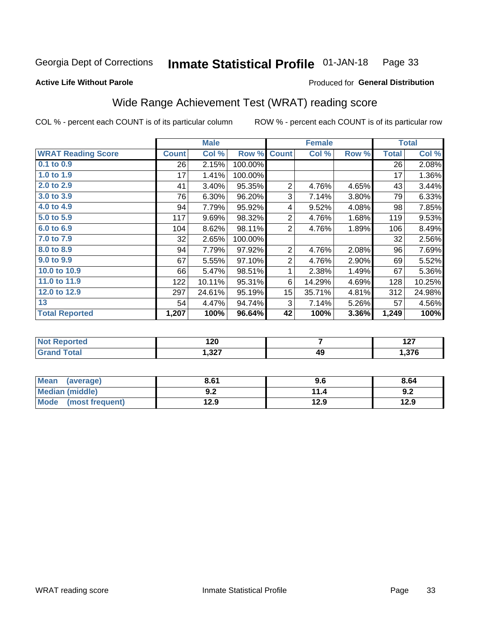#### Inmate Statistical Profile 01-JAN-18 Page 33

#### **Active Life Without Parole**

## Produced for General Distribution

# Wide Range Achievement Test (WRAT) reading score

COL % - percent each COUNT is of its particular column

|                           |              | <b>Male</b> |         |                  | <b>Female</b> |       |              | <b>Total</b> |
|---------------------------|--------------|-------------|---------|------------------|---------------|-------|--------------|--------------|
| <b>WRAT Reading Score</b> | <b>Count</b> | Col %       | Row %   | <b>Count</b>     | Col %         | Row % | <b>Total</b> | Col %        |
| $0.1$ to $0.9$            | 26           | 2.15%       | 100.00% |                  |               |       | 26           | 2.08%        |
| 1.0 to 1.9                | 17           | 1.41%       | 100.00% |                  |               |       | 17           | 1.36%        |
| 2.0 to 2.9                | 41           | 3.40%       | 95.35%  | $\overline{2}$   | 4.76%         | 4.65% | 43           | 3.44%        |
| 3.0 to 3.9                | 76           | 6.30%       | 96.20%  | 3                | 7.14%         | 3.80% | 79           | 6.33%        |
| 4.0 to 4.9                | 94           | 7.79%       | 95.92%  | 4                | 9.52%         | 4.08% | 98           | 7.85%        |
| 5.0 to 5.9                | 117          | 9.69%       | 98.32%  | $\overline{2}$   | 4.76%         | 1.68% | 119          | 9.53%        |
| 6.0 to 6.9                | 104          | 8.62%       | 98.11%  | 2                | 4.76%         | 1.89% | 106          | 8.49%        |
| 7.0 to 7.9                | 32           | 2.65%       | 100.00% |                  |               |       | 32           | 2.56%        |
| 8.0 to 8.9                | 94           | 7.79%       | 97.92%  | 2                | 4.76%         | 2.08% | 96           | 7.69%        |
| 9.0 to 9.9                | 67           | 5.55%       | 97.10%  | $\overline{c}$   | 4.76%         | 2.90% | 69           | 5.52%        |
| 10.0 to 10.9              | 66           | 5.47%       | 98.51%  | 1                | 2.38%         | 1.49% | 67           | 5.36%        |
| 11.0 to 11.9              | 122          | 10.11%      | 95.31%  | 6                | 14.29%        | 4.69% | 128          | 10.25%       |
| 12.0 to 12.9              | 297          | 24.61%      | 95.19%  | 15 <sub>15</sub> | 35.71%        | 4.81% | 312          | 24.98%       |
| 13                        | 54           | 4.47%       | 94.74%  | 3                | 7.14%         | 5.26% | 57           | 4.56%        |
| <b>Total Reported</b>     | 1,207        | 100%        | 96.64%  | 42               | 100%          | 3.36% | 1,249        | 100%         |
|                           |              |             |         |                  |               |       |              |              |
|                           |              |             |         |                  |               |       |              |              |

| <b>Not</b>      | 120   |    | $\lambda$ of |
|-----------------|-------|----|--------------|
| <b>Reported</b> | __    |    | $\sim$       |
| <b>otal</b>     | 1,327 | 49 | .376         |

| Mean<br>(average)      | 8.61       | 9.6  | 8.64 |
|------------------------|------------|------|------|
| <b>Median (middle)</b> | י ה<br>9.Z | 11.4 | 9.2  |
| Mode (most frequent)   | 12.9       | 12.9 | 12.9 |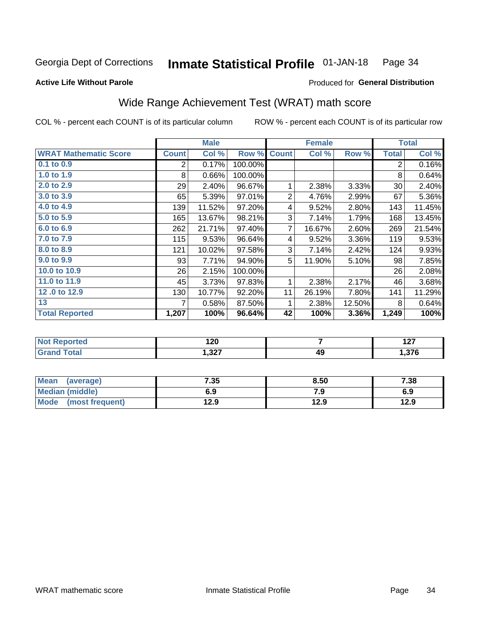#### Inmate Statistical Profile 01-JAN-18 Page 34

#### **Active Life Without Parole**

## Produced for General Distribution

# Wide Range Achievement Test (WRAT) math score

COL % - percent each COUNT is of its particular column

|                              |              | <b>Male</b> |         |                | <b>Female</b> |        |                | <b>Total</b> |
|------------------------------|--------------|-------------|---------|----------------|---------------|--------|----------------|--------------|
| <b>WRAT Mathematic Score</b> | <b>Count</b> | Col %       | Row %   | <b>Count</b>   | Col %         | Row %  | <b>Total</b>   | Col %        |
| 0.1 to 0.9                   | 2            | 0.17%       | 100.00% |                |               |        | $\overline{2}$ | 0.16%        |
| 1.0 to 1.9                   | 8            | 0.66%       | 100.00% |                |               |        | 8              | 0.64%        |
| 2.0 to 2.9                   | 29           | 2.40%       | 96.67%  | 1              | 2.38%         | 3.33%  | 30             | 2.40%        |
| 3.0 to 3.9                   | 65           | 5.39%       | 97.01%  | $\overline{2}$ | 4.76%         | 2.99%  | 67             | 5.36%        |
| 4.0 to 4.9                   | 139          | 11.52%      | 97.20%  | 4              | 9.52%         | 2.80%  | 143            | 11.45%       |
| 5.0 to 5.9                   | 165          | 13.67%      | 98.21%  | 3              | 7.14%         | 1.79%  | 168            | 13.45%       |
| 6.0 to 6.9                   | 262          | 21.71%      | 97.40%  | 7              | 16.67%        | 2.60%  | 269            | 21.54%       |
| 7.0 to 7.9                   | 115          | 9.53%       | 96.64%  | 4              | 9.52%         | 3.36%  | 119            | 9.53%        |
| 8.0 to 8.9                   | 121          | 10.02%      | 97.58%  | 3              | 7.14%         | 2.42%  | 124            | 9.93%        |
| 9.0 to 9.9                   | 93           | 7.71%       | 94.90%  | 5              | 11.90%        | 5.10%  | 98             | 7.85%        |
| 10.0 to 10.9                 | 26           | 2.15%       | 100.00% |                |               |        | 26             | 2.08%        |
| 11.0 to $11.9$               | 45           | 3.73%       | 97.83%  | 1              | 2.38%         | 2.17%  | 46             | 3.68%        |
| 12.0 to 12.9                 | 130          | 10.77%      | 92.20%  | 11             | 26.19%        | 7.80%  | 141            | 11.29%       |
| 13                           | 7            | 0.58%       | 87.50%  | 1              | 2.38%         | 12.50% | 8              | 0.64%        |
| <b>Total Reported</b>        | 1,207        | 100%        | 96.64%  | 42             | 100%          | 3.36%  | 1,249          | 100%         |

| <b>Not Reported</b> | 120   |    | - - -<br>. |
|---------------------|-------|----|------------|
| <b>Total</b>        | 1,327 | 49 | .376،      |

| Mean (average)       | 7.35 | 8.50 | 7.38 |
|----------------------|------|------|------|
| Median (middle)      | 6.9  | 7.9  | 6.9  |
| Mode (most frequent) | 12.9 | 12.9 | 12.9 |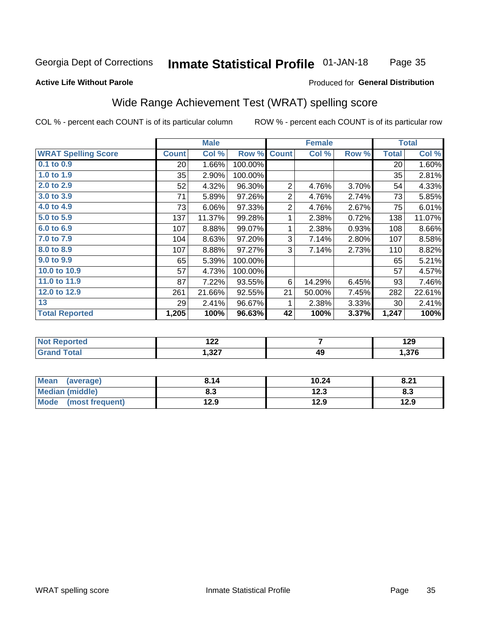#### **Inmate Statistical Profile 01-JAN-18** Page 35

#### **Active Life Without Parole**

#### Produced for General Distribution

# Wide Range Achievement Test (WRAT) spelling score

COL % - percent each COUNT is of its particular column

|                            |                 | <b>Male</b> |         |                | <b>Female</b>  |       |              | <b>Total</b> |
|----------------------------|-----------------|-------------|---------|----------------|----------------|-------|--------------|--------------|
| <b>WRAT Spelling Score</b> | <b>Count</b>    | Col %       | Row %   | <b>Count</b>   | Col %          | Row % | <b>Total</b> | Col %        |
| 0.1 to 0.9                 | 20 <sup>2</sup> | 1.66%       | 100.00% |                |                |       | 20           | 1.60%        |
| 1.0 to 1.9                 | 35              | 2.90%       | 100.00% |                |                |       | 35           | 2.81%        |
| 2.0 to 2.9                 | 52              | 4.32%       | 96.30%  | $\overline{2}$ | 4.76%          | 3.70% | 54           | 4.33%        |
| 3.0 to 3.9                 | 71              | 5.89%       | 97.26%  | $\overline{2}$ | 4.76%          | 2.74% | 73           | 5.85%        |
| 4.0 to 4.9                 | 73              | 6.06%       | 97.33%  | $\overline{2}$ | 4.76%          | 2.67% | 75           | 6.01%        |
| 5.0 to 5.9                 | 137             | 11.37%      | 99.28%  | 1              | 2.38%          | 0.72% | 138          | 11.07%       |
| 6.0 to 6.9                 | 107             | 8.88%       | 99.07%  | 1              | 2.38%          | 0.93% | 108          | 8.66%        |
| 7.0 to 7.9                 | 104             | 8.63%       | 97.20%  | 3              | 7.14%          | 2.80% | 107          | 8.58%        |
| 8.0 to 8.9                 | 107             | 8.88%       | 97.27%  | 3              | 7.14%          | 2.73% | 110          | 8.82%        |
| 9.0 to 9.9                 | 65              | 5.39%       | 100.00% |                |                |       | 65           | 5.21%        |
| 10.0 to 10.9               | 57              | 4.73%       | 100.00% |                |                |       | 57           | 4.57%        |
| 11.0 to 11.9               | 87              | 7.22%       | 93.55%  | 6              | 14.29%         | 6.45% | 93           | 7.46%        |
| 12.0 to 12.9               | 261             | 21.66%      | 92.55%  | 21             | 50.00%         | 7.45% | 282          | 22.61%       |
| 13                         | 29              | 2.41%       | 96.67%  | 1              | 2.38%          | 3.33% | 30           | 2.41%        |
| <b>Total Reported</b>      | 1,205           | 100%        | 96.63%  | 42             | 100%           | 3.37% | 1,247        | 100%         |
|                            |                 |             |         |                |                |       |              |              |
| <b>Not Reported</b>        |                 | 122         |         |                | $\overline{7}$ |       |              | 129          |
| <b>Grand Total</b>         |                 | 1,327       |         |                | 49             |       |              | 1,376        |

| <b>Mean</b><br>(average)       | 8.14 | 10.24       | 9.21<br>O.Z |
|--------------------------------|------|-------------|-------------|
| Median (middle)                | o. J | 122<br>12.J | ი.ა         |
| <b>Mode</b><br>(most frequent) | 12.9 | 12.9        | 12.9        |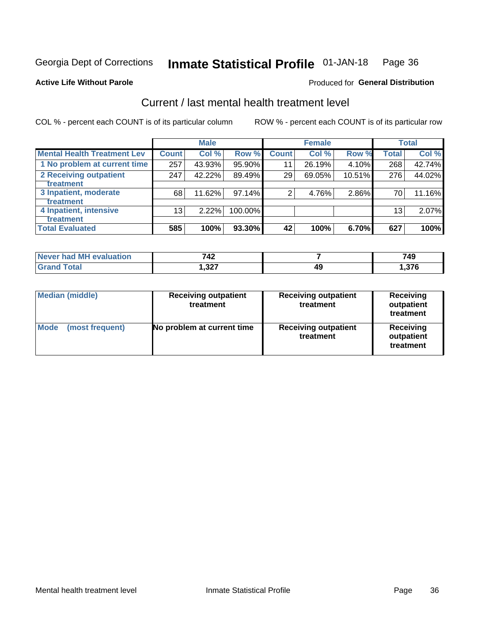#### Inmate Statistical Profile 01-JAN-18 Page 36

#### **Active Life Without Parole**

## **Produced for General Distribution**

# Current / last mental health treatment level

COL % - percent each COUNT is of its particular column

|                                    |                 | <b>Male</b> |         |              | <b>Female</b> |           |                 | <b>Total</b> |
|------------------------------------|-----------------|-------------|---------|--------------|---------------|-----------|-----------------|--------------|
| <b>Mental Health Treatment Lev</b> | <b>Count</b>    | Col %       | Row %   | <b>Count</b> | Col %         | Row %     | <b>Total</b>    | Col %        |
| 1 No problem at current time       | 257             | 43.93%      | 95.90%  | 11           | 26.19%        | 4.10%     | 268             | 42.74%       |
| 2 Receiving outpatient             | 247             | 42.22%      | 89.49%  | 29           | 69.05%        | $10.51\%$ | 276             | 44.02%       |
| <b>Treatment</b>                   |                 |             |         |              |               |           |                 |              |
| 3 Inpatient, moderate              | 68              | 11.62%      | 97.14%  | 2            | 4.76%         | 2.86%     | 70              | 11.16%       |
| <b>Treatment</b>                   |                 |             |         |              |               |           |                 |              |
| 4 Inpatient, intensive             | 13 <sub>1</sub> | 2.22%       | 100.00% |              |               |           | 13 <sub>1</sub> | 2.07%        |
| Treatment                          |                 |             |         |              |               |           |                 |              |
| <b>Total Evaluated</b>             | 585             | 100%        | 93.30%  | 42           | 100%          | 6.70%     | 627             | 100%         |

| Never had MH evaluation | 742   |    | 749  |
|-------------------------|-------|----|------|
| Total                   | 1,327 | 49 | ,376 |

| <b>Median (middle)</b>         | <b>Receiving outpatient</b><br>treatment | <b>Receiving outpatient</b><br>treatment | <b>Receiving</b><br>outpatient<br>treatment |  |
|--------------------------------|------------------------------------------|------------------------------------------|---------------------------------------------|--|
| <b>Mode</b><br>(most frequent) | No problem at current time               | <b>Receiving outpatient</b><br>treatment | <b>Receiving</b><br>outpatient<br>treatment |  |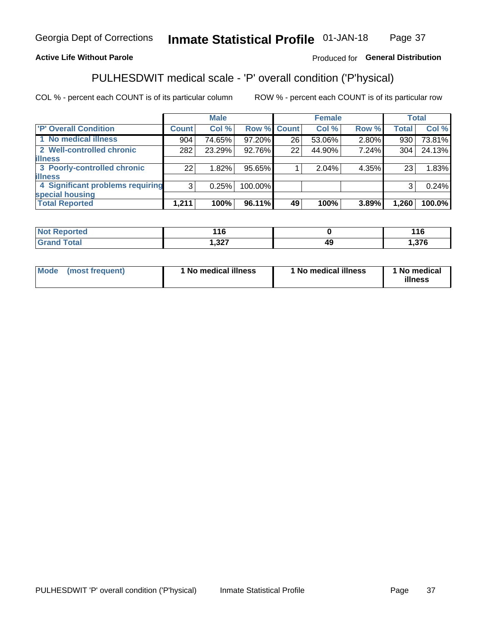#### Inmate Statistical Profile 01-JAN-18 Page 37

## **Active Life Without Parole**

## Produced for General Distribution

# PULHESDWIT medical scale - 'P' overall condition ('P'hysical)

COL % - percent each COUNT is of its particular column

|                                  |                | <b>Male</b> |             |    | <b>Female</b> |       |              | <b>Total</b> |
|----------------------------------|----------------|-------------|-------------|----|---------------|-------|--------------|--------------|
| 'P' Overall Condition            | <b>Count</b>   | Col %       | Row % Count |    | Col %         | Row % | <b>Total</b> | Col %        |
| 1 No medical illness             | 904            | 74.65%      | 97.20%      | 26 | 53.06%        | 2.80% | 930          | 73.81%       |
| 2 Well-controlled chronic        | 282            | 23.29%      | 92.76%      | 22 | 44.90%        | 7.24% | 304          | 24.13%       |
| <b>lillness</b>                  |                |             |             |    |               |       |              |              |
| 3 Poorly-controlled chronic      | 22             | 1.82%       | 95.65%      |    | 2.04%         | 4.35% | 23           | 1.83%        |
| <b>illness</b>                   |                |             |             |    |               |       |              |              |
| 4 Significant problems requiring | 3 <sup>1</sup> | 0.25%       | 100.00%     |    |               |       | 3            | 0.24%        |
| special housing                  |                |             |             |    |               |       |              |              |
| <b>Total Reported</b>            | 1,211          | 100%        | 96.11%      | 49 | 100%          | 3.89% | 1,260        | 100.0%       |

| нэо   | $\overline{\phantom{a}}$<br>ט ו |    | . .    |
|-------|---------------------------------|----|--------|
| _____ | ່າງກ                            | лι | $\sim$ |
|       | ، عں, ا                         | −. | ، ت    |

| <b>Mode</b> | (most frequent) | 1 No medical illness | 1 No medical illness | 1 No medical<br>illness |
|-------------|-----------------|----------------------|----------------------|-------------------------|
|-------------|-----------------|----------------------|----------------------|-------------------------|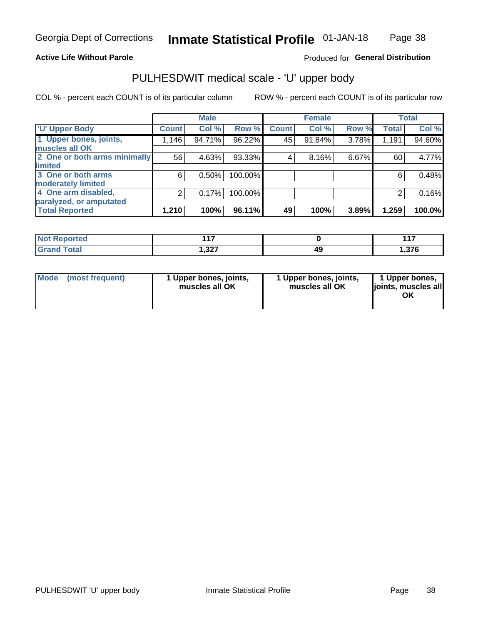## **Active Life Without Parole**

## Produced for General Distribution

# PULHESDWIT medical scale - 'U' upper body

COL % - percent each COUNT is of its particular column

|                              |              | <b>Male</b> |         |              | <b>Female</b> |       |              | <b>Total</b> |
|------------------------------|--------------|-------------|---------|--------------|---------------|-------|--------------|--------------|
| <b>U' Upper Body</b>         | <b>Count</b> | Col %       | Row %   | <b>Count</b> | Col %         | Row % | <b>Total</b> | Col %        |
| 1 Upper bones, joints,       | 1,146        | 94.71%      | 96.22%  | 45           | 91.84%        | 3.78% | 1,191        | 94.60%       |
| muscles all OK               |              |             |         |              |               |       |              |              |
| 2 One or both arms minimally | 56           | 4.63%       | 93.33%  | 4            | 8.16%         | 6.67% | 60           | 4.77%        |
| limited                      |              |             |         |              |               |       |              |              |
| 3 One or both arms           | 6            | 0.50%       | 100.00% |              |               |       | 6            | 0.48%        |
| <b>moderately limited</b>    |              |             |         |              |               |       |              |              |
| 4 One arm disabled,          | 2            | 0.17%       | 100.00% |              |               |       | 2            | 0.16%        |
| paralyzed, or amputated      |              |             |         |              |               |       |              |              |
| <b>Total Reported</b>        | 1,210        | 100%        | 96.11%  | 49           | 100%          | 3.89% | 1,259        | 100.0%       |

| <b>Not Reported</b> | 147   | 447                  |
|---------------------|-------|----------------------|
| <b>Grand Total</b>  | 1,327 | <b>270</b><br>ס וכרי |

| <b>Mode</b> | (most frequent) | l Upper bones, joints,<br>muscles all OK | 1 Upper bones, joints,<br>muscles all OK | 1 Upper bones,<br>ljoints, muscles all |
|-------------|-----------------|------------------------------------------|------------------------------------------|----------------------------------------|
|-------------|-----------------|------------------------------------------|------------------------------------------|----------------------------------------|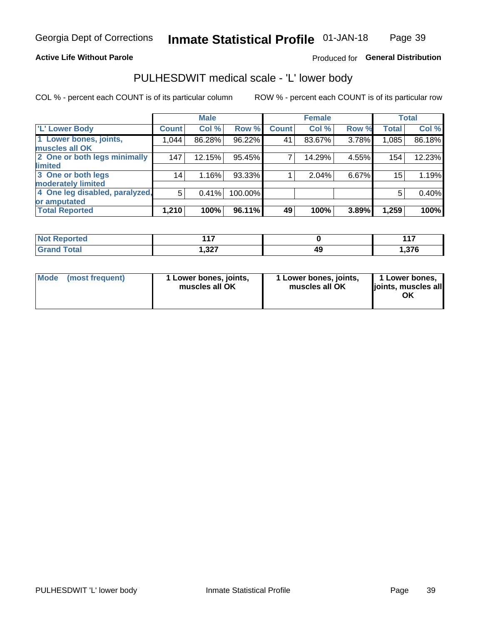## **Active Life Without Parole**

## Produced for General Distribution

# PULHESDWIT medical scale - 'L' lower body

COL % - percent each COUNT is of its particular column

|                                |                 | <b>Male</b> |         |              | <b>Female</b> |       |                 | <b>Total</b> |
|--------------------------------|-----------------|-------------|---------|--------------|---------------|-------|-----------------|--------------|
| 'L' Lower Body                 | <b>Count</b>    | Col %       | Row %   | <b>Count</b> | Col %         | Row % | <b>Total</b>    | Col %        |
| 1 Lower bones, joints,         | 1,044           | 86.28%      | 96.22%  | 41           | 83.67%        | 3.78% | 1,085           | 86.18%       |
| muscles all OK                 |                 |             |         |              |               |       |                 |              |
| 2 One or both legs minimally   | 147             | 12.15%      | 95.45%  | 7            | 14.29%        | 4.55% | 154             | 12.23%       |
| limited                        |                 |             |         |              |               |       |                 |              |
| 3 One or both legs             | 14 <sub>1</sub> | 1.16%       | 93.33%  |              | 2.04%         | 6.67% | 15 <sub>1</sub> | 1.19%        |
| moderately limited             |                 |             |         |              |               |       |                 |              |
| 4 One leg disabled, paralyzed, | 5               | 0.41%       | 100.00% |              |               |       | 5               | 0.40%        |
| or amputated                   |                 |             |         |              |               |       |                 |              |
| <b>Total Reported</b>          | 1,210           | 100%        | 96.11%  | 49           | 100%          | 3.89% | 1,259           | 100%         |

| <b>Not Reported</b> | 147   | 447                  |
|---------------------|-------|----------------------|
| <b>Grand Total</b>  | 1,327 | <b>270</b><br>ס וכרי |

| Mode | (most frequent) | 1 Lower bones, joints,<br>muscles all OK | 1 Lower bones, joints,<br>muscles all OK | 1 Lower bones,<br>ljoints, muscles all<br>ΟK |
|------|-----------------|------------------------------------------|------------------------------------------|----------------------------------------------|
|------|-----------------|------------------------------------------|------------------------------------------|----------------------------------------------|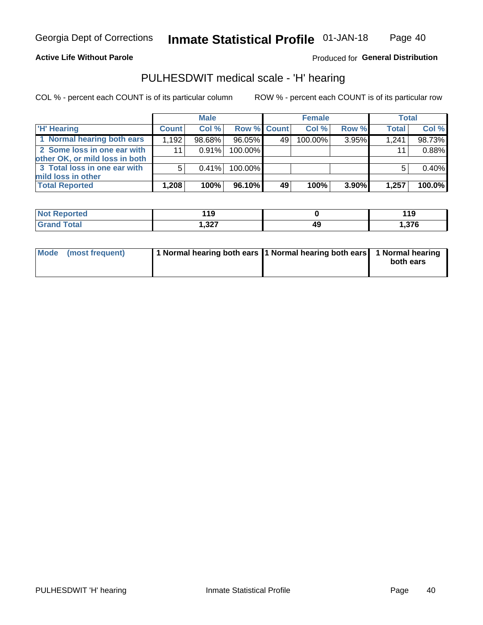**Active Life Without Parole** 

Inmate Statistical Profile 01-JAN-18 Page 40

Produced for General Distribution

# PULHESDWIT medical scale - 'H' hearing

COL % - percent each COUNT is of its particular column

|                                                               |              | <b>Male</b> |                    |    | <b>Female</b> |       | <b>Total</b> |        |
|---------------------------------------------------------------|--------------|-------------|--------------------|----|---------------|-------|--------------|--------|
| <b>H'</b> Hearing                                             | <b>Count</b> | Col %       | <b>Row % Count</b> |    | Col%          | Row % | <b>Total</b> | Col %  |
| 1 Normal hearing both ears                                    | 1,192        | 98.68%      | 96.05%             | 49 | $100.00\%$    | 3.95% | 1,241        | 98.73% |
| 2 Some loss in one ear with<br>other OK, or mild loss in both | 11           | 0.91%       | 100.00%            |    |               |       | 11           | 0.88%  |
| 3 Total loss in one ear with<br>mild loss in other            | 5            | $0.41\%$    | 100.00%            |    |               |       |              | 0.40%  |
| <b>Total Reported</b>                                         | 1,208        | 100%        | 96.10%             | 49 | 100%          | 3.90% | 1,257        | 100.0% |

| Reported     | 19             |    | 1 4 C       |
|--------------|----------------|----|-------------|
| <b>Not</b>   | $\sim$         |    | <u> 1 J</u> |
| <b>Total</b> | ר פ<br>، ∡د. ا | 49 | .376،       |

| Mode (most frequent) | 1 Normal hearing both ears 11 Normal hearing both ears 1 Normal hearing | both ears |
|----------------------|-------------------------------------------------------------------------|-----------|
|                      |                                                                         |           |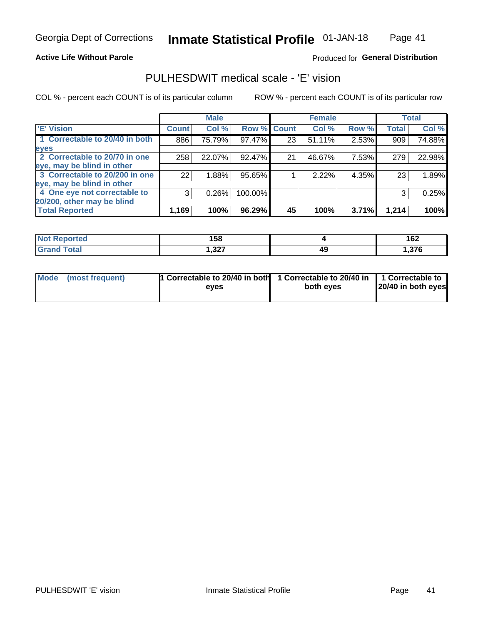#### **Active Life Without Parole**

## **Produced for General Distribution**

# PULHESDWIT medical scale - 'E' vision

COL % - percent each COUNT is of its particular column

|                                |                 | <b>Male</b> |         |                 | <b>Female</b> |       |              | <b>Total</b> |
|--------------------------------|-----------------|-------------|---------|-----------------|---------------|-------|--------------|--------------|
| <b>E' Vision</b>               | <b>Count</b>    | Col %       | Row %   | <b>Count</b>    | Col %         | Row % | <b>Total</b> | Col %        |
| 1 Correctable to 20/40 in both | 886             | 75.79%      | 97.47%  | 23 <sub>1</sub> | 51.11%        | 2.53% | 909          | 74.88%       |
| eyes                           |                 |             |         |                 |               |       |              |              |
| 2 Correctable to 20/70 in one  | 258             | 22.07%      | 92.47%  | 21              | 46.67%        | 7.53% | 279          | 22.98%       |
| eye, may be blind in other     |                 |             |         |                 |               |       |              |              |
| 3 Correctable to 20/200 in one | 22 <sub>1</sub> | 1.88%       | 95.65%  |                 | 2.22%         | 4.35% | 23           | 1.89%        |
| eye, may be blind in other     |                 |             |         |                 |               |       |              |              |
| 4 One eye not correctable to   | 3               | 0.26%       | 100.00% |                 |               |       | 3            | 0.25%        |
| 20/200, other may be blind     |                 |             |         |                 |               |       |              |              |
| <b>Total Reported</b>          | 1,169           | 100%        | 96.29%  | 45              | 100%          | 3.71% | 1,214        | 100%         |

| <b>Not Reported</b> | 158            |    | 100<br>I VZ |
|---------------------|----------------|----|-------------|
| Total               | າາກ<br>، عد, ا | 49 | 27          |

| Mode (most frequent) | 1 Correctable to 20/40 in both<br>eves | 1 Correctable to 20/40 in   1 Correctable to<br>both eves | 20/40 in both eyes |
|----------------------|----------------------------------------|-----------------------------------------------------------|--------------------|
|                      |                                        |                                                           |                    |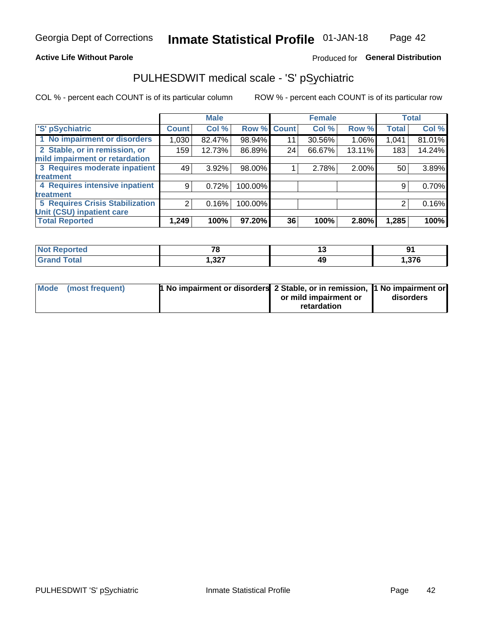## **Active Life Without Parole**

## Produced for General Distribution

# PULHESDWIT medical scale - 'S' pSychiatric

COL % - percent each COUNT is of its particular column

|                                        |              | <b>Male</b> |         |             | <b>Female</b> |        |              | <b>Total</b> |
|----------------------------------------|--------------|-------------|---------|-------------|---------------|--------|--------------|--------------|
| 'S' pSychiatric                        | <b>Count</b> | Col %       |         | Row % Count | Col %         | Row %  | <b>Total</b> | Col %        |
| 1 No impairment or disorders           | 1,030        | 82.47%      | 98.94%  | 11          | 30.56%        | 1.06%  | 1,041        | 81.01%       |
| 2 Stable, or in remission, or          | 159          | 12.73%      | 86.89%  | 24          | 66.67%        | 13.11% | 183          | 14.24%       |
| mild impairment or retardation         |              |             |         |             |               |        |              |              |
| 3 Requires moderate inpatient          | 49           | $3.92\%$    | 98.00%  |             | 2.78%         | 2.00%  | 50           | 3.89%        |
| treatment                              |              |             |         |             |               |        |              |              |
| 4 Requires intensive inpatient         | 9            | 0.72%       | 100.00% |             |               |        | 9            | 0.70%        |
| treatment                              |              |             |         |             |               |        |              |              |
| <b>5 Requires Crisis Stabilization</b> |              | 0.16%       | 100.00% |             |               |        | 2            | 0.16%        |
| Unit (CSU) inpatient care              |              |             |         |             |               |        |              |              |
| <b>Total Reported</b>                  | 1,249        | 100%        | 97.20%  | 36          | 100%          | 2.80%  | 1,285        | 100%         |

| <b>Not Reported</b>  | 70<br>$\sim$ | $\sim$ | n,   |
|----------------------|--------------|--------|------|
| <b>Total</b><br>Cror | 1,327        |        | ,376 |

| Mode (most frequent) | <b>1 No impairment or disorders</b> 2 Stable, or in remission, 11 No impairment or |                       |           |
|----------------------|------------------------------------------------------------------------------------|-----------------------|-----------|
|                      |                                                                                    | or mild impairment or | disorders |
|                      |                                                                                    | retardation           |           |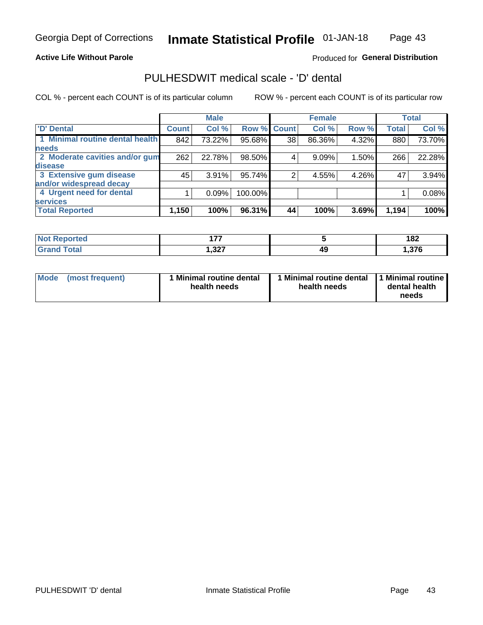#### **Active Life Without Parole**

## Produced for General Distribution

# PULHESDWIT medical scale - 'D' dental

COL % - percent each COUNT is of its particular column

|                                 |              | <b>Male</b> |         |              | <b>Female</b> |       |              | <b>Total</b> |
|---------------------------------|--------------|-------------|---------|--------------|---------------|-------|--------------|--------------|
| <b>D'</b> Dental                | <b>Count</b> | Col %       | Row %   | <b>Count</b> | Col %         | Row % | <b>Total</b> | Col %        |
| 1 Minimal routine dental health | 842          | 73.22%      | 95.68%  | 38           | 86.36%        | 4.32% | 880          | 73.70%       |
| <b>needs</b>                    |              |             |         |              |               |       |              |              |
| 2 Moderate cavities and/or gum  | 262          | 22.78%      | 98.50%  | 4            | 9.09%         | 1.50% | 266          | 22.28%       |
| disease                         |              |             |         |              |               |       |              |              |
| 3 Extensive gum disease         | 45           | 3.91%       | 95.74%  |              | 4.55%         | 4.26% | 47           | 3.94%        |
| and/or widespread decay         |              |             |         |              |               |       |              |              |
| 4 Urgent need for dental        |              | 0.09%       | 100.00% |              |               |       |              | 0.08%        |
| <b>services</b>                 |              |             |         |              |               |       |              |              |
| <b>Total Reported</b>           | 1,150        | 100%        | 96.31%  | 44           | 100%          | 3.69% | 1,194        | 100%         |

| <b>Not Reported</b><br>$\sim$ | ィラフ            |    | 182    |
|-------------------------------|----------------|----|--------|
| Total                         | っっっ<br>، 26, ا | 49 | 376, ا |

| <b>Mode</b> | (most frequent) | <b>Minimal routine dental</b><br>health needs | 1 Minimal routine dental<br>health needs | <b>11 Minimal routine I</b><br>dental health<br>needs |
|-------------|-----------------|-----------------------------------------------|------------------------------------------|-------------------------------------------------------|
|-------------|-----------------|-----------------------------------------------|------------------------------------------|-------------------------------------------------------|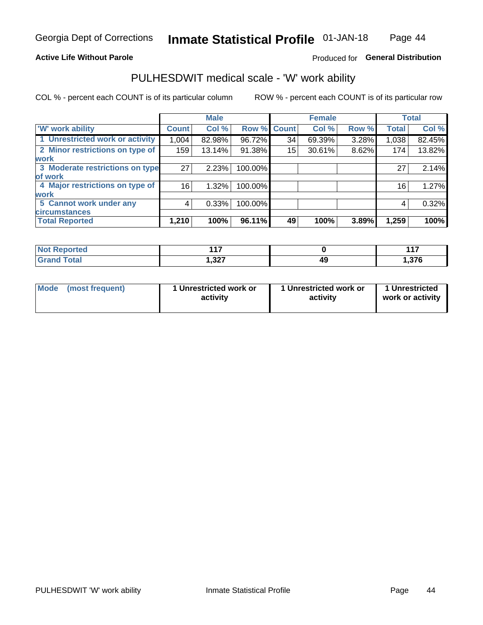## **Active Life Without Parole**

## Produced for General Distribution

# PULHESDWIT medical scale - 'W' work ability

COL % - percent each COUNT is of its particular column

|                                 |                    | <b>Male</b> |         |             | <b>Female</b> |       |              | <b>Total</b> |
|---------------------------------|--------------------|-------------|---------|-------------|---------------|-------|--------------|--------------|
| <b>W' work ability</b>          | Count <sup>'</sup> | Col %       |         | Row % Count | Col %         | Row % | <b>Total</b> | Col %        |
| 1 Unrestricted work or activity | 1,004              | 82.98%      | 96.72%  | 34          | 69.39%        | 3.28% | 1,038        | 82.45%       |
| 2 Minor restrictions on type of | 159                | 13.14%      | 91.38%  | 15          | 30.61%        | 8.62% | 174          | 13.82%       |
| <b>work</b>                     |                    |             |         |             |               |       |              |              |
| 3 Moderate restrictions on type | 27                 | 2.23%       | 100.00% |             |               |       | 27           | 2.14%        |
| lof work                        |                    |             |         |             |               |       |              |              |
| 4 Major restrictions on type of | 16                 | 1.32%       | 100.00% |             |               |       | 16           | 1.27%        |
| <b>work</b>                     |                    |             |         |             |               |       |              |              |
| 5 Cannot work under any         | 4                  | 0.33%       | 100.00% |             |               |       | 4            | 0.32%        |
| <b>circumstances</b>            |                    |             |         |             |               |       |              |              |
| <b>Total Reported</b>           | 1,210              | 100%        | 96.11%  | 49          | 100%          | 3.89% | 1,259        | 100%         |

| <b>Not Reported</b>            | 447            |    | $44 -$         |
|--------------------------------|----------------|----|----------------|
| <b>Total</b><br>Cron/<br>Grand | דרי<br>، عد. ا | 49 | 27G<br>1.J I V |

| Mode            | 1 Unrestricted work or | 1 Unrestricted work or | 1 Unrestricted   |
|-----------------|------------------------|------------------------|------------------|
| (most frequent) | activity               | activity               | work or activity |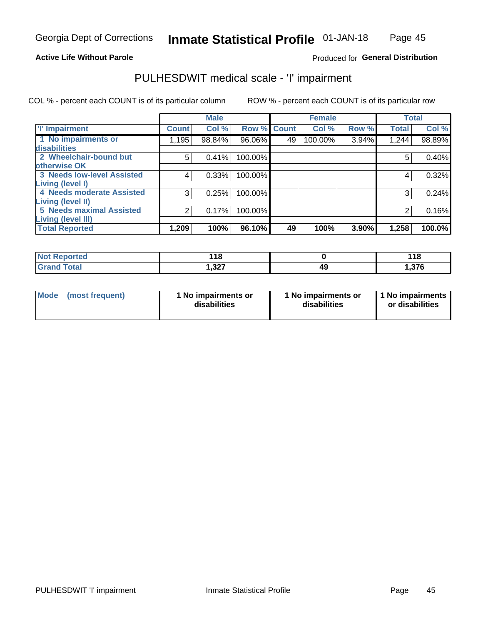### **Active Life Without Parole**

## **Produced for General Distribution**

# PULHESDWIT medical scale - 'I' impairment

COL % - percent each COUNT is of its particular column ROW % - percent each COUNT is of its particular row

|                                   |              | <b>Male</b> |             |    | <b>Female</b> |       |              | <b>Total</b> |
|-----------------------------------|--------------|-------------|-------------|----|---------------|-------|--------------|--------------|
| <b>T' Impairment</b>              | <b>Count</b> | Col %       | Row % Count |    | Col %         | Row % | <b>Total</b> | Col %        |
| 1 No impairments or               | 1,195        | 98.84%      | 96.06%      | 49 | 100.00%       | 3.94% | 1,244        | 98.89%       |
| <b>disabilities</b>               |              |             |             |    |               |       |              |              |
| 2 Wheelchair-bound but            | 5            | 0.41%       | 100.00%     |    |               |       | 5            | 0.40%        |
| otherwise OK                      |              |             |             |    |               |       |              |              |
| <b>3 Needs low-level Assisted</b> | 4            | 0.33%       | 100.00%     |    |               |       | 4            | 0.32%        |
| Living (level I)                  |              |             |             |    |               |       |              |              |
| 4 Needs moderate Assisted         | 3            | 0.25%       | 100.00%     |    |               |       |              | 0.24%        |
| Living (level II)                 |              |             |             |    |               |       |              |              |
| <b>5 Needs maximal Assisted</b>   | 2            | 0.17%       | 100.00%     |    |               |       | 2            | 0.16%        |
| Living (level III)                |              |             |             |    |               |       |              |              |
| <b>Total Reported</b>             | 1,209        | 100%        | 96.10%      | 49 | 100%          | 3.90% | 1,258        | 100.0%       |

| eported     | 440<br>. .<br>$\sim$ |    | 440<br><u> 10</u> |
|-------------|----------------------|----|-------------------|
| <b>otal</b> | ,327                 | ıз | 376,              |

| <b>Mode</b> | (most frequent) | 1 No impairments or<br>disabilities | 1 No impairments or<br>disabilities | 1 No impairments<br>or disabilities |
|-------------|-----------------|-------------------------------------|-------------------------------------|-------------------------------------|
|-------------|-----------------|-------------------------------------|-------------------------------------|-------------------------------------|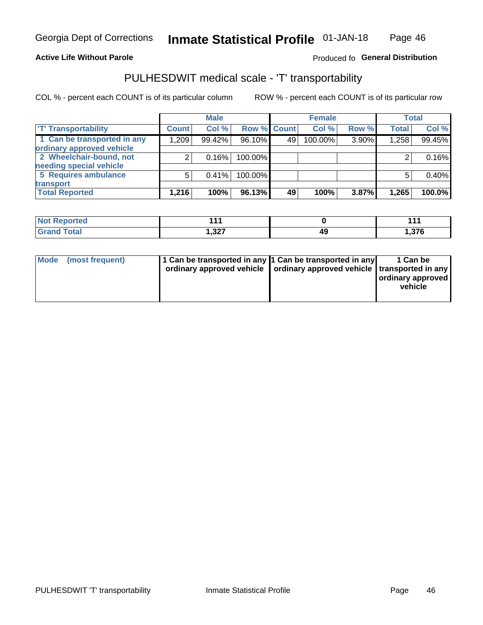#### **Active Life Without Parole**

## Produced fo General Distribution

# PULHESDWIT medical scale - 'T' transportability

COL % - percent each COUNT is of its particular column

|                             |              | <b>Male</b> |             |    | <b>Female</b> |       |              | <b>Total</b> |
|-----------------------------|--------------|-------------|-------------|----|---------------|-------|--------------|--------------|
| <b>TT Transportability</b>  | <b>Count</b> | Col %       | Row % Count |    | Col %         | Row % | <b>Total</b> | Col %        |
| 1 Can be transported in any | 1,209        | 99.42%      | 96.10%      | 49 | 100.00%       | 3.90% | 1,258        | 99.45%       |
| ordinary approved vehicle   |              |             |             |    |               |       |              |              |
| 2 Wheelchair-bound, not     |              | 0.16%       | 100.00%     |    |               |       |              | 0.16%        |
| needing special vehicle     |              |             |             |    |               |       |              |              |
| 5 Requires ambulance        | 5            | 0.41%       | 100.00%     |    |               |       |              | 0.40%        |
| transport                   |              |             |             |    |               |       |              |              |
| <b>Total Reported</b>       | 1,216        | 100%        | 96.13%      | 49 | 100%          | 3.87% | 1,265        | 100.0%       |

| eported | .<br><b>AAA</b> |    | 44     |
|---------|-----------------|----|--------|
|         | דמם ו           | 4C | 27c    |
|         | ، عد, ا         | т. | 1.JI V |

| Mode (most frequent) | 1 Can be transported in any 1 Can be transported in any | ordinary approved vehicle   ordinary approved vehicle   transported in any | 1 Can be<br>ordinary approved<br>vehicle |
|----------------------|---------------------------------------------------------|----------------------------------------------------------------------------|------------------------------------------|
|                      |                                                         |                                                                            |                                          |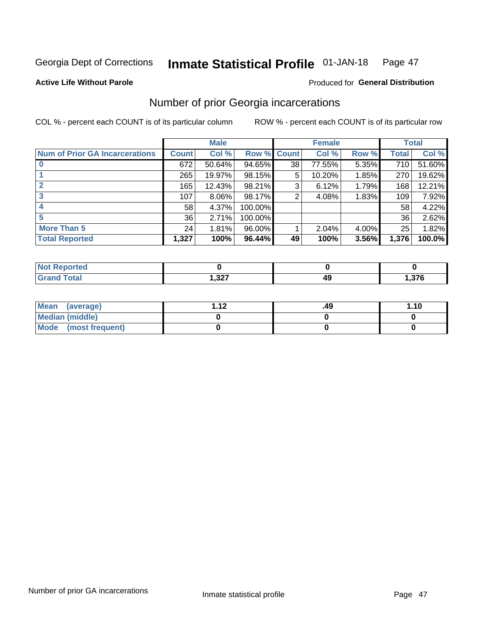#### Inmate Statistical Profile 01-JAN-18 Page 47

**Active Life Without Parole** 

## **Produced for General Distribution**

# Number of prior Georgia incarcerations

COL % - percent each COUNT is of its particular column

|                                       |              | <b>Male</b> |                    |    | <b>Female</b> |       |       | <b>Total</b> |
|---------------------------------------|--------------|-------------|--------------------|----|---------------|-------|-------|--------------|
| <b>Num of Prior GA Incarcerations</b> | <b>Count</b> | Col %       | <b>Row % Count</b> |    | Col %         | Row % | Total | Col %        |
|                                       | 672          | 50.64%      | 94.65%             | 38 | 77.55%        | 5.35% | 710   | 51.60%       |
|                                       | 265          | 19.97%      | 98.15%             | 5  | 10.20%        | 1.85% | 270   | 19.62%       |
|                                       | 165          | 12.43%      | 98.21%             | 3  | 6.12%         | 1.79% | 168   | 12.21%       |
| 3                                     | 107          | $8.06\%$    | 98.17%             | 2  | 4.08%         | 1.83% | 109   | 7.92%        |
| 4                                     | 58           | 4.37%       | 100.00%            |    |               |       | 58    | 4.22%        |
| 5                                     | 36           | 2.71%       | 100.00%            |    |               |       | 36    | 2.62%        |
| <b>More Than 5</b>                    | 24           | 1.81%       | 96.00%             |    | 2.04%         | 4.00% | 25    | 1.82%        |
| <b>Total Reported</b>                 | 1,327        | 100%        | 96.44%             | 49 | 100%          | 3.56% | 1,376 | 100.0%       |

| orted            |         |        |
|------------------|---------|--------|
| <b>otal</b>      | כמה     | $\sim$ |
| $\mathbf{v}$ and | ، عد, ו | .      |

| Mean (average)       | 1 1 J | .49 | 1.10 |
|----------------------|-------|-----|------|
| Median (middle)      |       |     |      |
| Mode (most frequent) |       |     |      |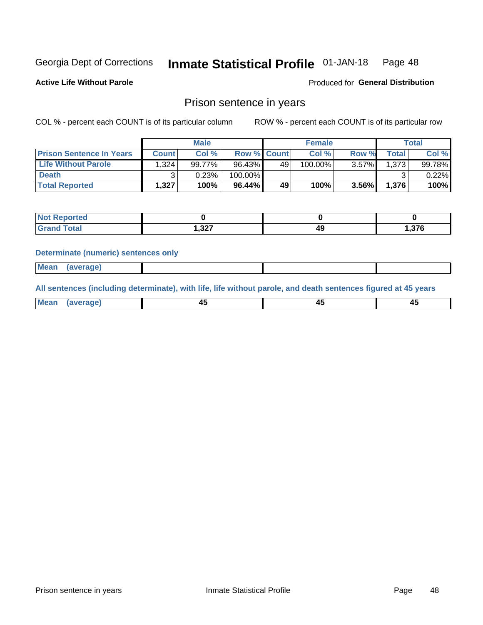#### Inmate Statistical Profile 01-JAN-18 Page 48

**Active Life Without Parole** 

Produced for General Distribution

## Prison sentence in years

COL % - percent each COUNT is of its particular column

ROW % - percent each COUNT is of its particular row

|                                 | <b>Male</b>  |        |         |                    | <b>Female</b> | Total |              |          |
|---------------------------------|--------------|--------|---------|--------------------|---------------|-------|--------------|----------|
| <b>Prison Sentence In Years</b> | <b>Count</b> | Col %  |         | <b>Row % Count</b> | Col %         | Row % | <b>Total</b> | Col %    |
| <b>Life Without Parole</b>      | .324         | 99.77% | 96.43%  | 49                 | 100.00%       | 3.57% | 1.373        | 99.78%   |
| <b>Death</b>                    |              | 0.23%  | 100.00% |                    |               |       |              | $0.22\%$ |
| <b>Total Reported</b>           | 1.327        | 100%   | 96.44%  | 49                 | 100%          | 3.56% | 1.376        | 100%     |

| ported      |       |          |       |
|-------------|-------|----------|-------|
| <b>otal</b> | 1,327 | лv<br>-- | 1,376 |

#### **Determinate (numeric) sentences only**

| ' Mea<br><b>Service</b> A<br>ЯМА. |  |  |  |
|-----------------------------------|--|--|--|
|                                   |  |  |  |

All sentences (including determinate), with life, life without parole, and death sentences figured at 45 years

| l Mea<br>'апе<br>.<br> | ᠇<br>$\sim$ | $\sim$ |  |
|------------------------|-------------|--------|--|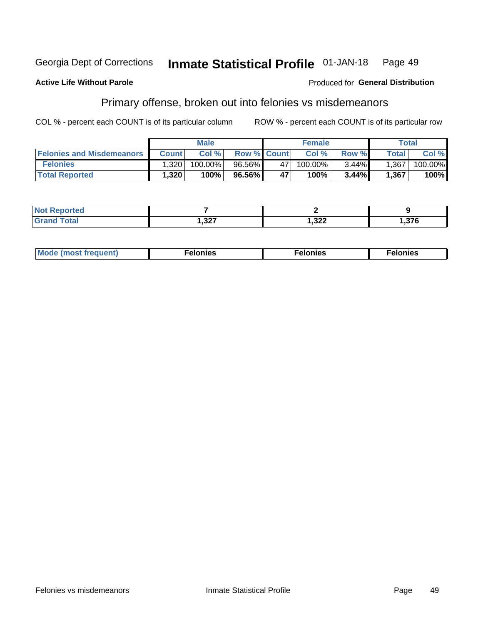#### Georgia Dept of Corrections Inmate Statistical Profile 01-JAN-18 Page 49

#### **Active Life Without Parole**

## Produced for General Distribution

# Primary offense, broken out into felonies vs misdemeanors

COL % - percent each COUNT is of its particular column

|                                  | <b>Male</b>  |         |                    | <b>Female</b> |         |          | Total              |         |
|----------------------------------|--------------|---------|--------------------|---------------|---------|----------|--------------------|---------|
| <b>Felonies and Misdemeanors</b> | <b>Count</b> | Col%    | <b>Row % Count</b> |               | Col%    | Row %    | Total <sub>1</sub> | Col %   |
| <b>Felonies</b>                  | 1,320        | 100.00% | 96.56%             | 47            | 100.00% | $3.44\%$ | 1,367              | 100.00% |
| <b>Total Reported</b>            | ,320.        | $100\%$ | 96.56%             | 47            | 100%    | 3.44%    | 1,367              | 100%    |

| <b>Not Reported</b> |         |        |        |
|---------------------|---------|--------|--------|
| `otal               | ???     | າາາ    | 27c    |
| Grand               | ، 24، ا | ∠∠د, ا | ט וט ו |

| <b>Mode</b><br>frequent)<br>nies<br>≧ (most tr.<br>. | onies<br>. | lonies<br>ею<br>____ |
|------------------------------------------------------|------------|----------------------|
|------------------------------------------------------|------------|----------------------|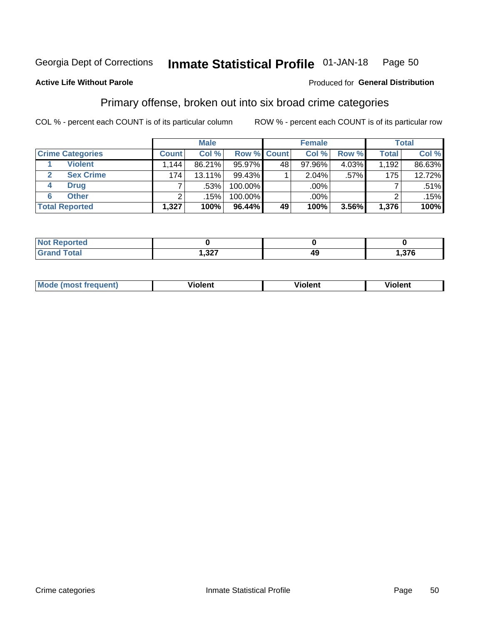#### **Inmate Statistical Profile 01-JAN-18** Page 50

## **Active Life Without Parole**

### Produced for General Distribution

# Primary offense, broken out into six broad crime categories

COL % - percent each COUNT is of its particular column

|                         | <b>Male</b>  |        |           |             | <b>Female</b> |       |              | <b>Total</b> |  |
|-------------------------|--------------|--------|-----------|-------------|---------------|-------|--------------|--------------|--|
| <b>Crime Categories</b> | <b>Count</b> | Col %  |           | Row % Count | Col %         | Row % | <b>Total</b> | Col %        |  |
| <b>Violent</b>          | .144         | 86.21% | 95.97%    | 48          | 97.96%        | 4.03% | 1,192        | 86.63%       |  |
| <b>Sex Crime</b>        | 174          | 13.11% | 99.43%    |             | 2.04%         | .57%  | 175          | 12.72%       |  |
| <b>Drug</b><br>4        |              | .53%   | 100.00%   |             | .00%          |       |              | $.51\%$      |  |
| <b>Other</b><br>6       | ົ            | .15%   | 100.00%   |             | .00%          |       |              | .15%         |  |
| <b>Total Reported</b>   | 1,327        | 100%   | $96.44\%$ | 49          | 100%          | 3.56% | 1,376        | 100%         |  |

| المتعاقب<br>prtea<br>NOT RADO<br>$\sim$ |        |    |               |
|-----------------------------------------|--------|----|---------------|
| $T0+0'$                                 | . $22$ | 49 | 270<br>0 / 3. |

| <b>Mode (most frequent)</b> | <br>'iolent | Violent | --<br><b>Violent</b> |
|-----------------------------|-------------|---------|----------------------|
|                             |             |         |                      |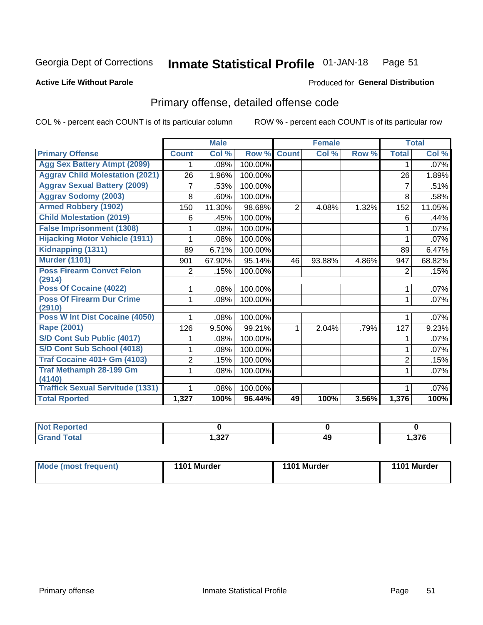#### Inmate Statistical Profile 01-JAN-18 Page 51

#### **Active Life Without Parole**

#### Produced for General Distribution

# Primary offense, detailed offense code

COL % - percent each COUNT is of its particular column

|                                            |              | <b>Male</b>                |         |                | <b>Female</b> |       |                | <b>Total</b> |
|--------------------------------------------|--------------|----------------------------|---------|----------------|---------------|-------|----------------|--------------|
| <b>Primary Offense</b>                     | <b>Count</b> | $\overline{\text{Col }^9}$ | Row %   | <b>Count</b>   | Col %         | Row % | <b>Total</b>   | Col %        |
| <b>Agg Sex Battery Atmpt (2099)</b>        |              | .08%                       | 100.00% |                |               |       | 1              | .07%         |
| <b>Aggrav Child Molestation (2021)</b>     | 26           | 1.96%                      | 100.00% |                |               |       | 26             | 1.89%        |
| <b>Aggrav Sexual Battery (2009)</b>        | 7            | .53%                       | 100.00% |                |               |       | 7              | .51%         |
| <b>Aggrav Sodomy (2003)</b>                | 8            | .60%                       | 100.00% |                |               |       | 8              | .58%         |
| <b>Armed Robbery (1902)</b>                | 150          | 11.30%                     | 98.68%  | $\overline{2}$ | 4.08%         | 1.32% | 152            | 11.05%       |
| <b>Child Molestation (2019)</b>            | 6            | .45%                       | 100.00% |                |               |       | 6              | .44%         |
| <b>False Imprisonment (1308)</b>           |              | .08%                       | 100.00% |                |               |       |                | $.07\%$      |
| <b>Hijacking Motor Vehicle (1911)</b>      |              | .08%                       | 100.00% |                |               |       |                | .07%         |
| Kidnapping (1311)                          | 89           | 6.71%                      | 100.00% |                |               |       | 89             | 6.47%        |
| <b>Murder (1101)</b>                       | 901          | 67.90%                     | 95.14%  | 46             | 93.88%        | 4.86% | 947            | 68.82%       |
| <b>Poss Firearm Convct Felon</b>           | 2            | .15%                       | 100.00% |                |               |       | 2              | .15%         |
| (2914)                                     |              |                            |         |                |               |       |                |              |
| <b>Poss Of Cocaine (4022)</b>              |              | .08%                       | 100.00% |                |               |       | 1              | .07%         |
| <b>Poss Of Firearm Dur Crime</b><br>(2910) | 1            | .08%                       | 100.00% |                |               |       | 1              | .07%         |
| Poss W Int Dist Cocaine (4050)             |              | .08%                       | 100.00% |                |               |       |                | .07%         |
| Rape (2001)                                | 126          | 9.50%                      | 99.21%  | 1              | 2.04%         | .79%  | 127            | 9.23%        |
| S/D Cont Sub Public (4017)                 |              | .08%                       | 100.00% |                |               |       |                | .07%         |
| S/D Cont Sub School (4018)                 |              | .08%                       | 100.00% |                |               |       |                | .07%         |
| <b>Traf Cocaine 401+ Gm (4103)</b>         | 2            | .15%                       | 100.00% |                |               |       | $\overline{2}$ | .15%         |
| <b>Traf Methamph 28-199 Gm</b>             | 1            | .08%                       | 100.00% |                |               |       | 1              | .07%         |
| (4140)                                     |              |                            |         |                |               |       |                |              |
| <b>Traffick Sexual Servitude (1331)</b>    |              | .08%                       | 100.00% |                |               |       | 1              | .07%         |
| <b>Total Rported</b>                       | 1,327        | 100%                       | 96.44%  | 49             | 100%          | 3.56% | 1,376          | 100%         |

| rted |              |    |               |
|------|--------------|----|---------------|
| υιαι | כמפ<br>، عن, | 42 | 27C<br>ט וט.ו |

| Mode (most frequent) | 1101 Murder | 1101 Murder | 1101 Murder |
|----------------------|-------------|-------------|-------------|
|                      |             |             |             |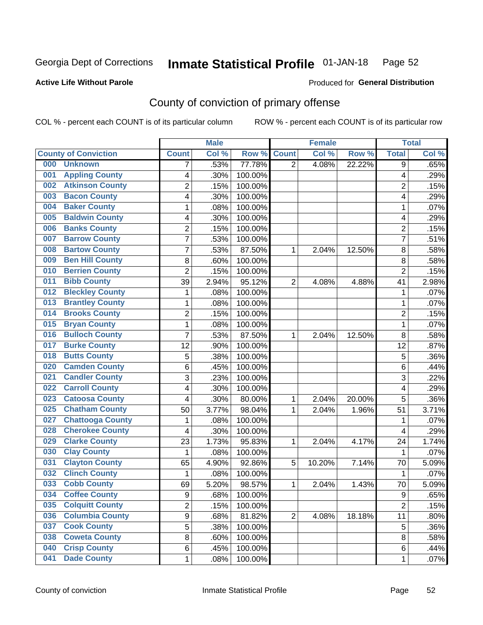#### Inmate Statistical Profile 01-JAN-18 Page 52

#### **Active Life Without Parole**

#### Produced for General Distribution

# County of conviction of primary offense

COL % - percent each COUNT is of its particular column

|                                |                         | <b>Male</b> |         |                | <b>Female</b> |        |                | <b>Total</b> |
|--------------------------------|-------------------------|-------------|---------|----------------|---------------|--------|----------------|--------------|
| <b>County of Conviction</b>    | <b>Count</b>            | Col %       | Row %   | <b>Count</b>   | Col %         | Row %  | <b>Total</b>   | Col %        |
| 000<br><b>Unknown</b>          | 7                       | .53%        | 77.78%  | 2              | 4.08%         | 22.22% | 9              | .65%         |
| <b>Appling County</b><br>001   | 4                       | .30%        | 100.00% |                |               |        | 4              | .29%         |
| <b>Atkinson County</b><br>002  | $\overline{c}$          | .15%        | 100.00% |                |               |        | $\overline{2}$ | .15%         |
| <b>Bacon County</b><br>003     | 4                       | .30%        | 100.00% |                |               |        | 4              | .29%         |
| <b>Baker County</b><br>004     | 1                       | .08%        | 100.00% |                |               |        | 1              | .07%         |
| <b>Baldwin County</b><br>005   | 4                       | .30%        | 100.00% |                |               |        | 4              | .29%         |
| <b>Banks County</b><br>006     | $\overline{c}$          | .15%        | 100.00% |                |               |        | $\overline{2}$ | .15%         |
| <b>Barrow County</b><br>007    | 7                       | .53%        | 100.00% |                |               |        | $\overline{7}$ | .51%         |
| <b>Bartow County</b><br>008    | 7                       | .53%        | 87.50%  | 1              | 2.04%         | 12.50% | 8              | .58%         |
| <b>Ben Hill County</b><br>009  | 8                       | .60%        | 100.00% |                |               |        | 8              | .58%         |
| <b>Berrien County</b><br>010   | $\overline{2}$          | .15%        | 100.00% |                |               |        | $\overline{2}$ | .15%         |
| <b>Bibb County</b><br>011      | 39                      | 2.94%       | 95.12%  | $\overline{2}$ | 4.08%         | 4.88%  | 41             | 2.98%        |
| <b>Bleckley County</b><br>012  | 1                       | .08%        | 100.00% |                |               |        | 1              | .07%         |
| <b>Brantley County</b><br>013  | 1                       | .08%        | 100.00% |                |               |        | 1              | .07%         |
| <b>Brooks County</b><br>014    | $\overline{2}$          | .15%        | 100.00% |                |               |        | $\overline{2}$ | .15%         |
| <b>Bryan County</b><br>015     | 1                       | .08%        | 100.00% |                |               |        | 1              | .07%         |
| <b>Bulloch County</b><br>016   | $\overline{7}$          | .53%        | 87.50%  | 1              | 2.04%         | 12.50% | 8              | .58%         |
| <b>Burke County</b><br>017     | 12                      | .90%        | 100.00% |                |               |        | 12             | .87%         |
| <b>Butts County</b><br>018     | $\overline{5}$          | .38%        | 100.00% |                |               |        | 5              | .36%         |
| <b>Camden County</b><br>020    | 6                       | .45%        | 100.00% |                |               |        | 6              | .44%         |
| <b>Candler County</b><br>021   | 3                       | .23%        | 100.00% |                |               |        | 3              | .22%         |
| <b>Carroll County</b><br>022   | 4                       | .30%        | 100.00% |                |               |        | 4              | .29%         |
| <b>Catoosa County</b><br>023   | 4                       | .30%        | 80.00%  | 1              | 2.04%         | 20.00% | 5              | .36%         |
| <b>Chatham County</b><br>025   | 50                      | 3.77%       | 98.04%  | 1              | 2.04%         | 1.96%  | 51             | 3.71%        |
| <b>Chattooga County</b><br>027 | 1                       | .08%        | 100.00% |                |               |        | 1              | .07%         |
| <b>Cherokee County</b><br>028  | $\overline{\mathbf{4}}$ | .30%        | 100.00% |                |               |        | 4              | .29%         |
| <b>Clarke County</b><br>029    | 23                      | 1.73%       | 95.83%  | 1              | 2.04%         | 4.17%  | 24             | 1.74%        |
| <b>Clay County</b><br>030      | 1                       | .08%        | 100.00% |                |               |        | 1              | .07%         |
| <b>Clayton County</b><br>031   | 65                      | 4.90%       | 92.86%  | 5              | 10.20%        | 7.14%  | 70             | 5.09%        |
| <b>Clinch County</b><br>032    | 1                       | .08%        | 100.00% |                |               |        | 1              | .07%         |
| <b>Cobb County</b><br>033      | 69                      | 5.20%       | 98.57%  | 1              | 2.04%         | 1.43%  | 70             | 5.09%        |
| 034<br><b>Coffee County</b>    | 9                       | .68%        | 100.00% |                |               |        | 9              | .65%         |
| <b>Colquitt County</b><br>035  | $\overline{2}$          | .15%        | 100.00% |                |               |        | $\overline{2}$ | .15%         |
| <b>Columbia County</b><br>036  | 9                       | .68%        | 81.82%  | $\overline{2}$ | 4.08%         | 18.18% | 11             | .80%         |
| <b>Cook County</b><br>037      | 5                       | .38%        | 100.00% |                |               |        | 5              | .36%         |
| <b>Coweta County</b><br>038    | 8                       | .60%        | 100.00% |                |               |        | 8              | .58%         |
| <b>Crisp County</b><br>040     | 6                       | .45%        | 100.00% |                |               |        | 6              | .44%         |
| <b>Dade County</b><br>041      | 1                       | .08%        | 100.00% |                |               |        | 1              | .07%         |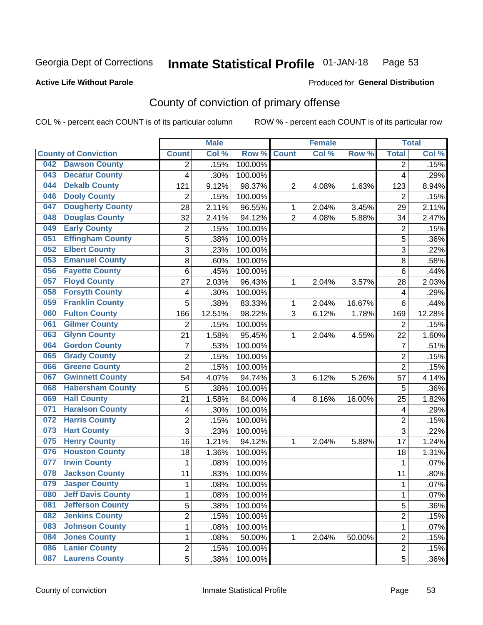#### Inmate Statistical Profile 01-JAN-18 Page 53

**Active Life Without Parole** 

Produced for General Distribution

# County of conviction of primary offense

COL % - percent each COUNT is of its particular column

|                                 |                | <b>Male</b> |         |                | <b>Female</b> |        |                | <b>Total</b> |
|---------------------------------|----------------|-------------|---------|----------------|---------------|--------|----------------|--------------|
| <b>County of Conviction</b>     | <b>Count</b>   | Col %       | Row %   | <b>Count</b>   | Col%          | Row %  | <b>Total</b>   | Col %        |
| <b>Dawson County</b><br>042     | 2              | .15%        | 100.00% |                |               |        | 2              | .15%         |
| <b>Decatur County</b><br>043    | 4              | .30%        | 100.00% |                |               |        | 4              | .29%         |
| <b>Dekalb County</b><br>044     | 121            | 9.12%       | 98.37%  | $\overline{2}$ | 4.08%         | 1.63%  | 123            | 8.94%        |
| <b>Dooly County</b><br>046      | 2              | .15%        | 100.00% |                |               |        | 2              | .15%         |
| <b>Dougherty County</b><br>047  | 28             | 2.11%       | 96.55%  | 1              | 2.04%         | 3.45%  | 29             | 2.11%        |
| <b>Douglas County</b><br>048    | 32             | 2.41%       | 94.12%  | $\overline{2}$ | 4.08%         | 5.88%  | 34             | 2.47%        |
| <b>Early County</b><br>049      | 2              | .15%        | 100.00% |                |               |        | $\overline{2}$ | .15%         |
| <b>Effingham County</b><br>051  | 5              | .38%        | 100.00% |                |               |        | 5              | .36%         |
| <b>Elbert County</b><br>052     | 3              | .23%        | 100.00% |                |               |        | 3              | .22%         |
| <b>Emanuel County</b><br>053    | 8              | .60%        | 100.00% |                |               |        | 8              | .58%         |
| <b>Fayette County</b><br>056    | $\,6$          | .45%        | 100.00% |                |               |        | 6              | .44%         |
| <b>Floyd County</b><br>057      | 27             | 2.03%       | 96.43%  | 1              | 2.04%         | 3.57%  | 28             | 2.03%        |
| <b>Forsyth County</b><br>058    | 4              | .30%        | 100.00% |                |               |        | 4              | .29%         |
| <b>Franklin County</b><br>059   | 5              | .38%        | 83.33%  | 1              | 2.04%         | 16.67% | 6              | .44%         |
| <b>Fulton County</b><br>060     | 166            | 12.51%      | 98.22%  | 3              | 6.12%         | 1.78%  | 169            | 12.28%       |
| <b>Gilmer County</b><br>061     | $\overline{2}$ | .15%        | 100.00% |                |               |        | $\overline{2}$ | .15%         |
| <b>Glynn County</b><br>063      | 21             | 1.58%       | 95.45%  | 1              | 2.04%         | 4.55%  | 22             | 1.60%        |
| <b>Gordon County</b><br>064     | 7              | .53%        | 100.00% |                |               |        | $\overline{7}$ | .51%         |
| <b>Grady County</b><br>065      | $\overline{2}$ | .15%        | 100.00% |                |               |        | $\overline{2}$ | .15%         |
| <b>Greene County</b><br>066     | $\overline{2}$ | .15%        | 100.00% |                |               |        | $\overline{2}$ | .15%         |
| <b>Gwinnett County</b><br>067   | 54             | 4.07%       | 94.74%  | 3              | 6.12%         | 5.26%  | 57             | 4.14%        |
| <b>Habersham County</b><br>068  | 5              | .38%        | 100.00% |                |               |        | 5              | .36%         |
| <b>Hall County</b><br>069       | 21             | 1.58%       | 84.00%  | 4              | 8.16%         | 16.00% | 25             | 1.82%        |
| <b>Haralson County</b><br>071   | 4              | .30%        | 100.00% |                |               |        | 4              | .29%         |
| <b>Harris County</b><br>072     | 2              | .15%        | 100.00% |                |               |        | 2              | .15%         |
| <b>Hart County</b><br>073       | 3              | .23%        | 100.00% |                |               |        | 3              | .22%         |
| <b>Henry County</b><br>075      | 16             | 1.21%       | 94.12%  | 1              | 2.04%         | 5.88%  | 17             | 1.24%        |
| <b>Houston County</b><br>076    | 18             | 1.36%       | 100.00% |                |               |        | 18             | 1.31%        |
| <b>Irwin County</b><br>077      | $\mathbf{1}$   | .08%        | 100.00% |                |               |        | $\mathbf{1}$   | .07%         |
| <b>Jackson County</b><br>078    | 11             | .83%        | 100.00% |                |               |        | 11             | .80%         |
| <b>Jasper County</b><br>079     | 1              | .08%        | 100.00% |                |               |        | 1              | .07%         |
| <b>Jeff Davis County</b><br>080 | 1              | .08%        | 100.00% |                |               |        | 1              | $.07\%$      |
| <b>Jefferson County</b><br>081  | 5              | .38%        | 100.00% |                |               |        | 5              | .36%         |
| <b>Jenkins County</b><br>082    | $\overline{2}$ | .15%        | 100.00% |                |               |        | $\overline{2}$ | .15%         |
| <b>Johnson County</b><br>083    | 1              | .08%        | 100.00% |                |               |        | $\mathbf{1}$   | .07%         |
| <b>Jones County</b><br>084      | 1              | .08%        | 50.00%  | 1              | 2.04%         | 50.00% | $\overline{c}$ | .15%         |
| <b>Lanier County</b><br>086     | $\overline{2}$ | .15%        | 100.00% |                |               |        | $\overline{2}$ | .15%         |
| <b>Laurens County</b><br>087    | $\overline{5}$ | .38%        | 100.00% |                |               |        | 5              | .36%         |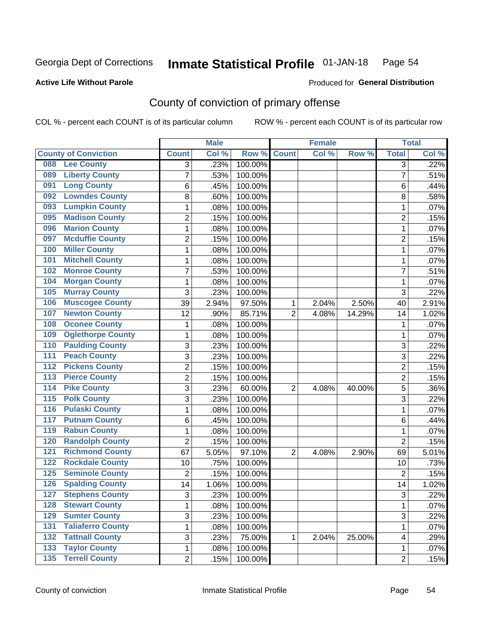#### Inmate Statistical Profile 01-JAN-18 Page 54

**Active Life Without Parole** 

**Produced for General Distribution** 

# County of conviction of primary offense

COL % - percent each COUNT is of its particular column

|                                           |                | <b>Male</b> |         |                | <b>Female</b> |        |                | <b>Total</b> |
|-------------------------------------------|----------------|-------------|---------|----------------|---------------|--------|----------------|--------------|
| <b>County of Conviction</b>               | <b>Count</b>   | Col %       | Row %   | <b>Count</b>   | Col %         | Row %  | <b>Total</b>   | Col %        |
| <b>Lee County</b><br>088                  | 3              | .23%        | 100.00% |                |               |        | $\overline{3}$ | .22%         |
| <b>Liberty County</b><br>089              | 7              | .53%        | 100.00% |                |               |        | $\overline{7}$ | .51%         |
| <b>Long County</b><br>091                 | 6              | .45%        | 100.00% |                |               |        | 6              | .44%         |
| <b>Lowndes County</b><br>092              | 8              | .60%        | 100.00% |                |               |        | 8              | .58%         |
| <b>Lumpkin County</b><br>093              | 1              | .08%        | 100.00% |                |               |        | 1              | .07%         |
| <b>Madison County</b><br>095              | $\overline{c}$ | .15%        | 100.00% |                |               |        | $\overline{2}$ | .15%         |
| <b>Marion County</b><br>096               | 1              | .08%        | 100.00% |                |               |        | $\mathbf{1}$   | .07%         |
| <b>Mcduffie County</b><br>097             | 2              | .15%        | 100.00% |                |               |        | $\overline{2}$ | .15%         |
| <b>Miller County</b><br>100               | 1              | .08%        | 100.00% |                |               |        | 1              | .07%         |
| <b>Mitchell County</b><br>101             | 1              | .08%        | 100.00% |                |               |        | 1              | .07%         |
| <b>Monroe County</b><br>102               | $\overline{7}$ | .53%        | 100.00% |                |               |        | $\overline{7}$ | .51%         |
| <b>Morgan County</b><br>104               | 1              | .08%        | 100.00% |                |               |        | 1              | .07%         |
| <b>Murray County</b><br>105               | 3              | .23%        | 100.00% |                |               |        | 3              | .22%         |
| <b>Muscogee County</b><br>106             | 39             | 2.94%       | 97.50%  | 1              | 2.04%         | 2.50%  | 40             | 2.91%        |
| <b>Newton County</b><br>107               | 12             | .90%        | 85.71%  | $\overline{2}$ | 4.08%         | 14.29% | 14             | 1.02%        |
| <b>Oconee County</b><br>108               | 1              | .08%        | 100.00% |                |               |        | 1              | .07%         |
| <b>Oglethorpe County</b><br>109           | 1              | .08%        | 100.00% |                |               |        | 1              | .07%         |
| <b>Paulding County</b><br>110             | 3              | .23%        | 100.00% |                |               |        | 3              | .22%         |
| <b>Peach County</b><br>111                | $\overline{3}$ | .23%        | 100.00% |                |               |        | $\overline{3}$ | .22%         |
| <b>Pickens County</b><br>$\overline{112}$ | $\overline{c}$ | .15%        | 100.00% |                |               |        | 2              | .15%         |
| <b>Pierce County</b><br>$\overline{113}$  | $\overline{2}$ | .15%        | 100.00% |                |               |        | $\overline{2}$ | .15%         |
| <b>Pike County</b><br>$\overline{114}$    | 3              | .23%        | 60.00%  | $\overline{2}$ | 4.08%         | 40.00% | $\overline{5}$ | .36%         |
| <b>Polk County</b><br>$\overline{115}$    | 3              | .23%        | 100.00% |                |               |        | $\overline{3}$ | .22%         |
| <b>Pulaski County</b><br>$\overline{116}$ | 1              | .08%        | 100.00% |                |               |        | 1              | .07%         |
| <b>Putnam County</b><br>117               | 6              | .45%        | 100.00% |                |               |        | 6              | .44%         |
| <b>Rabun County</b><br>119                | 1              | .08%        | 100.00% |                |               |        | 1              | .07%         |
| <b>Randolph County</b><br>120             | $\overline{2}$ | .15%        | 100.00% |                |               |        | $\overline{2}$ | .15%         |
| <b>Richmond County</b><br>121             | 67             | 5.05%       | 97.10%  | $\overline{2}$ | 4.08%         | 2.90%  | 69             | 5.01%        |
| <b>Rockdale County</b><br>122             | 10             | .75%        | 100.00% |                |               |        | 10             | .73%         |
| <b>Seminole County</b><br>125             | $\overline{2}$ | .15%        | 100.00% |                |               |        | $\overline{2}$ | .15%         |
| <b>Spalding County</b><br>126             | 14             | 1.06%       | 100.00% |                |               |        | 14             | 1.02%        |
| 127<br><b>Stephens County</b>             | 3              | .23%        | 100.00% |                |               |        | 3              | .22%         |
| <b>Stewart County</b><br>128              | 1              | .08%        | 100.00% |                |               |        | $\mathbf{1}$   | .07%         |
| <b>Sumter County</b><br>129               | 3              | .23%        | 100.00% |                |               |        | $\overline{3}$ | .22%         |
| <b>Taliaferro County</b><br>131           | 1              | .08%        | 100.00% |                |               |        | 1              | .07%         |
| <b>Tattnall County</b><br>132             | 3              | .23%        | 75.00%  | 1              | 2.04%         | 25.00% | 4              | .29%         |
| <b>Taylor County</b><br>$\overline{133}$  | 1              | .08%        | 100.00% |                |               |        | 1              | .07%         |
| <b>Terrell County</b><br>$\overline{135}$ | $\overline{2}$ | .15%        | 100.00% |                |               |        | $\overline{2}$ | .15%         |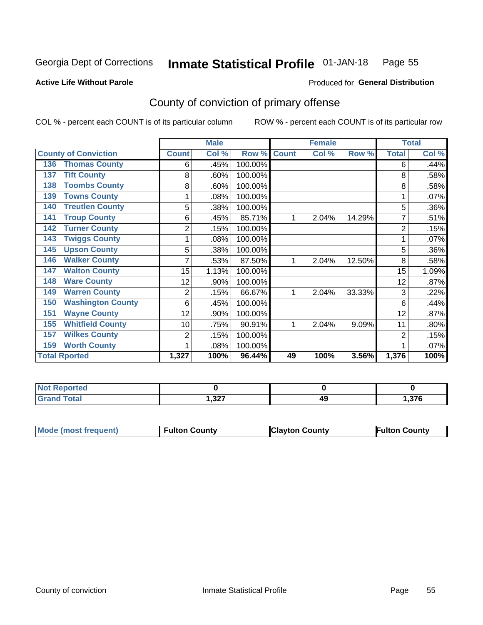#### Inmate Statistical Profile 01-JAN-18 Page 55

**Active Life Without Parole** 

#### Produced for General Distribution

# County of conviction of primary offense

COL % - percent each COUNT is of its particular column

|                                 |                | <b>Male</b> |                  |              | <b>Female</b> |        |                | <b>Total</b> |
|---------------------------------|----------------|-------------|------------------|--------------|---------------|--------|----------------|--------------|
| <b>County of Conviction</b>     | <b>Count</b>   | Col %       | Row <sup>%</sup> | <b>Count</b> | Col %         | Row %  | <b>Total</b>   | Col %        |
| <b>Thomas County</b><br>136     | 6              | .45%        | 100.00%          |              |               |        | 6              | .44%         |
| <b>Tift County</b><br>137       | 8              | .60%        | 100.00%          |              |               |        | 8              | .58%         |
| <b>Toombs County</b><br>138     | 8              | .60%        | 100.00%          |              |               |        | 8              | .58%         |
| <b>Towns County</b><br>139      |                | .08%        | 100.00%          |              |               |        |                | .07%         |
| <b>Treutlen County</b><br>140   | 5              | .38%        | 100.00%          |              |               |        | 5              | .36%         |
| <b>Troup County</b><br>141      | 6              | .45%        | 85.71%           | 1            | 2.04%         | 14.29% | 7              | .51%         |
| <b>Turner County</b><br>142     | $\overline{2}$ | .15%        | 100.00%          |              |               |        | 2              | .15%         |
| <b>Twiggs County</b><br>143     |                | .08%        | 100.00%          |              |               |        |                | .07%         |
| <b>Upson County</b><br>145      | 5              | .38%        | 100.00%          |              |               |        | 5              | .36%         |
| <b>Walker County</b><br>146     | 7              | .53%        | 87.50%           | 1            | 2.04%         | 12.50% | 8              | .58%         |
| <b>Walton County</b><br>147     | 15             | 1.13%       | 100.00%          |              |               |        | 15             | 1.09%        |
| <b>Ware County</b><br>148       | 12             | .90%        | 100.00%          |              |               |        | 12             | .87%         |
| <b>Warren County</b><br>149     | $\overline{2}$ | .15%        | 66.67%           |              | 2.04%         | 33.33% | 3              | .22%         |
| <b>Washington County</b><br>150 | 6              | .45%        | 100.00%          |              |               |        | 6              | .44%         |
| <b>Wayne County</b><br>151      | 12             | .90%        | 100.00%          |              |               |        | 12             | .87%         |
| <b>Whitfield County</b><br>155  | 10             | .75%        | 90.91%           | 1            | 2.04%         | 9.09%  | 11             | .80%         |
| <b>Wilkes County</b><br>157     | 2              | .15%        | 100.00%          |              |               |        | $\overline{2}$ | .15%         |
| <b>Worth County</b><br>159      |                | .08%        | 100.00%          |              |               |        |                | .07%         |
| <b>Total Rported</b>            | 1,327          | 100%        | 96.44%           | 49           | 100%          | 3.56%  | 1,376          | 100%         |

| <b>Not Reported</b>   |                 |    |      |
|-----------------------|-----------------|----|------|
| <b>Total</b><br>Grand | .227<br>، 24. ا | 49 | ,376 |

| <b>Mode (most frequent)</b> | <b>Fulton County</b> | <b>Clayton County</b> | <b>Fulton County</b> |
|-----------------------------|----------------------|-----------------------|----------------------|
|                             |                      |                       |                      |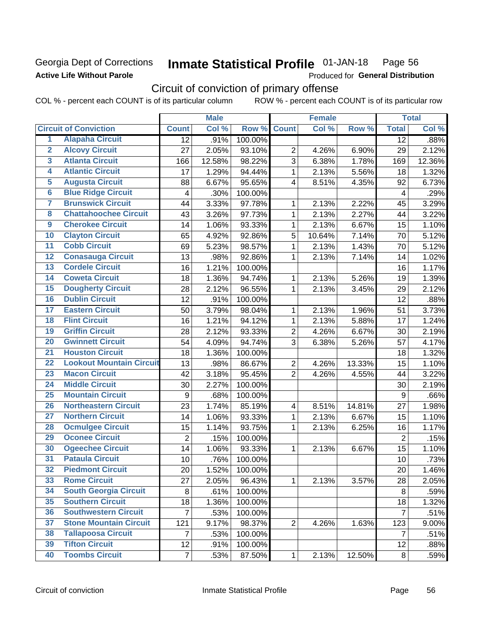## Georgia Dept of Corrections **Active Life Without Parole**

#### Inmate Statistical Profile 01-JAN-18 Page 56

Produced for General Distribution

# Circuit of conviction of primary offense

COL % - percent each COUNT is of its particular column ROW % - percent each COUNT is of its particular row

|                         |                                 |                 | <b>Male</b> |         |                         | <b>Female</b> |        |                | <b>Total</b> |
|-------------------------|---------------------------------|-----------------|-------------|---------|-------------------------|---------------|--------|----------------|--------------|
|                         | <b>Circuit of Conviction</b>    | <b>Count</b>    | Col %       | Row %   | <b>Count</b>            | Col %         | Row %  | <b>Total</b>   | Col %        |
| 1                       | <b>Alapaha Circuit</b>          | $\overline{12}$ | .91%        | 100.00% |                         |               |        | 12             | .88%         |
| $\overline{2}$          | <b>Alcovy Circuit</b>           | 27              | 2.05%       | 93.10%  | $\overline{2}$          | 4.26%         | 6.90%  | 29             | 2.12%        |
| $\overline{3}$          | <b>Atlanta Circuit</b>          | 166             | 12.58%      | 98.22%  | 3                       | 6.38%         | 1.78%  | 169            | 12.36%       |
| 4                       | <b>Atlantic Circuit</b>         | 17              | 1.29%       | 94.44%  | 1                       | 2.13%         | 5.56%  | 18             | 1.32%        |
| $\overline{5}$          | <b>Augusta Circuit</b>          | 88              | 6.67%       | 95.65%  | $\overline{4}$          | 8.51%         | 4.35%  | 92             | 6.73%        |
| $\overline{\bf{6}}$     | <b>Blue Ridge Circuit</b>       | 4               | .30%        | 100.00% |                         |               |        | 4              | .29%         |
| 7                       | <b>Brunswick Circuit</b>        | 44              | 3.33%       | 97.78%  | 1                       | 2.13%         | 2.22%  | 45             | 3.29%        |
| $\overline{\mathbf{8}}$ | <b>Chattahoochee Circuit</b>    | 43              | 3.26%       | 97.73%  | 1                       | 2.13%         | 2.27%  | 44             | 3.22%        |
| $\overline{9}$          | <b>Cherokee Circuit</b>         | 14              | 1.06%       | 93.33%  | 1                       | 2.13%         | 6.67%  | 15             | 1.10%        |
| 10                      | <b>Clayton Circuit</b>          | 65              | 4.92%       | 92.86%  | 5                       | 10.64%        | 7.14%  | 70             | 5.12%        |
| $\overline{11}$         | <b>Cobb Circuit</b>             | 69              | 5.23%       | 98.57%  | $\mathbf{1}$            | 2.13%         | 1.43%  | 70             | 5.12%        |
| $\overline{12}$         | <b>Conasauga Circuit</b>        | 13              | .98%        | 92.86%  | 1                       | 2.13%         | 7.14%  | 14             | 1.02%        |
| 13                      | <b>Cordele Circuit</b>          | 16              | 1.21%       | 100.00% |                         |               |        | 16             | 1.17%        |
| 14                      | <b>Coweta Circuit</b>           | 18              | 1.36%       | 94.74%  | 1                       | 2.13%         | 5.26%  | 19             | 1.39%        |
| $\overline{15}$         | <b>Dougherty Circuit</b>        | 28              | 2.12%       | 96.55%  | 1                       | 2.13%         | 3.45%  | 29             | 2.12%        |
| 16                      | <b>Dublin Circuit</b>           | 12              | .91%        | 100.00% |                         |               |        | 12             | .88%         |
| 17                      | <b>Eastern Circuit</b>          | 50              | 3.79%       | 98.04%  | 1                       | 2.13%         | 1.96%  | 51             | 3.73%        |
| $\overline{18}$         | <b>Flint Circuit</b>            | 16              | 1.21%       | 94.12%  | 1                       | 2.13%         | 5.88%  | 17             | 1.24%        |
| 19                      | <b>Griffin Circuit</b>          | 28              | 2.12%       | 93.33%  | $\overline{2}$          | 4.26%         | 6.67%  | 30             | 2.19%        |
| $\overline{20}$         | <b>Gwinnett Circuit</b>         | 54              | 4.09%       | 94.74%  | 3                       | 6.38%         | 5.26%  | 57             | 4.17%        |
| $\overline{21}$         | <b>Houston Circuit</b>          | 18              | 1.36%       | 100.00% |                         |               |        | 18             | 1.32%        |
| $\overline{22}$         | <b>Lookout Mountain Circuit</b> | 13              | .98%        | 86.67%  | $\overline{2}$          | 4.26%         | 13.33% | 15             | 1.10%        |
| 23                      | <b>Macon Circuit</b>            | 42              | 3.18%       | 95.45%  | $\overline{2}$          | 4.26%         | 4.55%  | 44             | 3.22%        |
| $\overline{24}$         | <b>Middle Circuit</b>           | 30              | 2.27%       | 100.00% |                         |               |        | 30             | 2.19%        |
| $\overline{25}$         | <b>Mountain Circuit</b>         | 9               | .68%        | 100.00% |                         |               |        | 9              | .66%         |
| 26                      | <b>Northeastern Circuit</b>     | 23              | 1.74%       | 85.19%  | $\overline{\mathbf{4}}$ | 8.51%         | 14.81% | 27             | 1.98%        |
| $\overline{27}$         | <b>Northern Circuit</b>         | 14              | 1.06%       | 93.33%  | 1                       | 2.13%         | 6.67%  | 15             | 1.10%        |
| 28                      | <b>Ocmulgee Circuit</b>         | 15              | 1.14%       | 93.75%  | 1                       | 2.13%         | 6.25%  | 16             | 1.17%        |
| 29                      | <b>Oconee Circuit</b>           | $\overline{2}$  | .15%        | 100.00% |                         |               |        | $\overline{2}$ | .15%         |
| 30                      | <b>Ogeechee Circuit</b>         | 14              | 1.06%       | 93.33%  | 1                       | 2.13%         | 6.67%  | 15             | 1.10%        |
| $\overline{31}$         | <b>Pataula Circuit</b>          | 10              | .76%        | 100.00% |                         |               |        | 10             | .73%         |
| 32                      | <b>Piedmont Circuit</b>         | 20              | 1.52%       | 100.00% |                         |               |        | 20             | 1.46%        |
| 33                      | <b>Rome Circuit</b>             | 27              | 2.05%       | 96.43%  | $\mathbf{1}$            | 2.13%         | 3.57%  | 28             | 2.05%        |
| 34                      | <b>South Georgia Circuit</b>    | 8               | .61%        | 100.00% |                         |               |        | 8              | .59%         |
| 35                      | <b>Southern Circuit</b>         | 18              | 1.36%       | 100.00% |                         |               |        | 18             | 1.32%        |
| 36                      | <b>Southwestern Circuit</b>     | $\overline{7}$  | .53%        | 100.00% |                         |               |        | $\overline{7}$ | .51%         |
| 37                      | <b>Stone Mountain Circuit</b>   | 121             | 9.17%       | 98.37%  | $\overline{2}$          | 4.26%         | 1.63%  | 123            | 9.00%        |
| 38                      | <b>Tallapoosa Circuit</b>       | $\overline{7}$  | .53%        | 100.00% |                         |               |        | 7              | .51%         |
| 39                      | <b>Tifton Circuit</b>           | 12              | .91%        | 100.00% |                         |               |        | 12             | .88%         |
| 40                      | <b>Toombs Circuit</b>           | $\overline{7}$  | .53%        | 87.50%  | $\mathbf{1}$            | 2.13%         | 12.50% | 8              | .59%         |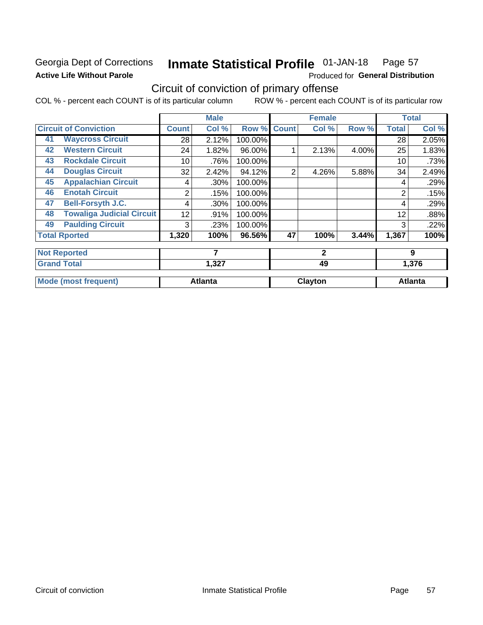# Georgia Dept of Corrections **Active Life Without Parole**

#### **Inmate Statistical Profile 01-JAN-18** Page 57

Produced for General Distribution

# Circuit of conviction of primary offense

COL % - percent each COUNT is of its particular column ROW % - percent each COUNT is of its particular row

|    |                                  |              | <b>Male</b>    |         |              | <b>Female</b> |       |              | <b>Total</b>   |
|----|----------------------------------|--------------|----------------|---------|--------------|---------------|-------|--------------|----------------|
|    | <b>Circuit of Conviction</b>     | <b>Count</b> | Col %          | Row %   | <b>Count</b> | Col %         | Row % | <b>Total</b> | Col %          |
| 41 | <b>Waycross Circuit</b>          | 28           | 2.12%          | 100.00% |              |               |       | 28           | 2.05%          |
| 42 | <b>Western Circuit</b>           | 24           | 1.82%          | 96.00%  |              | 2.13%         | 4.00% | 25           | 1.83%          |
| 43 | <b>Rockdale Circuit</b>          | 10           | .76%           | 100.00% |              |               |       | 10           | .73%           |
| 44 | <b>Douglas Circuit</b>           | 32           | 2.42%          | 94.12%  | 2            | 4.26%         | 5.88% | 34           | 2.49%          |
| 45 | <b>Appalachian Circuit</b>       | 4            | .30%           | 100.00% |              |               |       | 4            | .29%           |
| 46 | <b>Enotah Circuit</b>            | 2            | .15%           | 100.00% |              |               |       | 2            | .15%           |
| 47 | <b>Bell-Forsyth J.C.</b>         | 4            | .30%           | 100.00% |              |               |       | 4            | .29%           |
| 48 | <b>Towaliga Judicial Circuit</b> | 12           | .91%           | 100.00% |              |               |       | 12           | .88%           |
| 49 | <b>Paulding Circuit</b>          | 3            | .23%           | 100.00% |              |               |       | 3            | .22%           |
|    | <b>Total Rported</b>             | 1,320        | 100%           | 96.56%  | 47           | 100%          | 3.44% | 1,367        | 100%           |
|    | <b>Not Reported</b>              |              | 7              |         |              | $\mathbf{2}$  |       |              | 9              |
|    | <b>Grand Total</b>               |              | 1,327          |         |              | 49            |       |              | 1,376          |
|    | <b>Mode (most frequent)</b>      |              | <b>Atlanta</b> |         |              | Clayton       |       |              | <b>Atlanta</b> |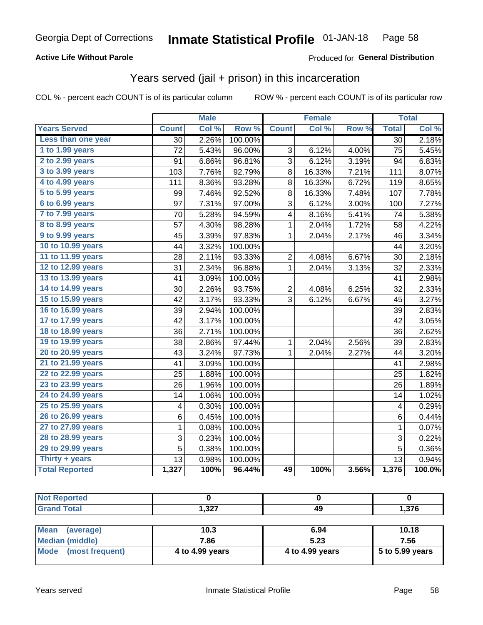## **Active Life Without Parole**

## Produced for General Distribution

# Years served (jail + prison) in this incarceration

COL % - percent each COUNT is of its particular column

|                        | <b>Male</b>     |       | <b>Female</b> |                |        | <b>Total</b> |                         |        |
|------------------------|-----------------|-------|---------------|----------------|--------|--------------|-------------------------|--------|
| <b>Years Served</b>    | <b>Count</b>    | Col % | Row %         | <b>Count</b>   | Col %  | Row %        | <b>Total</b>            | Col %  |
| Less than one year     | $\overline{30}$ | 2.26% | 100.00%       |                |        |              | $\overline{30}$         | 2.18%  |
| 1 to 1.99 years        | 72              | 5.43% | 96.00%        | 3              | 6.12%  | 4.00%        | 75                      | 5.45%  |
| 2 to 2.99 years        | 91              | 6.86% | 96.81%        | 3              | 6.12%  | 3.19%        | 94                      | 6.83%  |
| 3 to 3.99 years        | 103             | 7.76% | 92.79%        | 8              | 16.33% | 7.21%        | 111                     | 8.07%  |
| 4 to 4.99 years        | 111             | 8.36% | 93.28%        | 8              | 16.33% | 6.72%        | 119                     | 8.65%  |
| 5 to 5.99 years        | 99              | 7.46% | 92.52%        | 8              | 16.33% | 7.48%        | 107                     | 7.78%  |
| 6 to 6.99 years        | 97              | 7.31% | 97.00%        | 3              | 6.12%  | 3.00%        | 100                     | 7.27%  |
| 7 to 7.99 years        | 70              | 5.28% | 94.59%        | 4              | 8.16%  | 5.41%        | 74                      | 5.38%  |
| <b>8 to 8.99 years</b> | 57              | 4.30% | 98.28%        | $\mathbf{1}$   | 2.04%  | 1.72%        | 58                      | 4.22%  |
| 9 to 9.99 years        | 45              | 3.39% | 97.83%        | $\mathbf 1$    | 2.04%  | 2.17%        | 46                      | 3.34%  |
| 10 to 10.99 years      | 44              | 3.32% | 100.00%       |                |        |              | 44                      | 3.20%  |
| 11 to 11.99 years      | 28              | 2.11% | 93.33%        | $\overline{c}$ | 4.08%  | 6.67%        | 30                      | 2.18%  |
| 12 to 12.99 years      | 31              | 2.34% | 96.88%        | 1              | 2.04%  | 3.13%        | 32                      | 2.33%  |
| 13 to 13.99 years      | 41              | 3.09% | 100.00%       |                |        |              | 41                      | 2.98%  |
| 14 to 14.99 years      | 30              | 2.26% | 93.75%        | $\overline{2}$ | 4.08%  | 6.25%        | 32                      | 2.33%  |
| 15 to 15.99 years      | 42              | 3.17% | 93.33%        | 3              | 6.12%  | 6.67%        | 45                      | 3.27%  |
| 16 to 16.99 years      | 39              | 2.94% | 100.00%       |                |        |              | 39                      | 2.83%  |
| 17 to 17.99 years      | 42              | 3.17% | 100.00%       |                |        |              | 42                      | 3.05%  |
| 18 to 18.99 years      | 36              | 2.71% | 100.00%       |                |        |              | 36                      | 2.62%  |
| 19 to 19.99 years      | 38              | 2.86% | 97.44%        | 1              | 2.04%  | 2.56%        | 39                      | 2.83%  |
| 20 to 20.99 years      | 43              | 3.24% | 97.73%        | $\mathbf 1$    | 2.04%  | 2.27%        | 44                      | 3.20%  |
| 21 to 21.99 years      | 41              | 3.09% | 100.00%       |                |        |              | 41                      | 2.98%  |
| 22 to 22.99 years      | 25              | 1.88% | 100.00%       |                |        |              | 25                      | 1.82%  |
| 23 to 23.99 years      | 26              | 1.96% | 100.00%       |                |        |              | 26                      | 1.89%  |
| 24 to 24.99 years      | 14              | 1.06% | 100.00%       |                |        |              | 14                      | 1.02%  |
| 25 to 25.99 years      | 4               | 0.30% | 100.00%       |                |        |              | $\overline{\mathbf{4}}$ | 0.29%  |
| 26 to 26.99 years      | 6               | 0.45% | 100.00%       |                |        |              | $\,6$                   | 0.44%  |
| 27 to 27.99 years      | 1               | 0.08% | 100.00%       |                |        |              | $\mathbf{1}$            | 0.07%  |
| 28 to 28.99 years      | 3               | 0.23% | 100.00%       |                |        |              | 3                       | 0.22%  |
| 29 to 29.99 years      | 5               | 0.38% | 100.00%       |                |        |              | $\overline{5}$          | 0.36%  |
| Thirty + years         | 13              | 0.98% | 100.00%       |                |        |              | $\overline{13}$         | 0.94%  |
| <b>Total Reported</b>  | 1,327           | 100%  | 96.44%        | 49             | 100%   | 3.56%        | 1,376                   | 100.0% |

| <b>Not Reported</b>                        |               |    |       |
|--------------------------------------------|---------------|----|-------|
| <b>I</b> Total<br>Cror<br>$\mathbf{v}$ and | າາ<br>، عد. ا | 49 | 1,376 |
|                                            |               |    |       |

| <b>Mean</b><br>(average) | 10.3            | 6.94            | 10.18             |
|--------------------------|-----------------|-----------------|-------------------|
| Median (middle)          | 7.86            | 5.23            | 7.56              |
| Mode (most frequent)     | 4 to 4.99 years | 4 to 4.99 years | $5$ to 5.99 years |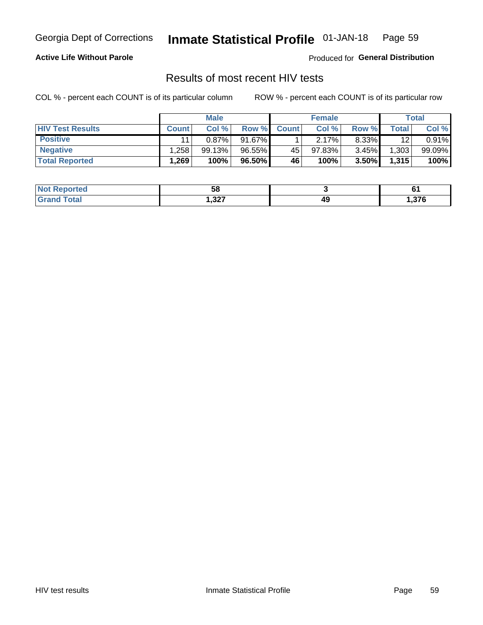#### Inmate Statistical Profile 01-JAN-18 Page 59

## **Active Life Without Parole**

Produced for General Distribution

# Results of most recent HIV tests

COL % - percent each COUNT is of its particular column

|                         | <b>Male</b>  |          |           | <b>Female</b> |        |       | Total |        |
|-------------------------|--------------|----------|-----------|---------------|--------|-------|-------|--------|
| <b>HIV Test Results</b> | <b>Count</b> | Col%     | Row %I    | <b>Count</b>  | Col %  | Row % | Total | Col %  |
| <b>Positive</b>         | 11           | $0.87\%$ | 91.67%    |               | 2.17%  | 8.33% | 12    | 0.91%  |
| <b>Negative</b>         | .258         | 99.13%   | $96.55\%$ | 45            | 97.83% | 3.45% | 1,303 | 99.09% |
| <b>Total Reported</b>   | .269         | 100%     | 96.50%    | <b>46</b>     | 100%   | 3.50% | 1,315 | 100%   |

| <b>Not Reported</b>      | 58     |    |      |
|--------------------------|--------|----|------|
| <b>i</b> otal<br>$G$ res | 327, ا | 49 | 376, |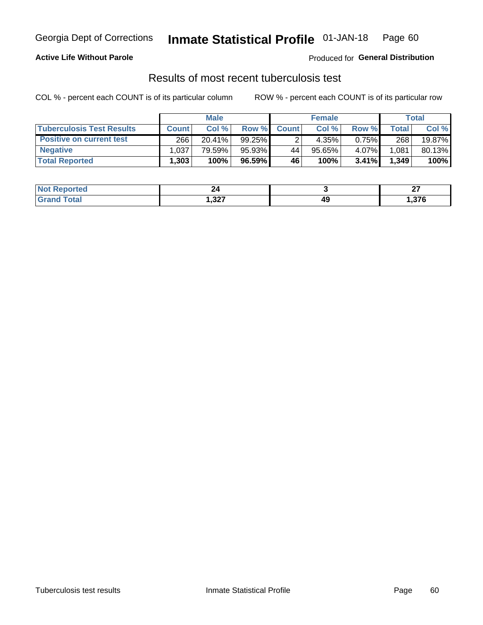# Georgia Dept of Corrections **Inmate Statistical Profile** 01-JAN-18 Page 60

## **Active Life Without Parole**

Produced for **General Distribution**

# Results of most recent tuberculosis test

COL % - percent each COUNT is of its particular column ROW % - percent each COUNT is of its particular row

|                                  | <b>Male</b>       |        |           |              | <b>Female</b> | Total |       |        |
|----------------------------------|-------------------|--------|-----------|--------------|---------------|-------|-------|--------|
| <b>Tuberculosis Test Results</b> | <b>Count</b>      | Col%   | Row %I    | <b>Count</b> | Col %         | Row % | Total | Col %  |
| <b>Positive on current test</b>  | 266               | 20.41% | $99.25\%$ |              | 4.35%         | 0.75% | 268   | 19.87% |
| <b>Negative</b>                  | .037              | 79.59% | 95.93%    | 44           | 95.65%        | 4.07% | 1,081 | 80.13% |
| <b>Total Reported</b>            | .303 <sup>1</sup> | 100%   | 96.59% l  | 46           | 100%          | 3.41% | 1,349 | 100%   |

| <b>Not</b><br><b>Reported</b> | 44                     |                                | ~-<br>. |
|-------------------------------|------------------------|--------------------------------|---------|
| <b>cotal</b>                  | כמה<br>ו גנ. י<br>$ -$ | 49<br>$\overline{\phantom{a}}$ | .376    |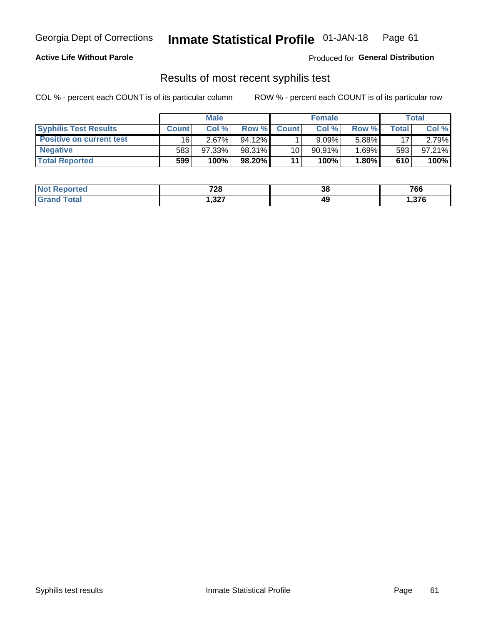# Georgia Dept of Corrections **Inmate Statistical Profile** 01-JAN-18 Page 61

## **Active Life Without Parole**

Produced for **General Distribution**

# Results of most recent syphilis test

COL % - percent each COUNT is of its particular column ROW % - percent each COUNT is of its particular row

|                                 | <b>Male</b>  |          |           | <b>Female</b> |           |        | Total |        |
|---------------------------------|--------------|----------|-----------|---------------|-----------|--------|-------|--------|
| <b>Syphilis Test Results</b>    | <b>Count</b> | Col%     | Row %     | <b>Count</b>  | Col %     | Row %I | Total | Col %  |
| <b>Positive on current test</b> | 16           | $2.67\%$ | $94.12\%$ |               | 9.09%     | 5.88%  | 17    | 2.79%  |
| <b>Negative</b>                 | 583          | 97.33%   | 98.31%    | 10            | $90.91\%$ | 1.69%  | 593   | 97.21% |
| <b>Total Reported</b>           | 599          | 100%     | 98.20%    | 11            | 100%      | 1.80%  | 610   | 100%   |

| <b>Not Reported</b> | 700<br>. ZO | 38 | 766    |
|---------------------|-------------|----|--------|
| <b>Total</b>        | 327,        | 49 | 376, ا |